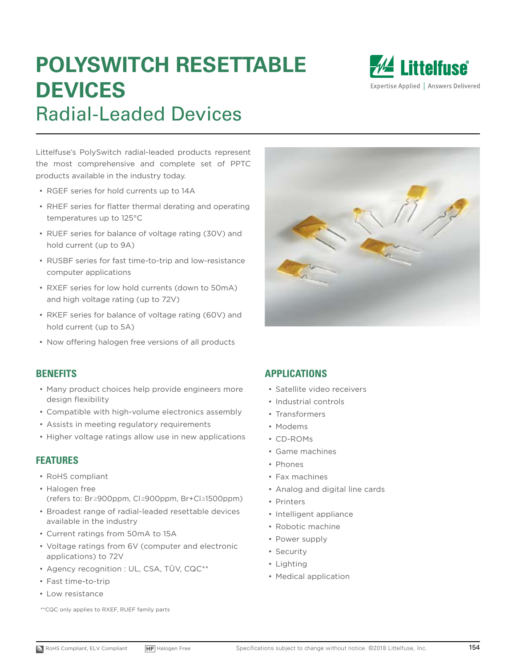# **POLYSWITCH RESETTABLE DEVICES** Radial-Leaded Devices



Littelfuse's PolySwitch radial-leaded products represent the most comprehensive and complete set of PPTC products available in the industry today.

- RGEF series for hold currents up to 14A
- RHEF series for flatter thermal derating and operating temperatures up to 125°C
- RUEF series for balance of voltage rating (30V) and hold current (up to 9A)
- RUSBF series for fast time-to-trip and low-resistance computer applications
- RXEF series for low hold currents (down to 50mA) and high voltage rating (up to 72V)
- RKEF series for balance of voltage rating (60V) and hold current (up to 5A)
- Now offering halogen free versions of all products

### **BENEFITS**

- Many product choices help provide engineers more design flexibility
- Compatible with high-volume electronics assembly
- Assists in meeting regulatory requirements
- Higher voltage ratings allow use in new applications

### **FEATURES**

- RoHS compliant
- Halogen free (refers to: Br≥900ppm, Cl≥900ppm, Br+Cl≥1500ppm)
- Broadest range of radial-leaded resettable devices available in the industry
- Current ratings from 50mA to 15A
- Voltage ratings from 6V (computer and electronic applications) to 72V
- Agency recognition : UL, CSA, TÜV, CQC\*\*
- Fast time-to-trip
- Low resistance
- \*\*CQC only applies to RXEF, RUEF family parts

### **APPLICATIONS**

- Satellite video receivers
- Industrial controls
- Transformers
- Modems
- CD-ROMs
- Game machines
- Phones
- Fax machines
- Analog and digital line cards
- Printers
- Intelligent appliance
- Robotic machine
- Power supply
- Security
- Lighting
- Medical application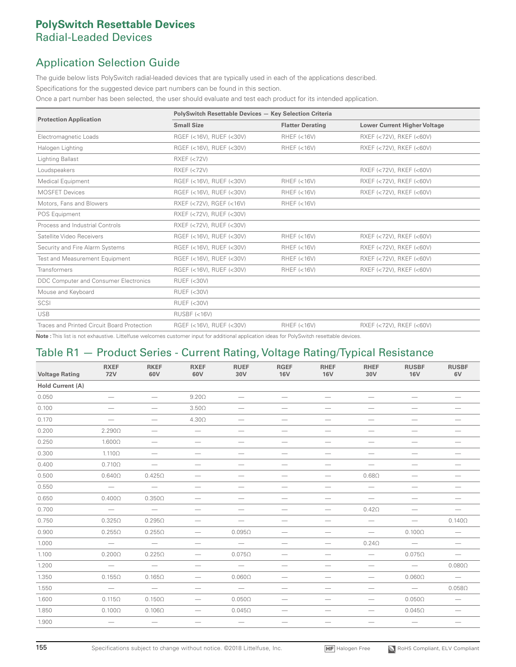### Application Selection Guide

The guide below lists PolySwitch radial-leaded devices that are typically used in each of the applications described. Specifications for the suggested device part numbers can be found in this section.

Once a part number has been selected, the user should evaluate and test each product for its intended application.

|                                             | PolySwitch Resettable Devices - Key Selection Criteria |                         |                                     |
|---------------------------------------------|--------------------------------------------------------|-------------------------|-------------------------------------|
| <b>Protection Application</b>               | <b>Small Size</b>                                      | <b>Flatter Derating</b> | <b>Lower Current Higher Voltage</b> |
| Electromagnetic Loads                       | RGEF (<16V), RUEF (<30V)                               | $RHEF$ (<16V)           | RXEF (<72V), RKEF (<60V)            |
| Halogen Lighting                            | RGEF (<16V), RUEF (<30V)                               | $RHEF$ (<16V)           | RXEF (<72V), RKEF (<60V)            |
| Lighting Ballast                            | $RXEF$ (<72V)                                          |                         |                                     |
| Loudspeakers                                | $RXEF$ (<72V)                                          |                         | RXEF (<72V), RKEF (<60V)            |
| <b>Medical Equipment</b>                    | RGEF (<16V), RUEF (<30V)                               | $RHEF$ (<16V)           | $RXEF$ (<72V). RKEF (<60V)          |
| <b>MOSFET Devices</b>                       | RGEF (<16V), RUEF (<30V)                               | $RHEF$ (<16 $V$ )       | RXEF (<72V), RKEF (<60V)            |
| Motors, Fans and Blowers                    | RXEF (<72V), RGEF (<16V)                               | $RHEF$ (<16V)           |                                     |
| POS Equipment                               | RXEF (<72V), RUEF (<30V)                               |                         |                                     |
| Process and Industrial Controls             | RXEF (<72V), RUEF (<30V)                               |                         |                                     |
| Satellite Video Receivers                   | RGEF (<16V), RUEF (<30V)                               | $RHEF$ (<16V)           | RXEF (<72V), RKEF (<60V)            |
| Security and Fire Alarm Systems             | RGEF (<16V), RUEF (<30V)                               | $RHEF$ (<16V)           | RXEF (<72V), RKEF (<60V)            |
| Test and Measurement Equipment              | RGEF (<16V), RUEF (<30V)                               | $RHEF$ (<16V)           | RXEF (<72V), RKEF (<60V)            |
| <b>Transformers</b>                         | RGEF (<16V), RUEF (<30V)                               | $RHEF$ (<16V)           | RXEF (<72V), RKEF (<60V)            |
| DDC Computer and Consumer Electronics       | <b>RUEF (&lt;30V)</b>                                  |                         |                                     |
| Mouse and Keyboard                          | <b>RUEF (&lt;30V)</b>                                  |                         |                                     |
| SCSI                                        | <b>RUEF (&lt;30V)</b>                                  |                         |                                     |
| <b>USB</b>                                  | $RUSBF$ (<16V)                                         |                         |                                     |
| Traces and Printed Circuit Board Protection | RGEF (<16V), RUEF (<30V)                               | $RHEF$ (<16V)           | RXEF (<72V), RKEF (<60V)            |

**Note :** This list is not exhaustive. Littelfuse welcomes customer input for additional application ideas for PolySwitch resettable devices.

### Table R1 — Product Series - Current Rating, Voltage Rating/Typical Resistance

| <b>Voltage Rating</b> | <b>RXEF</b><br><b>72V</b>       | <b>RKEF</b><br>60V              | <b>RXEF</b><br>60V              | <b>RUEF</b><br>30V                    | <b>RGEF</b><br><b>16V</b>       | <b>RHEF</b><br><b>16V</b>       | <b>RHEF</b><br>30V                                                                                                                                                   | <b>RUSBF</b><br><b>16V</b>      | <b>RUSBF</b><br>6V                    |
|-----------------------|---------------------------------|---------------------------------|---------------------------------|---------------------------------------|---------------------------------|---------------------------------|----------------------------------------------------------------------------------------------------------------------------------------------------------------------|---------------------------------|---------------------------------------|
| Hold Current (A)      |                                 |                                 |                                 |                                       |                                 |                                 |                                                                                                                                                                      |                                 |                                       |
| 0.050                 |                                 |                                 | $9.20\Omega$                    | $\overline{\phantom{m}}$              | -                               | -                               |                                                                                                                                                                      | -                               | $\hspace{1.0cm} \rule{1.5cm}{0.15cm}$ |
| 0.100                 |                                 |                                 | $3.50\Omega$                    |                                       |                                 |                                 |                                                                                                                                                                      |                                 |                                       |
| 0.170                 |                                 |                                 | $4.30\Omega$                    | -                                     | -                               |                                 | -                                                                                                                                                                    |                                 |                                       |
| 0.200                 | $2.290\Omega$                   | $\hspace{0.1mm}-\hspace{0.1mm}$ | $\qquad \qquad$                 |                                       |                                 |                                 |                                                                                                                                                                      |                                 | $\hspace{1.0cm} \rule{1.5cm}{0.15cm}$ |
| 0.250                 | $1.600\Omega$                   | $\hspace{0.1mm}-\hspace{0.1mm}$ | $\hspace{0.1mm}-\hspace{0.1mm}$ | $\hspace{1.0cm} \rule{1.5cm}{0.15cm}$ | $\hspace{0.1mm}-\hspace{0.1mm}$ | $\hspace{0.1mm}-\hspace{0.1mm}$ |                                                                                                                                                                      | $\hspace{0.1mm}-\hspace{0.1mm}$ | $\hspace{0.1mm}-\hspace{0.1mm}$       |
| 0.300                 | $1.110\Omega$                   | $\hspace{0.1mm}-\hspace{0.1mm}$ |                                 |                                       |                                 | $\overline{\phantom{m}}$        |                                                                                                                                                                      |                                 |                                       |
| 0.400                 | $0.710\Omega$                   | $\overbrace{\qquad \qquad }^{}$ |                                 |                                       |                                 |                                 | $\overbrace{\qquad \qquad }$                                                                                                                                         | $\hspace{0.1mm}-\hspace{0.1mm}$ | $\overline{\phantom{m}}$              |
| 0.500                 | $0.640\Omega$                   | $0.425\Omega$                   |                                 | -                                     | -                               | $\overline{\phantom{0}}$        | $0.68\Omega$                                                                                                                                                         |                                 |                                       |
| 0.550                 | $\overline{\phantom{m}}$        | $\overline{\phantom{m}}$        |                                 | -                                     | -                               |                                 | $\overbrace{\phantom{12333}}$                                                                                                                                        | $\overline{\phantom{0}}$        |                                       |
| 0.650                 | $0.400\Omega$                   | $0.350\Omega$                   |                                 | $\overline{\phantom{m}}$              | $\hspace{0.1mm}-\hspace{0.1mm}$ | $\overline{\phantom{0}}$        | $\qquad \qquad -$                                                                                                                                                    | $\hspace{0.1mm}-\hspace{0.1mm}$ | $\overline{\phantom{m}}$              |
| 0.700                 | $\overline{\phantom{m}}$        | $\qquad \qquad -$               | $\hspace{0.1mm}-\hspace{0.1mm}$ | $\hspace{0.1mm}-\hspace{0.1mm}$       | $\hspace{0.1mm}-\hspace{0.1mm}$ |                                 | 0.42 <omega< td=""><td><math display="inline">\hspace{0.1mm}-\hspace{0.1mm}</math></td><td><math display="inline">\hspace{0.1mm}-\hspace{0.1mm}</math></td></omega<> | $\hspace{0.1mm}-\hspace{0.1mm}$ | $\hspace{0.1mm}-\hspace{0.1mm}$       |
| 0.750                 | $0.325\Omega$                   | $0.295\Omega$                   |                                 | $\hspace{0.1mm}-\hspace{0.1mm}$       | $\qquad \qquad$                 |                                 |                                                                                                                                                                      |                                 | $0.140\Omega$                         |
| 0.900                 | $0.255\Omega$                   | $0.255\Omega$                   |                                 | $0.095\Omega$                         | $\overline{\phantom{m}}$        | $\overline{\phantom{0}}$        | $\overbrace{\qquad \qquad }^{}$                                                                                                                                      | $0.100\Omega$                   | $\hspace{0.1mm}-\hspace{0.1mm}$       |
| 1.000                 | $\overbrace{\qquad \qquad }^{}$ | $\overbrace{\qquad \qquad }^{}$ |                                 | $\overbrace{\qquad \qquad }^{}$       |                                 |                                 | $0.24\Omega$                                                                                                                                                         |                                 |                                       |
| 1.100                 | $0.200\Omega$                   | $0.225\Omega$                   |                                 | $0.075\Omega$                         |                                 | $\overline{\phantom{0}}$        |                                                                                                                                                                      | $0.075\Omega$                   | $\overbrace{\qquad \qquad }^{}$       |
| 1.200                 | $\overline{\phantom{m}}$        | $\qquad \qquad -$               |                                 | $\overline{\phantom{m}}$              | $\hspace{0.1mm}-\hspace{0.1mm}$ | $\overline{\phantom{0}}$        | $\hspace{1.0cm} \rule{1.5cm}{0.15cm}$                                                                                                                                | $\overbrace{\qquad \qquad }^{}$ | $0.080\Omega$                         |
| 1.350                 | $0.155\Omega$                   | $0.165\Omega$                   |                                 | $0.060\Omega$                         | $\hspace{0.1mm}-\hspace{0.1mm}$ | $\hspace{0.1mm}-\hspace{0.1mm}$ | $\hspace{1.0cm} \rule{1.5cm}{0.15cm}$                                                                                                                                | $0.060\Omega$                   | $\overline{\phantom{m}}$              |
| 1.550                 |                                 | $\qquad \qquad -$               | $\overbrace{\phantom{12333}}$   |                                       | $\overline{\phantom{m}}$        | $\hspace{0.1mm}-\hspace{0.1mm}$ |                                                                                                                                                                      |                                 | $0.058\Omega$                         |
| 1.600                 | $0.115\Omega$                   | $0.150\Omega$                   |                                 | $0.050\Omega$                         | $\overline{\phantom{m}}$        |                                 |                                                                                                                                                                      | $0.050\Omega$                   | $\hspace{0.1mm}-\hspace{0.1mm}$       |
| 1.850                 | $0.100\Omega$                   | $0.106\Omega$                   |                                 | $0.045\Omega$                         |                                 |                                 | $\hspace{0.1mm}-\hspace{0.1mm}$                                                                                                                                      | $0.045\Omega$                   | $\hspace{0.1mm}-\hspace{0.1mm}$       |
| 1.900                 | $\overbrace{\phantom{12332}}$   | $\overbrace{\qquad \qquad }$    |                                 | $\hspace{0.1mm}-\hspace{0.1mm}$       |                                 |                                 | $\hspace{0.1mm}-\hspace{0.1mm}$                                                                                                                                      |                                 | $\hspace{0.1mm}-\hspace{0.1mm}$       |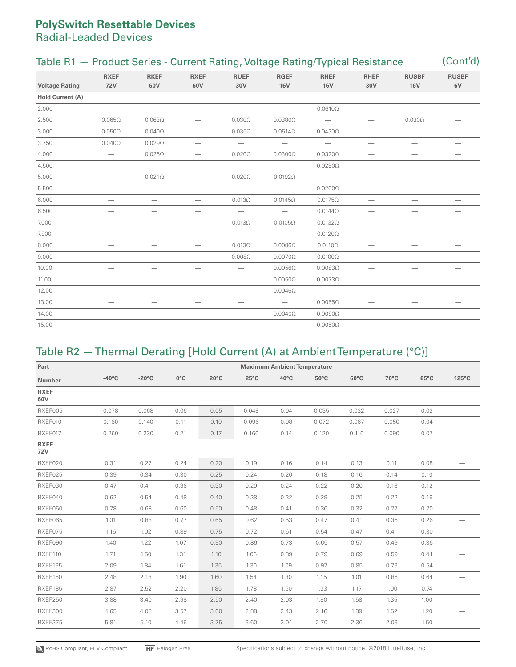## Table R1 — Product Series - Current Rating, Voltage Rating/Typical Resistance (Cont'd)

|                       | <b>RXEF</b>                     | <b>RKEF</b>              | <b>RXEF</b>                           | <b>RUEF</b>              | <b>RGEF</b>                     | <b>RHEF</b>                     | <b>RHEF</b>                     | <b>RUSBF</b>             | <b>RUSBF</b>                    |
|-----------------------|---------------------------------|--------------------------|---------------------------------------|--------------------------|---------------------------------|---------------------------------|---------------------------------|--------------------------|---------------------------------|
| <b>Voltage Rating</b> | <b>72V</b>                      | 60V                      | 60V                                   | 30V                      | <b>16V</b>                      | <b>16V</b>                      | 30V                             | <b>16V</b>               | 6V                              |
| Hold Current (A)      |                                 |                          |                                       |                          |                                 |                                 |                                 |                          |                                 |
| 2.000                 | $\overline{\phantom{0}}$        |                          |                                       | $\overline{\phantom{0}}$ |                                 | $0.0610\Omega$                  | -                               |                          |                                 |
| 2.500                 | $0.065\Omega$                   | $0.063\Omega$            |                                       | $0.030\Omega$            | $0.0380\Omega$                  | $\overline{\phantom{m}}$        | $\overline{\phantom{0}}$        | $0.030\Omega$            | $\hspace{0.1mm}-\hspace{0.1mm}$ |
| 3.000                 | $0.050\Omega$                   | $0.040\Omega$            | $\hspace{0.1mm}-\hspace{0.1mm}$       | $0.035\Omega$            | $0.0514\Omega$                  | $0.0430\Omega$                  |                                 |                          |                                 |
| 3.750                 | $0.040\Omega$                   | $0.029\Omega$            | $\hspace{1.0cm} \rule{1.5cm}{0.15cm}$ |                          |                                 | $\overline{\phantom{0}}$        |                                 |                          |                                 |
| 4.000                 | $\hspace{0.1mm}-\hspace{0.1mm}$ | $0.026\Omega$            | $\overline{\phantom{0}}$              | $0.020\Omega$            | $0.0300\Omega$                  | $0.0320\Omega$                  |                                 |                          |                                 |
| 4.500                 | $\hspace{0.1mm}-\hspace{0.1mm}$ | $\overline{\phantom{m}}$ | $\hspace{0.1mm}-\hspace{0.1mm}$       | $\qquad \qquad -$        |                                 | $0.0290\Omega$                  |                                 |                          |                                 |
| 5.000                 |                                 | $0.021\Omega$            |                                       | $0.020\Omega$            | $0.0192\Omega$                  |                                 |                                 |                          |                                 |
| 5.500                 |                                 | $\overline{\phantom{m}}$ | -                                     | $\qquad \qquad -$        |                                 | $0.0200\Omega$                  | -                               | $\overline{\phantom{0}}$ |                                 |
| 6.000                 |                                 |                          | $\hspace{0.1mm}-\hspace{0.1mm}$       | $0.013\Omega$            | $0.0145\Omega$                  | $0.0175\Omega$                  |                                 | $\overline{\phantom{0}}$ |                                 |
| 6.500                 | $\hspace{0.1mm}-\hspace{0.1mm}$ | $\overline{\phantom{m}}$ | $\hspace{0.1mm}-\hspace{0.1mm}$       | $\overline{\phantom{m}}$ | $\hspace{0.1mm}-\hspace{0.1mm}$ | $0.0144\Omega$                  | $\hspace{0.1mm}-\hspace{0.1mm}$ | $\overline{\phantom{0}}$ |                                 |
| 7.000                 |                                 |                          |                                       | $0.013\Omega$            | $0.0105\Omega$                  | $0.0132\Omega$                  | $\overline{\phantom{0}}$        | $\overline{\phantom{0}}$ |                                 |
| 7.500                 |                                 |                          | -                                     | $\qquad \qquad -$        | $\hspace{0.1mm}-\hspace{0.1mm}$ | $0.0120\Omega$                  |                                 |                          |                                 |
| 8.000                 | $\hspace{0.1mm}-\hspace{0.1mm}$ | $\overline{\phantom{m}}$ | $\overbrace{\qquad \qquad }^{}$       | $0.013\Omega$            | $0.0086\Omega$                  | $0.0110\Omega$                  | $\overbrace{\phantom{12333}}$   | $\overline{\phantom{0}}$ | $\overline{\phantom{m}}$        |
| 9.000                 |                                 | -                        |                                       | $0.008\Omega$            | $0.0070\Omega$                  | $0.0100\Omega$                  |                                 |                          |                                 |
| 10.00                 |                                 | -                        | -                                     |                          | $0.0056\Omega$                  | $0.0083\Omega$                  | -                               |                          |                                 |
| 11.00                 | -                               | -                        | -                                     |                          | $0.0050\Omega$                  | $0.0073\Omega$                  |                                 |                          |                                 |
| 12.00                 |                                 |                          | $\hspace{1.0cm} \rule{1.5cm}{0.15cm}$ |                          | $0.0046\Omega$                  | $\overbrace{\phantom{1232211}}$ |                                 |                          |                                 |
| 13.00                 |                                 |                          |                                       |                          | $\qquad \qquad -$               | $0.0055\Omega$                  |                                 |                          |                                 |
| 14.00                 | -                               |                          |                                       | -                        | $0.0040\Omega$                  | $0.0050\Omega$                  | $\overline{\phantom{0}}$        | -                        |                                 |
| 15.00                 |                                 |                          |                                       |                          |                                 | $0.0050\Omega$                  |                                 |                          |                                 |

## Table R2 — Thermal Derating [Hold Current (A) at Ambient Temperature (°C)]

| Part               |                 |                 |               |                |                | <b>Maximum Ambient Temperature</b> |       |       |       |      |       |
|--------------------|-----------------|-----------------|---------------|----------------|----------------|------------------------------------|-------|-------|-------|------|-------|
| <b>Number</b>      | $-40^{\circ}$ C | $-20^{\circ}$ C | $0^{\circ}$ C | $20^{\circ}$ C | $25^{\circ}$ C | $40^{\circ}$ C                     | 50°C  | 60°C  | 70°C  | 85°C | 125°C |
| <b>RXEF</b><br>60V |                 |                 |               |                |                |                                    |       |       |       |      |       |
| RXEF005            | 0.078           | 0.068           | 0.06          | 0.05           | 0.048          | 0.04                               | 0.035 | 0.032 | 0.027 | 0.02 |       |
| RXEF010            | 0.160           | 0.140           | 0.11          | 0.10           | 0.096          | 0.08                               | 0.072 | 0.067 | 0.050 | 0.04 |       |
| RXEF017            | 0.260           | 0.230           | 0.21          | 0.17           | 0.160          | 0.14                               | 0.120 | 0.110 | 0.090 | 0.07 |       |
| <b>RXEF</b><br>72V |                 |                 |               |                |                |                                    |       |       |       |      |       |
| RXEF020            | 0.31            | 0.27            | 0.24          | 0.20           | 0.19           | 0.16                               | 0.14  | 0.13  | 0.11  | 0.08 |       |
| RXEF025            | 0.39            | 0.34            | 0.30          | 0.25           | 0.24           | 0.20                               | 0.18  | 0.16  | 0.14  | 0.10 |       |
| RXEF030            | 0.47            | 0.41            | 0.36          | 0.30           | 0.29           | 0.24                               | 0.22  | 0.20  | 0.16  | 0.12 |       |
| RXEF040            | 0.62            | 0.54            | 0.48          | 0.40           | 0.38           | 0.32                               | 0.29  | 0.25  | 0.22  | 0.16 |       |
| RXEF050            | 0.78            | 0.68            | 0.60          | 0.50           | 0.48           | 0.41                               | 0.36  | 0.32  | 0.27  | 0.20 |       |
| RXEF065            | 1.01            | 0.88            | 0.77          | 0.65           | 0.62           | 0.53                               | 0.47  | 0.41  | 0.35  | 0.26 |       |
| RXEF075            | 1.16            | 1.02            | 0.89          | 0.75           | 0.72           | 0.61                               | 0.54  | 0.47  | 0.41  | 0.30 |       |
| RXEF090            | 1.40            | 1.22            | 1.07          | 0.90           | 0.86           | 0.73                               | 0.65  | 0.57  | 0.49  | 0.36 |       |
| RXEF110            | 1.71            | 1.50            | 1.31          | 1.10           | 1.06           | 0.89                               | 0.79  | 0.69  | 0.59  | 0.44 |       |
| RXEF135            | 2.09            | 1.84            | 1.61          | 1.35           | 1.30           | 1.09                               | 0.97  | 0.85  | 0.73  | 0.54 |       |
| RXEF160            | 2.48            | 2.18            | 1.90          | 1.60           | 1.54           | 1.30                               | 1.15  | 1.01  | 0.86  | 0.64 |       |
| RXEF185            | 2.87            | 2.52            | 2.20          | 1.85           | 1.78           | 1.50                               | 1.33  | 1.17  | 1.00  | 0.74 |       |
| RXEF250            | 3.88            | 3.40            | 2.98          | 2.50           | 2.40           | 2.03                               | 1.80  | 1.58  | 1.35  | 1.00 |       |
| RXEF300            | 4.65            | 4.08            | 3.57          | 3.00           | 2.88           | 2.43                               | 2.16  | 1.89  | 1.62  | 1.20 |       |
| RXEF375            | 5.81            | 5.10            | 4.46          | 3.75           | 3.60           | 3.04                               | 2.70  | 2.36  | 2.03  | 1.50 |       |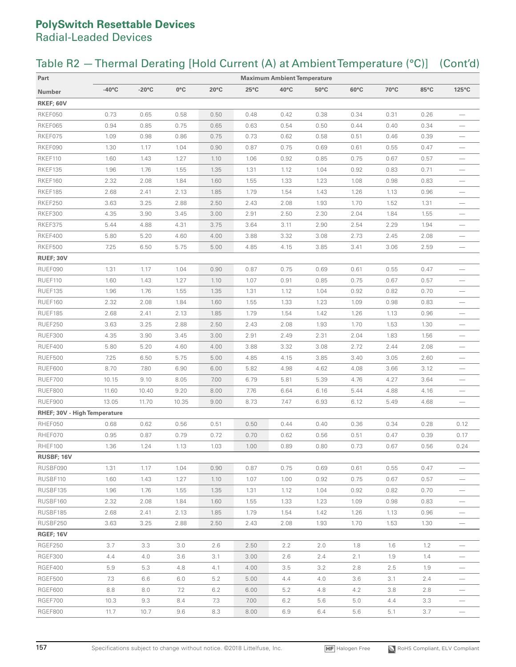## Table R2 — Thermal Derating [Hold Current (A) at Ambient Temperature (°C)] (Cont'd)

| Part                         |                 |                 |            |                |                | <b>Maximum Ambient Temperature</b> |                |                |            |            |                          |
|------------------------------|-----------------|-----------------|------------|----------------|----------------|------------------------------------|----------------|----------------|------------|------------|--------------------------|
| Number                       | $-40^{\circ}$ C | $-20^{\circ}$ C | 0°C        | $20^{\circ}$ C | $25^{\circ}$ C | 40°C                               | $50^{\circ}$ C | $60^{\circ}$ C | 70°C       | 85°C       | 125°C                    |
| RKEF; 60V                    |                 |                 |            |                |                |                                    |                |                |            |            |                          |
| RKEF050                      | 0.73            | 0.65            | 0.58       | 0.50           | 0.48           | 0.42                               | 0.38           | 0.34           | 0.31       | 0.26       |                          |
| RKEF065                      | 0.94            | 0.85            | 0.75       | 0.65           | 0.63           | 0.54                               | 0.50           | 0.44           | 0.40       | 0.34       |                          |
| RKEF075                      | 1.09            | 0.98            | 0.86       | 0.75           | 0.73           | 0.62                               | 0.58           | 0.51           | 0.46       | 0.39       |                          |
| RKEF090                      | 1.30            | 1.17            | 1.04       | 0.90           | 0.87           | 0.75                               | 0.69           | 0.61           | 0.55       | 0.47       |                          |
| RKEF110                      | 1.60            | 1.43            | 1.27       | 1.10           | 1.06           | 0.92                               | 0.85           | 0.75           | 0.67       | 0.57       |                          |
| RKEF135                      | 1.96            | 1.76            | 1.55       | 1.35           | 1.31           | 1.12                               | 1.04           | 0.92           | 0.83       | 0.71       |                          |
| RKEF160                      | 2.32            | 2.08            | 1.84       | 1.60           | 1.55           | 1.33                               | 1.23           | 1.08           | 0.98       | 0.83       |                          |
| RKEF185                      | 2.68            | 2.41            | 2.13       | 1.85           | 1.79           | 1.54                               | 1.43           | 1.26           | 1.13       | 0.96       |                          |
| RKEF250                      | 3.63            | 3.25            | 2.88       | 2.50           | 2.43           | 2.08                               | 1.93           | 1.70           | 1.52       | 1.31       | -                        |
| RKEF300                      | 4.35            | 3.90            | 3.45       | 3.00           | 2.91           | 2.50                               | 2.30           | 2.04           | 1.84       | 1.55       |                          |
| RKEF375                      | 5.44            | 4.88            | 4.31       | 3.75           | 3.64           | 3.11                               | 2.90           | 2.54           | 2.29       | 1.94       |                          |
| RKEF400                      | 5.80            | 5.20            | 4.60       | 4.00           | 3.88           | 3.32                               | 3.08           | 2.73           | 2.45       | 2.08       |                          |
| RKEF500                      | 7.25            | 6.50            | 5.75       | 5.00           | 4.85           | 4.15                               | 3.85           | 3.41           | 3.06       | 2.59       |                          |
| RUEF; 30V                    |                 |                 |            |                |                |                                    |                |                |            |            |                          |
| RUEF090                      | 1.31            | 1.17            | 1.04       | 0.90           | 0.87           | 0.75                               | 0.69           | 0.61           | 0.55       | 0.47       |                          |
| RUEF110                      | 1.60            | 1.43            | 1.27       | 1.10           | 1.07           | 0.91                               | 0.85           | 0.75           | 0.67       | 0.57       |                          |
| RUEF135                      | 1.96            | 1.76            | 1.55       | 1.35           | 1.31           | 1.12                               | 1.04           | 0.92           | 0.82       | 0.70       |                          |
| RUEF160                      | 2.32            | 2.08            | 1.84       | 1.60           | 1.55           | 1.33                               | 1.23           | 1.09           | 0.98       | 0.83       |                          |
| RUEF185                      | 2.68            | 2.41            | 2.13       | 1.85           | 1.79           | 1.54                               | 1.42           | 1.26           | 1.13       | 0.96       |                          |
| RUEF250                      | 3.63            | 3.25            | 2.88       | 2.50           | 2.43           | 2.08                               | 1.93           | 1.70           | 1.53       | 1.30       |                          |
| RUEF300                      | 4.35            | 3.90            | 3.45       | 3.00           | 2.91           | 2.49                               | 2.31           | 2.04           | 1.83       | 1.56       |                          |
| RUEF400                      | 5.80            | 5.20            | 4.60       | 4.00           | 3.88           | 3.32                               | 3.08           | 2.72           | 2.44       | 2.08       |                          |
| RUEF500                      | 7.25            | 6.50            | 5.75       | 5.00           | 4.85           | 4.15                               | 3.85           | 3.40           | 3.05       | 2.60       |                          |
| RUEF600                      | 8.70            | 7.80            | 6.90       | 6.00           | 5.82           | 4.98                               | 4.62           | 4.08           | 3.66       | 3.12       |                          |
| RUEF700                      | 10.15           | 9.10            | 8.05       | 7.00           | 6.79           | 5.81                               | 5.39           | 4.76           | 4.27       | 3.64       |                          |
| RUEF800                      | 11.60           | 10.40           | 9.20       | 8.00           | 7.76           | 6.64                               | 6.16           | 5.44           | 4.88       | 4.16       |                          |
| RUEF900                      | 13.05           | 11.70           | 10.35      | 9.00           | 8.73           | 7.47                               | 6.93           | 6.12           | 5.49       | 4.68       |                          |
| RHEF; 30V - High Temperature |                 |                 |            |                |                |                                    |                |                |            |            |                          |
| RHEF050                      | 0.68            | 0.62            | 0.56       | 0.51           | 0.50           | 0.44                               | 0.40           | 0.36           | 0.34       | 0.28       | 0.12                     |
| RHEF070                      | 0.95            | 0.87            | 0.79       | 0.72           | 0.70           | 0.62                               | 0.56           | 0.51           | 0.47       | 0.39       | 0.17                     |
| RHEF100                      | 1.36            | 1.24            | 1.13       | 1.03           | 1.00           | 0.89                               | 0.80           | 0.73           | 0.67       | 0.56       | 0.24                     |
| RUSBF; 16V                   |                 |                 |            |                |                |                                    |                |                |            |            |                          |
| RUSBF090                     | 1.31            | 1.17            | 1.04       | 0.90           | 0.87           | 0.75                               | 0.69           | 0.61           | 0.55       | 0.47       |                          |
| RUSBF110                     | 1.60            | 1.43            | 1.27       | 1.10           | 1.07           | 1.00                               | 0.92           | 0.75           | 0.67       | 0.57       |                          |
| RUSBF135                     | 1.96            | 1.76            | 1.55       | 1.35           | 1.31           | 1.12                               | 1.04           | 0.92           | 0.82       | 0.70       |                          |
| RUSBF160                     | 2.32            | 2.08            | 1.84       | 1.60           | 1.55           | 1.33                               | 1.23           | 1.09           | 0.98       | 0.83       |                          |
| RUSBF185                     | 2.68            | 2.41            | 2.13       | 1.85           | 1.79           | 1.54                               | 1.42           | 1.26           | 1.13       | 0.96       | $\overline{\phantom{0}}$ |
| RUSBF250                     | 3.63            | 3.25            | 2.88       | 2.50           | 2.43           | 2.08                               | 1.93           | 1.70           | 1.53       | 1.30       |                          |
| <b>RGEF; 16V</b>             |                 |                 |            |                |                |                                    |                |                |            |            |                          |
| RGEF250                      | 3.7             | 3.3             | 3.0        | 2.6            | 2.50           | 2.2                                | 2.0            | 1.8            | 1.6        | 1.2        |                          |
| RGEF300                      | 4.4             | 4.0             | 3.6        | 3.1            | 3.00           | 2.6                                | 2.4            | 2.1            | 1.9        | 1.4        |                          |
| RGEF400                      | 5.9             | 5.3             | 4.8        | 4.1            | 4.00           | 3.5                                | 3.2            | 2.8            | 2.5        | 1.9        |                          |
| RGEF500<br>RGEF600           | 7.3             | 6.6             | 6.0        | 5.2            | 5.00           | 4.4                                | 4.0            | 3.6            | 3.1        | 2.4        |                          |
|                              | 8.8             | 8.0             | 7.2        | 6.2            | 6.00           | 5.2                                | 4.8            | 4.2            | 3.8        | 2.8        |                          |
| RGEF700<br>RGEF800           | 10.3<br>11.7    | 9.3<br>10.7     | 8.4<br>9.6 | 7.3            | 7.00<br>8.00   | 6.2<br>6.9                         | 5.6<br>6.4     | 5.0<br>5.6     | 4.4<br>5.1 | 3.3<br>3.7 |                          |
|                              |                 |                 |            | 8.3            |                |                                    |                |                |            |            |                          |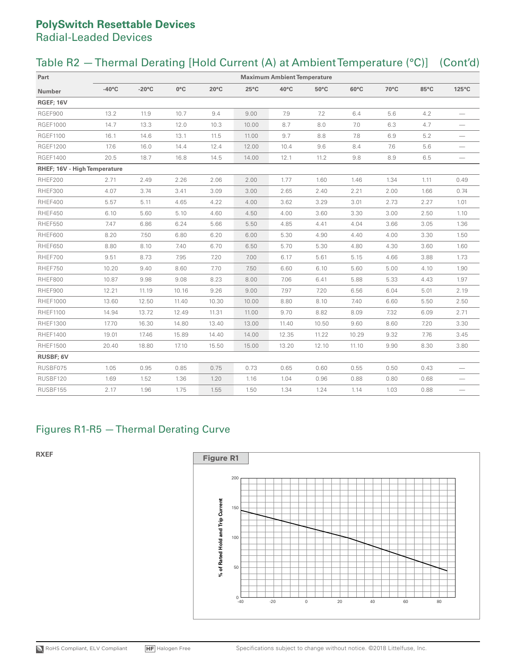## Table R2 — Thermal Derating [Hold Current (A) at Ambient Temperature (°C)] (Cont'd)

| Part                         |                 |                 |               |                |                | <b>Maximum Ambient Temperature</b> |                |       |      |      |                          |
|------------------------------|-----------------|-----------------|---------------|----------------|----------------|------------------------------------|----------------|-------|------|------|--------------------------|
| Number                       | $-40^{\circ}$ C | $-20^{\circ}$ C | $0^{\circ}$ C | $20^{\circ}$ C | $25^{\circ}$ C | 40°C                               | $50^{\circ}$ C | 60°C  | 70°C | 85°C | 125°C                    |
| <b>RGEF; 16V</b>             |                 |                 |               |                |                |                                    |                |       |      |      |                          |
| RGEF900                      | 13.2            | 11.9            | 10.7          | 9.4            | 9.00           | 7.9                                | 7.2            | 6.4   | 5.6  | 4.2  |                          |
| <b>RGEF1000</b>              | 14.7            | 13.3            | 12.0          | 10.3           | 10.00          | 8.7                                | 8.0            | 7.0   | 6.3  | 4.7  |                          |
| <b>RGEF1100</b>              | 16.1            | 14.6            | 13.1          | 11.5           | 11.00          | 9.7                                | 8.8            | 7.8   | 6.9  | 5.2  |                          |
| <b>RGEF1200</b>              | 17.6            | 16.0            | 14.4          | 12.4           | 12.00          | 10.4                               | 9.6            | 8.4   | 7.6  | 5.6  |                          |
| <b>RGEF1400</b>              | 20.5            | 18.7            | 16.8          | 14.5           | 14.00          | 12.1                               | 11.2           | 9.8   | 8.9  | 6.5  | $\overline{\phantom{0}}$ |
| RHEF; 16V - High Temperature |                 |                 |               |                |                |                                    |                |       |      |      |                          |
| RHEF200                      | 2.71            | 2.49            | 2.26          | 2.06           | 2.00           | 1.77                               | 1.60           | 1.46  | 1.34 | 1.11 | 0.49                     |
| RHEF300                      | 4.07            | 3.74            | 3.41          | 3.09           | 3.00           | 2.65                               | 2.40           | 2.21  | 2.00 | 1.66 | 0.74                     |
| RHEF400                      | 5.57            | 5.11            | 4.65          | 4.22           | 4.00           | 3.62                               | 3.29           | 3.01  | 2.73 | 2.27 | 1.01                     |
| RHEF450                      | 6.10            | 5.60            | 5.10          | 4.60           | 4.50           | 4.00                               | 3.60           | 3.30  | 3.00 | 2.50 | 1.10                     |
| RHEF550                      | 7.47            | 6.86            | 6.24          | 5.66           | 5.50           | 4.85                               | 4.41           | 4.04  | 3.66 | 3.05 | 1.36                     |
| RHEF600                      | 8.20            | 7.50            | 6.80          | 6.20           | 6.00           | 5.30                               | 4.90           | 4.40  | 4.00 | 3.30 | 1.50                     |
| RHEF650                      | 8.80            | 8.10            | 7.40          | 6.70           | 6.50           | 5.70                               | 5.30           | 4.80  | 4.30 | 3.60 | 1.60                     |
| RHEF700                      | 9.51            | 8.73            | 7.95          | 7.20           | 7.00           | 6.17                               | 5.61           | 5.15  | 4.66 | 3.88 | 1.73                     |
| RHEF750                      | 10.20           | 9.40            | 8.60          | 7.70           | 7.50           | 6.60                               | 6.10           | 5.60  | 5.00 | 4.10 | 1.90                     |
| RHEF800                      | 10.87           | 9.98            | 9.08          | 8.23           | 8.00           | 7.06                               | 6.41           | 5.88  | 5.33 | 4.43 | 1.97                     |
| RHEF900                      | 12.21           | 11.19           | 10.16         | 9.26           | 9.00           | 7.97                               | 7.20           | 6.56  | 6.04 | 5.01 | 2.19                     |
| <b>RHEF1000</b>              | 13.60           | 12.50           | 11.40         | 10.30          | 10.00          | 8.80                               | 8.10           | 7.40  | 6.60 | 5.50 | 2.50                     |
| <b>RHEF1100</b>              | 14.94           | 13.72           | 12.49         | 11.31          | 11.00          | 9.70                               | 8.82           | 8.09  | 7.32 | 6.09 | 2.71                     |
| <b>RHEF1300</b>              | 17.70           | 16.30           | 14.80         | 13.40          | 13.00          | 11.40                              | 10.50          | 9.60  | 8.60 | 7.20 | 3.30                     |
| <b>RHEF1400</b>              | 19.01           | 17.46           | 15.89         | 14.40          | 14.00          | 12.35                              | 11.22          | 10.29 | 9.32 | 7.76 | 3.45                     |
| <b>RHEF1500</b>              | 20.40           | 18.80           | 17.10         | 15.50          | 15.00          | 13.20                              | 12.10          | 11.10 | 9.90 | 8.30 | 3.80                     |
| <b>RUSBF; 6V</b>             |                 |                 |               |                |                |                                    |                |       |      |      |                          |
| RUSBF075                     | 1.05            | 0.95            | 0.85          | 0.75           | 0.73           | 0.65                               | 0.60           | 0.55  | 0.50 | 0.43 |                          |
| RUSBF120                     | 1.69            | 1.52            | 1.36          | 1.20           | 1.16           | 1.04                               | 0.96           | 0.88  | 0.80 | 0.68 |                          |
| RUSBF155                     | 2.17            | 1.96            | 1.75          | 1.55           | 1.50           | 1.34                               | 1.24           | 1.14  | 1.03 | 0.88 |                          |

### Figures R1-R5 — Thermal Derating Curve

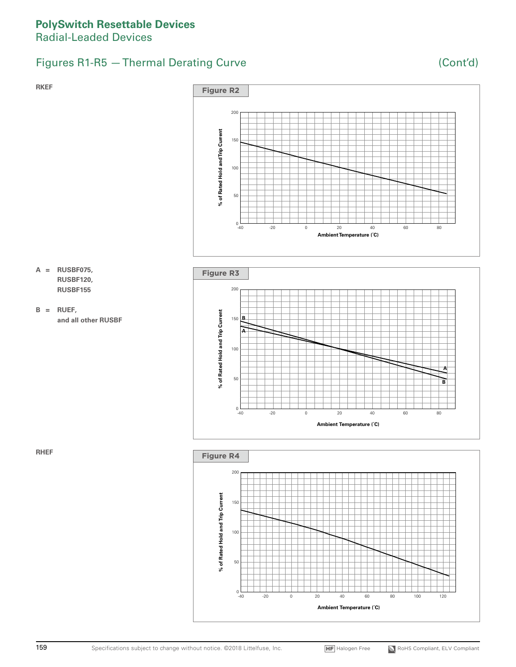## Figures R1-R5 – Thermal Derating Curve (Cont'd)

### **RKEF**



- **A = RUSBF075, RUSBF120, RUSBF155**
- **B = RUEF, and all other RUSBF**





### **RHEF**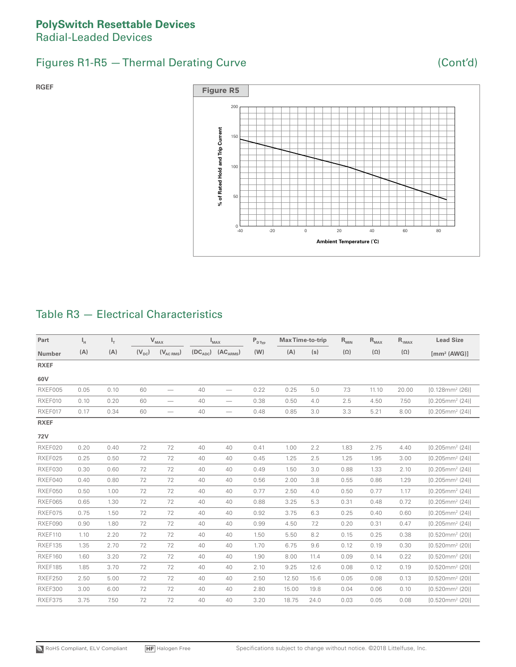## Figures R1-R5 – Thermal Derating Curve (Cont'd)



## Table R3 — Electrical Characteristics

| Part        | $I_{H}$ | $I_T$ |            | $\mathsf{V}_{\textsc{max}}$ |    | $I_{MAX}$                       | $\mathsf{P}_{\texttt{D}\texttt{Typ}}$ | <b>Max Time-to-trip</b> |      | $R_{MIN}$  | $R_{MAX}$  | $R_{1MAX}$ | <b>Lead Size</b>               |
|-------------|---------|-------|------------|-----------------------------|----|---------------------------------|---------------------------------------|-------------------------|------|------------|------------|------------|--------------------------------|
| Number      | (A)     | (A)   | $(V_{DC})$ | $(V_{AC RMS})$              |    | $(DCADC) (ACARNS)$              | (W)                                   | (A)                     | (s)  | $(\Omega)$ | $(\Omega)$ | $(\Omega)$ | $[mm^2 (AWG)]$                 |
| <b>RXEF</b> |         |       |            |                             |    |                                 |                                       |                         |      |            |            |            |                                |
| 60V         |         |       |            |                             |    |                                 |                                       |                         |      |            |            |            |                                |
| RXEF005     | 0.05    | 0.10  | 60         |                             | 40 | $\overline{\phantom{m}}$        | 0.22                                  | 0.25                    | 5.0  | 7.3        | 11.10      | 20.00      | $[0.128mm^2(26)]$              |
| RXEF010     | 0.10    | 0.20  | 60         |                             | 40 | $\hspace{0.1mm}-\hspace{0.1mm}$ | 0.38                                  | 0.50                    | 4.0  | 2.5        | 4.50       | 7.50       | $[0.205mm^2 (24)]$             |
| RXEF017     | 0.17    | 0.34  | 60         |                             | 40 | $\overline{\phantom{m}}$        | 0.48                                  | 0.85                    | 3.0  | 3.3        | 5.21       | 8.00       | $[0.205$ mm <sup>2</sup> (24)] |
| <b>RXEF</b> |         |       |            |                             |    |                                 |                                       |                         |      |            |            |            |                                |
| 72V         |         |       |            |                             |    |                                 |                                       |                         |      |            |            |            |                                |
| RXEF020     | 0.20    | 0.40  | 72         | 72                          | 40 | 40                              | 0.41                                  | 1.00                    | 2.2  | 1.83       | 2.75       | 4.40       | $[0.205mm^2(24)]$              |
| RXEF025     | 0.25    | 0.50  | 72         | 72                          | 40 | 40                              | 0.45                                  | 1.25                    | 2.5  | 1.25       | 1.95       | 3.00       | $[0.205$ mm <sup>2</sup> (24)] |
| RXEF030     | 0.30    | 0.60  | 72         | 72                          | 40 | 40                              | 0.49                                  | 1.50                    | 3.0  | 0.88       | 1.33       | 2.10       | $[0.205mm^2(24)]$              |
| RXEF040     | 0.40    | 0.80  | 72         | 72                          | 40 | 40                              | 0.56                                  | 2.00                    | 3.8  | 0.55       | 0.86       | 1.29       | $[0.205$ mm <sup>2</sup> (24)] |
| RXEF050     | 0.50    | 1.00  | 72         | 72                          | 40 | 40                              | 0.77                                  | 2.50                    | 4.0  | 0.50       | 0.77       | 1.17       | $[0.205$ mm <sup>2</sup> (24)] |
| RXEF065     | 0.65    | 1.30  | 72         | 72                          | 40 | 40                              | 0.88                                  | 3.25                    | 5.3  | 0.31       | 0.48       | 0.72       | $[0.205$ mm <sup>2</sup> (24)] |
| RXEF075     | 0.75    | 1.50  | 72         | 72                          | 40 | 40                              | 0.92                                  | 3.75                    | 6.3  | 0.25       | 0.40       | 0.60       | $[0.205$ mm <sup>2</sup> (24)] |
| RXEF090     | 0.90    | 1.80  | 72         | 72                          | 40 | 40                              | 0.99                                  | 4.50                    | 7.2  | 0.20       | 0.31       | 0.47       | $[0.205$ mm <sup>2</sup> (24)] |
| RXEF110     | 1.10    | 2.20  | 72         | 72                          | 40 | 40                              | 1.50                                  | 5.50                    | 8.2  | 0.15       | 0.25       | 0.38       | $[0.520mm^2(20)]$              |
| RXEF135     | 1.35    | 2.70  | 72         | 72                          | 40 | 40                              | 1.70                                  | 6.75                    | 9.6  | 0.12       | 0.19       | 0.30       | $[0.520mm^2(20)]$              |
| RXEF160     | 1.60    | 3.20  | 72         | 72                          | 40 | 40                              | 1.90                                  | 8.00                    | 11.4 | 0.09       | 0.14       | 0.22       | $[0.520mm^2(20)]$              |
| RXEF185     | 1.85    | 3.70  | 72         | 72                          | 40 | 40                              | 2.10                                  | 9.25                    | 12.6 | 0.08       | 0.12       | 0.19       | $[0.520mm^2(20)]$              |
| RXEF250     | 2.50    | 5.00  | 72         | 72                          | 40 | 40                              | 2.50                                  | 12.50                   | 15.6 | 0.05       | 0.08       | 0.13       | $[0.520mm^2(20)]$              |
| RXEF300     | 3.00    | 6.00  | 72         | 72                          | 40 | 40                              | 2.80                                  | 15.00                   | 19.8 | 0.04       | 0.06       | 0.10       | $[0.520mm^2(20)]$              |
| RXEF375     | 3.75    | 7.50  | 72         | 72                          | 40 | 40                              | 3.20                                  | 18.75                   | 24.0 | 0.03       | 0.05       | 0.08       | $[0.520mm^2(20)]$              |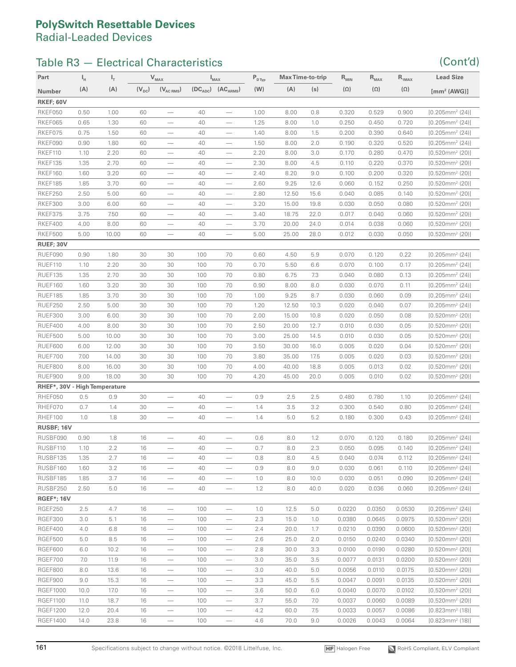## Table R3 — Electrical Characteristics (Cont'd)

| Part                          | $I_{H}$ | ı <sup>1</sup> |            | $\mathsf{V}_{\textsc{max}}$   |     | $\mathbb{I}_{\text{MAX}}$       | $\mathsf{P}_{\texttt{D}\texttt{Typ}}$ | <b>Max Time-to-trip</b> |      | $\mathsf{R}_{\textsf{MIN}}$ | $R_{MAX}$  | $R_{1MAX}$ | <b>Lead Size</b>               |
|-------------------------------|---------|----------------|------------|-------------------------------|-----|---------------------------------|---------------------------------------|-------------------------|------|-----------------------------|------------|------------|--------------------------------|
| Number                        | (A)     | (A)            | $(V_{DC})$ | $(V_{AC RMS})$                |     | $(DCADC) (ACARMS)$              | (W)                                   | (A)                     | (s)  | $(\Omega)$                  | $(\Omega)$ | $(\Omega)$ | $[mm^2 (AWG)]$                 |
| RKEF; 60V                     |         |                |            |                               |     |                                 |                                       |                         |      |                             |            |            |                                |
| RKEF050                       | 0.50    | 1.00           | 60         | $\overline{\phantom{0}}$      | 40  |                                 | 1.00                                  | 8.00                    | 0.8  | 0.320                       | 0.529      | 0.900      | $[0.205$ mm <sup>2</sup> (24)] |
| RKEF065                       | 0.65    | 1.30           | 60         | $\overline{\phantom{0}}$      | 40  | $\overline{\phantom{0}}$        | 1.25                                  | 8.00                    | 1.0  | 0.250                       | 0.450      | 0.720      | $[0.205$ mm <sup>2</sup> (24)] |
| RKEF075                       | 0.75    | 1.50           | 60         | $\overline{\phantom{0}}$      | 40  |                                 | 1.40                                  | 8.00                    | 1.5  | 0.200                       | 0.390      | 0.640      | $[0.205mm^2 (24)]$             |
| RKEF090                       | 0.90    | 1.80           | 60         |                               | 40  |                                 | 1.50                                  | 8.00                    | 2.0  | 0.190                       | 0.320      | 0.520      | $[0.205mm^2 (24)]$             |
| RKEF110                       | 1.10    | 2.20           | 60         | $\overbrace{\phantom{12333}}$ | 40  |                                 | 2.20                                  | 8.00                    | 3.0  | 0.170                       | 0.280      | 0.470      | $[0.520mm^2(20)]$              |
| RKEF135                       | 1.35    | 2.70           | 60         | $\overbrace{\phantom{12333}}$ | 40  | $\overbrace{\phantom{12333}}$   | 2.30                                  | 8.00                    | 4.5  | 0.110                       | 0.220      | 0.370      | $[0.520mm^2(20)]$              |
| RKEF160                       | 1.60    | 3.20           | 60         | $\overline{\phantom{m}}$      | 40  | $\overline{\phantom{0}}$        | 2.40                                  | 8.20                    | 9.0  | 0.100                       | 0.200      | 0.320      | $[0.520mm^2 (20)]$             |
| RKEF185                       | 1.85    | 3.70           | 60         | $\overline{\phantom{m}}$      | 40  | $\overbrace{\qquad \qquad }^{}$ | 2.60                                  | 9.25                    | 12.6 | 0.060                       | 0.152      | 0.250      | $[0.520mm^2(20)]$              |
| RKEF250                       | 2.50    | 5.00           | 60         | $\overline{\phantom{0}}$      | 40  | $\overbrace{\phantom{12333}}$   | 2.80                                  | 12.50                   | 15.6 | 0.040                       | 0.085      | 0.140      | $[0.520mm^2(20)]$              |
| RKEF300                       | 3.00    | 6.00           | 60         | $\qquad \qquad -$             | 40  | $\overbrace{\phantom{123321}}$  | 3.20                                  | 15.00                   | 19.8 | 0.030                       | 0.050      | 0.080      | $[0.520mm^2(20)]$              |
| RKEF375                       | 3.75    | 7.50           | 60         | $\overline{\phantom{m}}$      | 40  | $\overbrace{\phantom{12333}}$   | 3.40                                  | 18.75                   | 22.0 | 0.017                       | 0.040      | 0.060      | $[0.520mm^2(20)]$              |
| RKEF400                       | 4.00    | 8.00           | 60         | $\qquad \qquad$               | 40  | $\overbrace{\phantom{123321}}$  | 3.70                                  | 20.00                   | 24.0 | 0.014                       | 0.038      | 0.060      | $[0.520mm^2 (20)]$             |
| RKEF500                       | 5.00    | 10.00          | 60         | $\overline{\phantom{m}}$      | 40  | $\overline{\phantom{m}}$        | 5.00                                  | 25.00                   | 28.0 | 0.012                       | 0.030      | 0.050      | $[0.520mm^2(20)]$              |
| <b>RUEF; 30V</b>              |         |                |            |                               |     |                                 |                                       |                         |      |                             |            |            |                                |
| RUEF090                       | 0.90    | 1.80           | 30         | 30                            | 100 | 70                              | 0.60                                  | 4.50                    | 5.9  | 0.070                       | 0.120      | 0.22       | $[0.205$ mm <sup>2</sup> (24)] |
| RUEF110                       | 1.10    | 2.20           | 30         | 30                            | 100 | 70                              | 0.70                                  | 5.50                    | 6.6  | 0.070                       | 0.100      | 0.17       | $[0.205mm^2 (24)]$             |
| RUEF135                       | 1.35    | 2.70           | 30         | 30                            | 100 | 70                              | 0.80                                  | 6.75                    | 7.3  | 0.040                       | 0.080      | 0.13       | $[0.205$ mm <sup>2</sup> (24)] |
| RUEF160                       | 1.60    | 3.20           | 30         | 30                            | 100 | 70                              | 0.90                                  | 8.00                    | 8.0  | 0.030                       | 0.070      | 0.11       | $[0.205$ mm <sup>2</sup> (24)] |
| RUEF185                       | 1.85    | 3.70           | 30         | 30                            | 100 | 70                              | 1.00                                  | 9.25                    | 8.7  | 0.030                       | 0.060      | 0.09       | $[0.205$ mm <sup>2</sup> (24)] |
| RUEF250                       | 2.50    | 5.00           | 30         | 30                            | 100 | 70                              | 1.20                                  | 12.50                   | 10.3 | 0.020                       | 0.040      | 0.07       | $[0.205$ mm <sup>2</sup> (24)] |
| RUEF300                       | 3.00    | 6.00           | 30         | 30                            | 100 | 70                              | 2.00                                  | 15.00                   | 10.8 | 0.020                       | 0.050      | 0.08       | $[0.520mm^2(20)]$              |
| RUEF400                       |         | 8.00           | 30         | 30                            | 100 |                                 | 2.50                                  |                         |      | 0.010                       | 0.030      | 0.05       |                                |
|                               | 4.00    |                |            |                               |     | 70                              |                                       | 20.00                   | 12.7 |                             |            |            | $[0.520mm^2(20)]$              |
| RUEF500                       | 5.00    | 10.00          | 30         | 30                            | 100 | 70                              | 3.00                                  | 25.00                   | 14.5 | 0.010                       | 0.030      | 0.05       | $[0.520mm^2(20)]$              |
| RUEF600                       | 6.00    | 12.00          | 30         | 30                            | 100 | 70                              | 3.50                                  | 30.00                   | 16.0 | 0.005                       | 0.020      | 0.04       | $[0.520mm^2(20)]$              |
| RUEF700                       | 7.00    | 14.00          | 30         | 30                            | 100 | 70                              | 3.80                                  | 35.00                   | 17.5 | 0.005                       | 0.020      | 0.03       | $[0.520mm^2(20)]$              |
| RUEF800                       | 8.00    | 16.00          | 30         | 30                            | 100 | 70                              | 4.00                                  | 40.00                   | 18.8 | 0.005                       | 0.013      | 0.02       | $[0.520mm^2(20)]$              |
| RUEF900                       | 9.00    | 18.00          | 30         | 30                            | 100 | 70                              | 4.20                                  | 45.00                   | 20.0 | 0.005                       | 0.010      | 0.02       | $[0.520mm^2 (20)]$             |
| RHEF*, 30V - High Temperature |         |                |            |                               |     |                                 |                                       |                         |      |                             |            |            |                                |
| RHEF050                       | 0.5     | 0.9            | 30         | $\overline{\phantom{m}}$      | 40  |                                 | 0.9                                   | 2.5                     | 2.5  | 0.480                       | 0.780      | 1.10       | $[0.205$ mm <sup>2</sup> (24)] |
| RHEF070                       | 0.7     | 1.4            | 30         | $\qquad \qquad -$             | 40  | $\overline{\phantom{m}}$        | 1.4                                   | 3.5                     | 3.2  | 0.300                       | 0.540      | 0.80       | $[0.205$ mm <sup>2</sup> (24)] |
| RHEF100                       | 1.0     | 1.8            | 30         | $\overline{\phantom{m}}$      | 40  | $\overline{\phantom{m}}$        | 1.4                                   | 5.0                     | 5.2  | 0.180                       | 0.300      | 0.43       | $[0.205mm^2 (24)]$             |
| RUSBF; 16V                    |         |                |            |                               |     |                                 |                                       |                         |      |                             |            |            |                                |
| RUSBF090                      | 0.90    | 1.8            | 16         |                               | 40  |                                 | 0.6                                   | 8.0                     | 1.2  | 0.070                       | 0.120      | 0.180      | $[0.205$ mm <sup>2</sup> (24)] |
| RUSBF110                      | 1.10    | 2.2            | 16         |                               | 40  |                                 | 0.7                                   | 8.0                     | 2.3  | 0.050                       | 0.095      | 0.140      | $[0.205mm^2(24)]$              |
| RUSBF135                      | 1.35    | 2.7            | 16         | $\overline{\phantom{m}}$      | 40  | $\overline{\phantom{m}}$        | 0.8                                   | 8.0                     | 4.5  | 0.040                       | 0.074      | 0.112      | $[0.205$ mm <sup>2</sup> (24)] |
| RUSBF160                      | 1.60    | 3.2            | 16         | $\overline{\phantom{m}}$      | 40  | $\qquad \qquad -$               | 0.9                                   | 8.0                     | 9.0  | 0.030                       | 0.061      | 0.110      | $[0.205$ mm <sup>2</sup> (24)] |
| RUSBF185                      | 1.85    | 3.7            | 16         | $\overline{\phantom{m}}$      | 40  | $\overline{\phantom{m}}$        | 1.0                                   | 8.0                     | 10.0 | 0.030                       | 0.051      | 0.090      | $[0.205$ mm <sup>2</sup> (24)] |
| RUSBF250                      | 2.50    | 5.0            | 16         | $\overline{\phantom{m}}$      | 40  | $\overline{\phantom{m}}$        | 1.2                                   | 8.0                     | 40.0 | 0.020                       | 0.036      | 0.060      | $[0.205$ mm <sup>2</sup> (24)] |
| <b>RGEF*; 16V</b>             |         |                |            |                               |     |                                 |                                       |                         |      |                             |            |            |                                |
| RGEF250                       | 2.5     | 4.7            | 16         | $\overline{\phantom{m}}$      | 100 | $\overline{\phantom{m}}$        | 1.0                                   | 12.5                    | 5.0  | 0.0220                      | 0.0350     | 0.0530     | $[0.205$ mm <sup>2</sup> (24)] |
| RGEF300                       | 3.0     | 5.1            | 16         | $\overline{\phantom{m}}$      | 100 | $\overline{\phantom{m}}$        | 2.3                                   | 15.0                    | 1.0  | 0.0380                      | 0.0645     | 0.0975     | $[0.520mm^2(20)]$              |
| RGEF400                       | 4.0     | 6.8            | 16         | $\overline{\phantom{m}}$      | 100 | $\overline{\phantom{m}}$        | 2.4                                   | 20.0                    | 1.7  | 0.0210                      | 0.0390     | 0.0600     | $[0.520mm^2(20)]$              |
| RGEF500                       | 5.0     | 8.5            | 16         | $\overline{\phantom{m}}$      | 100 | $\overline{\phantom{m}}$        | 2.6                                   | 25.0                    | 2.0  | 0.0150                      | 0.0240     | 0.0340     | $[0.520mm^2(20)]$              |
| RGEF600                       | 6.0     | 10.2           | 16         | $\overline{\phantom{m}}$      | 100 | $\overline{\phantom{m}}$        | 2.8                                   | 30.0                    | 3.3  | 0.0100                      | 0.0190     | 0.0280     | $[0.520mm^2(20)]$              |
| RGEF700                       | 7.0     | 11.9           | 16         | $\overline{\phantom{m}}$      | 100 | $\overline{\phantom{m}}$        | 3.0                                   | 35.0                    | 3.5  | 0.0077                      | 0.0131     | 0.0200     | $[0.520mm^2(20)]$              |
| RGEF800                       | 8.0     | 13.6           | 16         | $\overline{\phantom{m}}$      | 100 | $\overline{\phantom{m}}$        | 3.0                                   | 40.0                    | 5.0  | 0.0056                      | 0.0110     | 0.0175     | $[0.520mm^2(20)]$              |
| RGEF900                       | 9.0     | 15.3           | 16         | $\overline{\phantom{m}}$      | 100 | $\overline{\phantom{m}}$        | 3.3                                   | 45.0                    | 5.5  | 0.0047                      | 0.0091     | 0.0135     | $[0.520mm^2(20)]$              |
| <b>RGEF1000</b>               | 10.0    | 17.0           | 16         | $\overline{\phantom{m}}$      | 100 | $\overline{\phantom{m}}$        | 3.6                                   | 50.0                    | 6.0  | 0.0040                      | 0.0070     | 0.0102     | $[0.520mm^2(20)]$              |
| <b>RGEF1100</b>               | 11.0    | 18.7           | 16         | $\overline{\phantom{m}}$      | 100 | $\overline{\phantom{m}}$        | 3.7                                   | 55.0                    | 7.0  | 0.0037                      | 0.0060     | 0.0089     | $[0.520mm^2(20)]$              |
| <b>RGEF1200</b>               | 12.0    | 20.4           | 16         | $\overline{\phantom{m}}$      | 100 | $\overline{\phantom{m}}$        | 4.2                                   | 60.0                    | 7.5  | 0.0033                      | 0.0057     | 0.0086     | $[0.823mm^2(18)]$              |
| <b>RGEF1400</b>               | 14.0    | 23.8           | 16         | $\overline{\phantom{m}}$      | 100 | $\overline{\phantom{m}}$        | 4.6                                   | 70.0                    | 9.0  | 0.0026                      | 0.0043     | 0.0064     | $[0.823mm^2(18)]$              |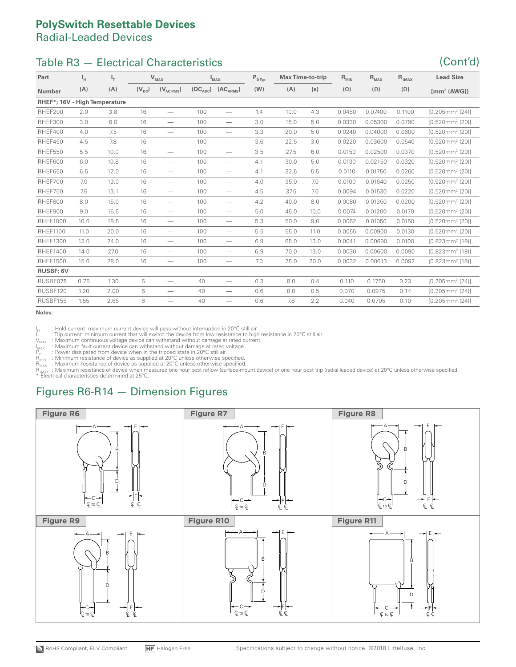## Table R3 — Electrical Characteristics (Cont'd)

| Part                          | Ч.   | $I_{\rm T}$ |            | $V_{MAX}$                     |     | $\mathbb{I}_{MAX}$              | $P_{D \text{ Type}}$ |      | <b>Max Time-to-trip</b> | $R_{MIN}$  | $R_{MAX}$  | $R_{1MAX}$ | <b>Lead Size</b>               |
|-------------------------------|------|-------------|------------|-------------------------------|-----|---------------------------------|----------------------|------|-------------------------|------------|------------|------------|--------------------------------|
| <b>Number</b>                 | (A)  | (A)         | $(V_{DC})$ | $(V_{AC RMS})$                |     | $(DCADC) (ACARMS)$              | (W)                  | (A)  | (s)                     | $(\Omega)$ | $(\Omega)$ | $(\Omega)$ | $[mm^2 (AWG)]$                 |
| RHEF*; 16V - High Temperature |      |             |            |                               |     |                                 |                      |      |                         |            |            |            |                                |
| RHEF200                       | 2.0  | 3.8         | 16         | $\qquad \qquad$               | 100 | $\qquad \qquad$                 | 1.4                  | 10.0 | 4.3                     | 0.0450     | 0.07400    | 0.1100     | $[0.205$ mm <sup>2</sup> (24)] |
| RHEF300                       | 3.0  | 6.0         | 16         |                               | 100 | $\hspace{0.1mm}-\hspace{0.1mm}$ | 3.0                  | 15.0 | 5.0                     | 0.0330     | 0.05300    | 0.0790     | $[0.520mm^2(20)]$              |
| RHEF400                       | 4.0  | 7.5         | 16         | $\overbrace{\phantom{13333}}$ | 100 | $\qquad \qquad$                 | 3.3                  | 20.0 | 5.0                     | 0.0240     | 0.04000    | 0.0600     | $[0.520mm^2(20)]$              |
| RHEF450                       | 4.5  | 7.8         | 16         | $\overline{\phantom{0}}$      | 100 | $\hspace{0.1mm}-\hspace{0.1mm}$ | 3.6                  | 22.5 | 3.0                     | 0.0220     | 0.03600    | 0.0540     | $[0.520mm^2(20)]$              |
| RHEF550                       | 5.5  | 10.0        | 16         |                               | 100 | $\hspace{0.1mm}-\hspace{0.1mm}$ | 3.5                  | 27.5 | 6.0                     | 0.0150     | 0.02500    | 0.0370     | $[0.520mm^2(20)]$              |
| RHEF600                       | 6.0  | 10.8        | 16         | $\overline{\phantom{0}}$      | 100 | $\hspace{0.05cm}$               | 4.1                  | 30.0 | 5.0                     | 0.0130     | 0.02150    | 0.0320     | $[0.520mm^2(20)]$              |
| RHEF650                       | 6.5  | 12.0        | 16         | $\qquad \qquad$               | 100 | $\qquad \qquad$                 | 4.1                  | 32.5 | 5.5                     | 0.0110     | 0.01750    | 0.0260     | $[0.520mm^2(20)]$              |
| RHEF700                       | 7.0  | 13.0        | 16         | $\overline{\phantom{0}}$      | 100 | $\hspace{0.1mm}-\hspace{0.1mm}$ | 4.0                  | 35.0 | 7.0                     | 0.0100     | 0.01640    | 0.0250     | $[0.520mm^2(20)]$              |
| RHEF750                       | 7.5  | 13.1        | 16         |                               | 100 |                                 | 4.5                  | 37.5 | 7.0                     | 0.0094     | 0.01530    | 0.0220     | $[0.520mm^2(20)]$              |
| RHEF800                       | 8.0  | 15.0        | 16         |                               | 100 | $\hspace{0.1mm}-\hspace{0.1mm}$ | 4.2                  | 40.0 | 8.0                     | 0.0080     | 0.01350    | 0.0200     | $[0.520mm^2(20)]$              |
| RHEF900                       | 9.0  | 16.5        | 16         |                               | 100 | $\hspace{0.1mm}-\hspace{0.1mm}$ | 5.0                  | 45.0 | 10.0                    | 0.0074     | 0.01200    | 0.0170     | $[0.520mm^2(20)]$              |
| <b>RHEF1000</b>               | 10.0 | 18.5        | 16         |                               | 100 | $\hspace{0.1mm}-\hspace{0.1mm}$ | 5.3                  | 50.0 | 9.0                     | 0.0062     | 0.01050    | 0.0150     | $[0.520mm^2(20)]$              |
| <b>RHEF1100</b>               | 11.0 | 20.0        | 16         |                               | 100 | $\hspace{0.1mm}-\hspace{0.1mm}$ | 5.5                  | 55.0 | 11.0                    | 0.0055     | 0.00900    | 0.0130     | $[0.520mm^2(20)]$              |
| <b>RHEF1300</b>               | 13.0 | 24.0        | 16         | $\overline{\phantom{0}}$      | 100 | $\hspace{0.1mm}-\hspace{0.1mm}$ | 6.9                  | 65.0 | 13.0                    | 0.0041     | 0.00690    | 0.0100     | $[0.823mm^2(18)]$              |
| <b>RHEF1400</b>               | 14.0 | 27.0        | 16         |                               | 100 |                                 | 6.9                  | 70.0 | 13.0                    | 0.0030     | 0.00600    | 0.0090     | $[0.823mm^2(18)]$              |
| <b>RHEF1500</b>               | 15.0 | 28.0        | 16         |                               | 100 |                                 | 7.0                  | 75.0 | 20.0                    | 0.0032     | 0.00613    | 0.0092     | $[0.823mm^2(18)]$              |
| <b>RUSBF; 6V</b>              |      |             |            |                               |     |                                 |                      |      |                         |            |            |            |                                |
| RUSBF075                      | 0.75 | 1.30        | 6          |                               | 40  |                                 | 0.3                  | 8.0  | 0.4                     | 0.110      | 0.1750     | 0.23       | $[0.205$ mm <sup>2</sup> (24)] |
| RUSBF120                      | 1.20 | 2.00        | 6          |                               | 40  |                                 | 0.6                  | 8.0  | 0.5                     | 0.070      | 0.0975     | 0.14       | $[0.205$ mm <sup>2</sup> (24)] |
| RUSBF155                      | 1.55 | 2.65        | 6          | $\overline{\phantom{0}}$      | 40  | $\overline{\phantom{a}}$        | 0.6                  | 7.8  | 2.2                     | 0.040      | 0.0705     | 0.10       | $[0.205$ mm <sup>2</sup> (24)] |

### **Notes:**

I<sub>H</sub> : Hold current: maximum current device will pass without interruption in 20°C still air.<br>I<sub>T</sub> : Trip current: minimum current that will switch the device from low resistance to high V<sub>MAX</sub> : Maximum continuous voltag l<sub>t</sub> : Trip current: minimum current that will switch the device from low resistance to high resistance in 20°C still air.<br>V<sub>MAX</sub> : Maximum continuous voltage device can withstand without damage at rated current.

P<sub>D</sub> : Power dissipated from device when in the tripped state in 20°C still air.<br>R<sub>MIN</sub> : Minimum resistance of device as supplied at 20°C unless otherwise specified.

R<sub>MAX</sub> : Maximum resistance of device as supplied at 20°C unless otherwise specified.<br>R<sub>hMAX</sub> : Maximum resistance of device when measured one hour post reflow (surface-mount device) or one hour post trip (radial-leaded de de la componentación de la componentación de la componentación de la componentación de la componentación de la of the leaded device) or one hour post trip (radial-leaded device) at 2.<br>
Example 1 nount device) or one hour post trip (radial-leaded device) at 20°C<br> F

### Figures R6-R14 — Dimension Figures

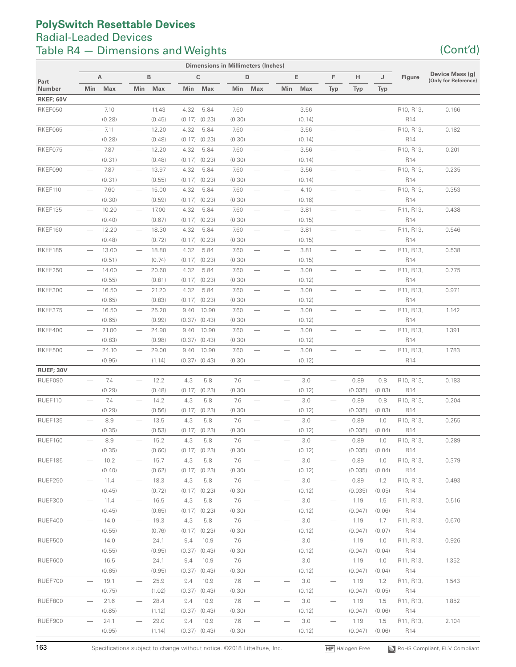### Table R4 – Dimensions and Weights (Cont'd) **PolySwitch Resettable Devices** Radial-Leaded Devices

|               |                                  |        |                                 |        |        |                   | <b>Dimensions in Millimeters (Inches)</b> |                          |                                 |         |                          |         |                          |                                     |                                         |
|---------------|----------------------------------|--------|---------------------------------|--------|--------|-------------------|-------------------------------------------|--------------------------|---------------------------------|---------|--------------------------|---------|--------------------------|-------------------------------------|-----------------------------------------|
| Part          |                                  | A      |                                 | B      |        | $\mathbb{C}$      |                                           | D                        |                                 | E       | F                        | н       | J                        | Figure                              | Device Mass (g)<br>(Only for Reference) |
| <b>Number</b> | Min                              | Max    | Min                             | Max    | Min    | Max               | Min                                       | Max                      | Min                             | Max     | Typ                      | Typ     | Typ                      |                                     |                                         |
| RKEF; 60V     |                                  |        |                                 |        |        |                   |                                           |                          |                                 |         |                          |         |                          |                                     |                                         |
| RKEF050       | $\overbrace{\phantom{1232211}}$  | 7.10   |                                 | 11.43  | 4.32   | 5.84              | 7.60                                      | $\overline{\phantom{0}}$ |                                 | 3.56    |                          |         | $\overline{\phantom{0}}$ | R <sub>10</sub> , R <sub>13</sub> , | 0.166                                   |
|               |                                  | (0.28) |                                 | (0.45) |        | $(0.17)$ $(0.23)$ | (0.30)                                    |                          |                                 | (0.14)  |                          |         |                          | R14                                 |                                         |
| RKEF065       | $\overline{\phantom{m}}$         | 7.11   |                                 | 12.20  | 4.32   | 5.84              | 7.60                                      | $\overline{\phantom{m}}$ |                                 | 3.56    | $\overline{\phantom{0}}$ |         |                          | R10, R13,                           | 0.182                                   |
|               |                                  | (0.28) |                                 | (0.48) |        | $(0.17)$ $(0.23)$ | (0.30)                                    |                          |                                 | (0.14)  |                          |         |                          | R14                                 |                                         |
| RKEF075       | $\overbrace{\phantom{1232211}}$  | 7.87   |                                 | 12.20  | 4.32   | 5.84              | 7.60                                      | $\overline{\phantom{m}}$ |                                 | 3.56    | $\overline{\phantom{0}}$ |         | $\overline{\phantom{0}}$ | R10, R13,                           | 0.201                                   |
|               |                                  | (0.31) |                                 | (0.48) |        | $(0.17)$ $(0.23)$ | (0.30)                                    |                          |                                 | (0.14)  |                          |         |                          | R14                                 |                                         |
| RKEF090       | $\overline{\phantom{m}}$         | 7.87   | $\overbrace{\qquad \qquad }^{}$ | 13.97  | 4.32   | 5.84              | 7.60                                      | $\overline{\phantom{m}}$ |                                 | 3.56    | $\overline{\phantom{0}}$ |         | $\overline{\phantom{0}}$ | R10, R13,                           | 0.235                                   |
|               |                                  | (0.31) |                                 | (0.55) |        | $(0.17)$ $(0.23)$ | (0.30)                                    |                          |                                 | (0.14)  |                          |         |                          | R14                                 |                                         |
| RKEF110       | $\overbrace{\qquad \qquad }^{}$  | 7.60   | $\overbrace{\qquad \qquad }^{}$ | 15.00  | 4.32   | 5.84              | 7.60                                      |                          | $\overline{\phantom{0}}$        | 4.10    | $\overline{\phantom{0}}$ |         | $\overline{\phantom{0}}$ | R10, R13,                           | 0.353                                   |
|               |                                  | (0.30) |                                 | (0.59) |        | $(0.17)$ $(0.23)$ | (0.30)                                    |                          |                                 | (0.16)  |                          |         |                          | R14                                 |                                         |
| RKEF135       | $\overbrace{\qquad \qquad }^{}$  | 10.20  |                                 | 17.00  | 4.32   | 5.84              | 7.60                                      | $\overline{\phantom{m}}$ | $\overline{\phantom{0}}$        | 3.81    | -                        |         | -                        | R11, R13,                           | 0.438                                   |
|               |                                  | (0.40) |                                 | (0.67) |        | $(0.17)$ $(0.23)$ | (0.30)                                    |                          |                                 | (0.15)  |                          |         |                          | R14                                 |                                         |
| RKEF160       | $\overline{\phantom{m}}$         | 12.20  | $\overbrace{\qquad \qquad }^{}$ | 18.30  | 4.32   | 5.84              | 7.60                                      |                          | $\overline{\phantom{0}}$        | 3.81    | -                        |         | $\overline{\phantom{0}}$ | R11, R13,                           | 0.546                                   |
|               |                                  | (0.48) |                                 | (0.72) |        | $(0.17)$ $(0.23)$ | (0.30)                                    |                          |                                 | (0.15)  |                          |         |                          | R14                                 |                                         |
| RKEF185       | $\overline{\phantom{0}}$         | 13.00  |                                 | 18.80  | 4.32   | 5.84              | 7.60                                      |                          | $\overline{\phantom{0}}$        | 3.81    |                          |         |                          | R11, R13,                           | 0.538                                   |
|               |                                  | (0.51) |                                 | (0.74) |        | $(0.17)$ $(0.23)$ | (0.30)                                    |                          |                                 | (0.15)  |                          |         |                          | R14                                 |                                         |
| RKEF250       |                                  | 14.00  |                                 | 20.60  | 4.32   | 5.84              | 7.60                                      |                          |                                 | 3.00    |                          |         |                          | R11, R13,                           | 0.775                                   |
|               |                                  | (0.55) |                                 | (0.81) |        | $(0.17)$ $(0.23)$ | (0.30)                                    |                          |                                 | (0.12)  |                          |         |                          | R14                                 |                                         |
| RKEF300       |                                  | 16.50  |                                 | 21.20  | 4.32   | 5.84              | 7.60                                      |                          |                                 | 3.00    |                          |         |                          | R11, R13,                           | 0.971                                   |
|               |                                  | (0.65) |                                 | (0.83) |        | $(0.17)$ $(0.23)$ | (0.30)                                    |                          |                                 | (0.12)  |                          |         |                          | R14                                 |                                         |
| RKEF375       |                                  | 16.50  |                                 | 25.20  | 9.40   | 10.90             | 7.60                                      |                          |                                 | 3.00    |                          |         |                          | R11, R13,                           | 1.142                                   |
|               |                                  | (0.65) |                                 | (0.99) |        | $(0.37)$ $(0.43)$ | (0.30)                                    |                          |                                 | (0.12)  |                          |         |                          | R14                                 |                                         |
| RKEF400       |                                  | 21.00  |                                 | 24.90  | 9.40   | 10.90             | 7.60                                      | $\overline{\phantom{0}}$ |                                 | 3.00    |                          |         |                          | R11, R13,                           | 1.391                                   |
|               |                                  | (0.83) |                                 | (0.98) |        | $(0.37)$ $(0.43)$ | (0.30)                                    |                          |                                 | (0.12)  |                          |         |                          | R14                                 |                                         |
| RKEF500       |                                  | 24.10  |                                 | 29.00  | 9.40   | 10.90             | 7.60                                      | $\overline{\phantom{0}}$ |                                 | 3.00    |                          |         |                          | R11, R13,                           | 1.783                                   |
|               |                                  | (0.95) |                                 | (1.14) |        | $(0.37)$ $(0.43)$ | (0.30)                                    |                          |                                 | (0.12)  |                          |         |                          | R14                                 |                                         |
| RUEF; 30V     |                                  |        |                                 |        |        |                   |                                           |                          |                                 |         |                          |         |                          |                                     |                                         |
| RUEF090       |                                  | 7.4    |                                 | 12.2   | 4.3    | 5.8               | 7.6                                       |                          |                                 | 3.0     |                          | 0.89    | 0.8                      | R <sub>10</sub> , R <sub>13</sub> , | 0.183                                   |
|               |                                  | (0.29) |                                 | (0.48) | (0.17) | (0.23)            | (0.30)                                    |                          |                                 | (0.12)  |                          | (0.035) | (0.03)                   | R14                                 |                                         |
| RUEF110       |                                  | 7.4    |                                 | 14.2   | 4.3    | 5.8               | 7.6                                       |                          |                                 | 3.0     |                          | 0.89    | 0.8                      | R10, R13,                           | 0.204                                   |
|               |                                  | (0.29) |                                 | (0.56) | (0.17) | (0.23)            | (0.30)                                    |                          |                                 | (0.12)  |                          | (0.035) | (0.03)                   | R14                                 |                                         |
| RUEF135       |                                  | 8.9    |                                 | 13.5   | 4.3    | 5.8               | 7.6                                       |                          |                                 | 3.0     |                          | 0.89    | 1.0                      | R <sub>10</sub> , R <sub>13</sub> , | 0.255                                   |
|               |                                  | (0.35) |                                 | (0.53) |        | $(0.17)$ $(0.23)$ | (0.30)                                    |                          |                                 | (0.12)  |                          | (0.035) | (0.04)                   | R14                                 |                                         |
| RUEF160       |                                  | 8.9    |                                 | 15.2   | 4.3    | 5.8               | 7.6                                       |                          |                                 | 3.0     |                          | 0.89    | 1.0                      | R10, R13,                           | 0.289                                   |
|               |                                  | (0.35) |                                 | (0.60) |        | $(0.17)$ $(0.23)$ | (0.30)                                    |                          |                                 | (0.12)  |                          | (0.035) | (0.04)                   | R <sub>14</sub>                     |                                         |
| RUEF185       |                                  | 10.2   |                                 | 15.7   | 4.3    | 5.8               | 7.6                                       |                          |                                 | 3.0     |                          | 0.89    | 1.0                      | R10, R13,                           | 0.379                                   |
|               |                                  | (0.40) |                                 | (0.62) | (0.17) | (0.23)            | (0.30)                                    |                          |                                 | (0.12)  |                          | (0.035) | (0.04)                   | R14                                 |                                         |
| RUEF250       | $\overline{\phantom{m}}$         | 11.4   |                                 | 18.3   | 4.3    | 5.8               | 7.6                                       |                          |                                 | 3.0     |                          | 0.89    | 1.2                      | R10, R13,                           | 0.493                                   |
|               |                                  | (0.45) |                                 | (0.72) | (0.17) | (0.23)            | (0.30)                                    |                          |                                 | (0.12)  |                          | (0.035) | (0.05)                   | R14                                 |                                         |
| RUEF300       | $\overbrace{\phantom{12322111}}$ | 11.4   |                                 | 16.5   | 4.3    | 5.8               | 7.6                                       |                          |                                 | 3.0     |                          | 1.19    | 1.5                      | R11, R13,                           | 0.516                                   |
|               |                                  | (0.45) |                                 | (0.65) | (0.17) | (0.23)            | (0.30)                                    |                          |                                 | (0.12)  |                          | (0.047) | (0.06)                   | R14                                 |                                         |
| RUEF400       | $\overline{\phantom{m}}$         | 14.0   | $\overline{\phantom{0}}$        | 19.3   | 4.3    | 5.8               | 7.6                                       | $\overline{\phantom{0}}$ |                                 | 3.0     |                          | 1.19    | 1.7                      | R11, R13,                           | 0.670                                   |
|               |                                  | (0.55) |                                 | (0.76) | (0.17) | (0.23)            | (0.30)                                    |                          |                                 | (0.12)  |                          | (0.047) | (0.07)                   | R14                                 |                                         |
| RUEF500       |                                  | 14.0   |                                 | 24.1   | 9.4    | 10.9              | 7.6                                       | $\overline{\phantom{m}}$ | $\overbrace{\qquad \qquad }^{}$ | 3.0     | $\overline{\phantom{0}}$ | 1.19    | 1.0                      | R11, R13,                           | 0.926                                   |
|               |                                  | (0.55) |                                 | (0.95) | (0.37) | (0.43)            | (0.30)                                    |                          |                                 | (0.12)  |                          | (0.047) | (0.04)                   | R14                                 |                                         |
| RUEF600       |                                  | 16.5   | $\overline{\phantom{0}}$        | 24.1   | 9.4    | 10.9              | 7.6                                       | $\overline{\phantom{m}}$ | $\overbrace{\qquad \qquad }^{}$ | 3.0     | $\overline{\phantom{0}}$ | 1.19    | 1.0                      | R11, R13,                           | 1.352                                   |
|               |                                  | (0.65) |                                 | (0.95) | (0.37) | (0.43)            | (0.30)                                    |                          |                                 | (0.12)  |                          | (0.047) | (0.04)                   | R14                                 |                                         |
| RUEF700       | $\overline{\phantom{m}}$         | 19.1   | $\overline{\phantom{m}}$        | 25.9   | 9.4    | 10.9              | 7.6                                       | $\overline{\phantom{m}}$ | $\overbrace{\qquad \qquad }^{}$ | 3.0     | $\overline{\phantom{m}}$ | 1.19    | 1.2                      | R11, R13,                           | 1.543                                   |
|               |                                  | (0.75) |                                 | (1.02) | (0.37) | (0.43)            | (0.30)                                    |                          |                                 | (0.12)  |                          | (0.047) | (0.05)                   | R14                                 |                                         |
| RUEF800       | $\overline{\phantom{m}}$         | 21.6   |                                 | 28.4   | 9.4    | 10.9              | 7.6                                       | $\overline{\phantom{0}}$ |                                 | $3.0\,$ | $\overline{\phantom{m}}$ | 1.19    | 1.5                      | R11, R13,                           | 1.852                                   |
|               |                                  | (0.85) |                                 | (1.12) | (0.37) | (0.43)            | (0.30)                                    |                          |                                 | (0.12)  |                          | (0.047) | (0.06)                   | R14                                 |                                         |
| RUEF900       |                                  | 24.1   |                                 | 29.0   | 9.4    | 10.9              | 7.6                                       | $\overline{\phantom{0}}$ |                                 | 3.0     |                          | 1.19    | 1.5                      | R11, R13,                           | 2.104                                   |
|               |                                  | (0.95) |                                 | (1.14) |        | $(0.37)$ $(0.43)$ | (0.30)                                    |                          |                                 | (0.12)  |                          | (0.047) | (0.06)                   | R14                                 |                                         |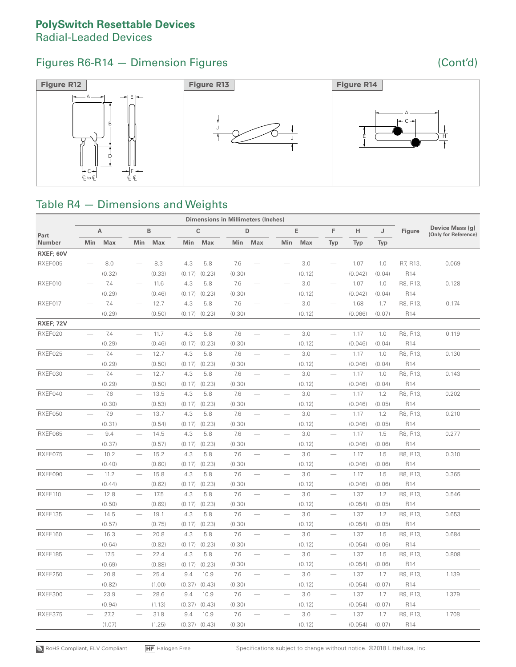## Figures R6-R14 – Dimension Figures (Cont'd)

### (Cont'd)



### Table R4 – Dimensions and Weights

|               | <b>Dimensions in Millimeters (Inches)</b> |        |                          |        |        |                   |        |                          |                          |         |                                 |         |            |                 |                                         |
|---------------|-------------------------------------------|--------|--------------------------|--------|--------|-------------------|--------|--------------------------|--------------------------|---------|---------------------------------|---------|------------|-----------------|-----------------------------------------|
| Part          |                                           | A      |                          | B      |        | $\mathbf C$       | D      |                          |                          | E       | F                               | H       | J          | <b>Figure</b>   | Device Mass (g)<br>(Only for Reference) |
| <b>Number</b> | Min                                       | Max    | Min                      | Max    | Min    | Max               | Min    | Max                      | Min                      | Max     | Typ                             | Typ     | <b>Typ</b> |                 |                                         |
| RXEF; 60V     |                                           |        |                          |        |        |                   |        |                          |                          |         |                                 |         |            |                 |                                         |
| RXEF005       |                                           | 8.0    |                          | 8.3    | 4.3    | 5.8               | 7.6    |                          |                          | 3.0     | $\overline{\phantom{0}}$        | 1.07    | 1.0        | R7, R13,        | 0.069                                   |
|               |                                           | (0.32) |                          | (0.33) | (0.17) | (0.23)            | (0.30) |                          |                          | (0.12)  |                                 | (0.042) | (0.04)     | R <sub>14</sub> |                                         |
| RXEF010       | $\overbrace{\qquad \qquad }^{}$           | 7.4    | $\overline{\phantom{0}}$ | 11.6   | 4.3    | 5.8               | 7.6    |                          | $\overline{\phantom{0}}$ | 3.0     | $\frac{1}{2}$                   | 1.07    | 1.0        | R8, R13,        | 0.128                                   |
|               |                                           | (0.29) |                          | (0.46) | (0.17) | (0.23)            | (0.30) |                          |                          | (0.12)  |                                 | (0.042) | (0.04)     | R14             |                                         |
| RXEF017       |                                           | 7.4    |                          | 12.7   | 4.3    | 5.8               | 7.6    |                          |                          | 3.0     |                                 | 1.68    | 1.7        | R8, R13,        | 0.174                                   |
|               |                                           | (0.29) |                          | (0.50) | (0.17) | (0.23)            | (0.30) |                          |                          | (0.12)  |                                 | (0.066) | (0.07)     | R <sub>14</sub> |                                         |
| RXEF; 72V     |                                           |        |                          |        |        |                   |        |                          |                          |         |                                 |         |            |                 |                                         |
| RXEF020       |                                           | 7.4    |                          | 11.7   | 4.3    | 5.8               | 7.6    |                          |                          | 3.0     | $\overline{\phantom{0}}$        | 1.17    | 1.0        | R8, R13,        | 0.119                                   |
|               |                                           | (0.29) |                          | (0.46) | (0.17) | (0.23)            | (0.30) |                          |                          | (0.12)  |                                 | (0.046) | (0.04)     | R14             |                                         |
| RXEF025       |                                           | 7.4    |                          | 12.7   | 4.3    | 5.8               | 7.6    |                          |                          | 3.0     |                                 | 1.17    | 1.0        | R8, R13,        | 0.130                                   |
|               |                                           | (0.29) |                          | (0.50) | (0.17) | (0.23)            | (0.30) |                          |                          | (0.12)  |                                 | (0.046) | (0.04)     | R14             |                                         |
| RXEF030       | $\overline{\phantom{m}}$                  | 7.4    |                          | 12.7   | 4.3    | 5.8               | 7.6    |                          | $\overline{\phantom{0}}$ | 3.0     | $\overline{\phantom{0}}$        | 1.17    | 1.0        | R8, R13,        | 0.143                                   |
|               |                                           | (0.29) |                          | (0.50) | (0.17) | (0.23)            | (0.30) |                          |                          | (0.12)  |                                 | (0.046) | (0.04)     | R <sub>14</sub> |                                         |
| RXEF040       |                                           | 7.6    |                          | 13.5   | 4.3    | 5.8               | 7.6    | $\overline{\phantom{0}}$ | $\overline{\phantom{0}}$ | 3.0     | $\overbrace{\phantom{1232211}}$ | 1.17    | 1.2        | R8, R13,        | 0.202                                   |
|               |                                           | (0.30) |                          | (0.53) | (0.17) | (0.23)            | (0.30) |                          |                          | (0.12)  |                                 | (0.046) | (0.05)     | R14             |                                         |
| RXEF050       | L.                                        | 7.9    |                          | 13.7   | 4.3    | 5.8               | 7.6    | ÷.                       |                          | 3.0     | $\overline{\phantom{a}}$        | 1.17    | 1.2        | R8, R13,        | 0.210                                   |
|               |                                           | (0.31) |                          | (0.54) | (0.17) | (0.23)            | (0.30) |                          |                          | (0.12)  |                                 | (0.046) | (0.05)     | R14             |                                         |
| RXEF065       |                                           | 9.4    |                          | 14.5   | 4.3    | 5.8               | 7.6    | $\overline{\phantom{0}}$ |                          | 3.0     | $\overline{\phantom{0}}$        | 1.17    | 1.5        | R8, R13,        | 0.277                                   |
|               |                                           | (0.37) |                          | (0.57) | (0.17) | (0.23)            | (0.30) |                          |                          | (0.12)  |                                 | (0.046) | (0.06)     | R14             |                                         |
| RXEF075       | $\overline{\phantom{0}}$                  | 10.2   |                          | 15.2   | 4.3    | 5.8               | 7.6    |                          |                          | 3.0     |                                 | 1.17    | 1.5        | R8, R13,        | 0.310                                   |
|               |                                           | (0.40) |                          | (0.60) | (0.17) | (0.23)            | (0.30) |                          |                          | (0.12)  |                                 | (0.046) | (0.06)     | R14             |                                         |
| RXEF090       |                                           | 11.2   | $\overline{\phantom{0}}$ | 15.8   | 4.3    | 5.8               | 7.6    | $\overline{\phantom{0}}$ | $\overline{\phantom{0}}$ | $3.0\,$ | $\overline{\phantom{m}}$        | 1.17    | 1.5        | R8, R13,        | 0.365                                   |
|               |                                           | (0.44) |                          | (0.62) | (0.17) | (0.23)            | (0.30) |                          |                          | (0.12)  |                                 | (0.046) | (0.06)     | R <sub>14</sub> |                                         |
| RXEF110       |                                           | 12.8   |                          | 17.5   | 4.3    | 5.8               | 7.6    |                          |                          | 3.0     |                                 | 1.37    | 1.2        | R9, R13,        | 0.546                                   |
|               |                                           | (0.50) |                          | (0.69) | (0.17) | (0.23)            | (0.30) |                          |                          | (0.12)  |                                 | (0.054) | (0.05)     | R14             |                                         |
| RXEF135       |                                           | 14.5   |                          | 19.1   | 4.3    | 5.8               | 7.6    | $\overline{\phantom{0}}$ |                          | 3.0     | $\overline{\phantom{0}}$        | 1.37    | 1.2        | R9, R13,        | 0.653                                   |
|               |                                           | (0.57) |                          | (0.75) | (0.17) | (0.23)            | (0.30) |                          |                          | (0.12)  |                                 | (0.054) | (0.05)     | R14             |                                         |
| RXEF160       | $\overline{\phantom{0}}$                  | 16.3   | $\overline{\phantom{0}}$ | 20.8   | 4.3    | 5.8               | 7.6    | $\overline{\phantom{0}}$ |                          | 3.0     |                                 | 1.37    | 1.5        | R9, R13,        | 0.684                                   |
|               |                                           | (0.64) |                          | (0.82) | (0.17) | (0.23)            | (0.30) |                          |                          | (0.12)  |                                 | (0.054) | (0.06)     | R14             |                                         |
| RXEF185       |                                           | 17.5   |                          | 22.4   | 4.3    | 5.8               | 7.6    | ÷.                       |                          | 3.0     | L.                              | 1.37    | 1.5        | R9, R13,        | 0.808                                   |
|               |                                           | (0.69) |                          | (0.88) | (0.17) | (0.23)            | (0.30) |                          |                          | (0.12)  |                                 | (0.054) | (0.06)     | R14             |                                         |
| RXEF250       | $\overline{\phantom{0}}$                  | 20.8   | $\overline{\phantom{0}}$ | 25.4   | 9.4    | 10.9              | 7.6    | $\overline{\phantom{0}}$ |                          | 3.0     |                                 | 1.37    | 1.7        | R9, R13,        | 1.139                                   |
|               |                                           | (0.82) |                          | (1.00) | (0.37) | (0.43)            | (0.30) |                          |                          | (0.12)  |                                 | (0.054) | (0.07)     | R14             |                                         |
| RXEF300       |                                           | 23.9   |                          | 28.6   | 9.4    | 10.9              | 7.6    |                          |                          | 3.0     | $\overline{\phantom{0}}$        | 1.37    | 1.7        | R9, R13,        | 1.379                                   |
|               |                                           | (0.94) |                          | (1.13) | (0.37) | (0.43)            | (0.30) |                          |                          | (0.12)  |                                 | (0.054) | (0.07)     | R <sub>14</sub> |                                         |
| RXEF375       |                                           | 27.2   |                          | 31.8   | 9.4    | 10.9              | 7.6    |                          |                          | 3.0     |                                 | 1.37    | 1.7        | R9, R13,        | 1.708                                   |
|               |                                           | (1.07) |                          | (1.25) |        | $(0.37)$ $(0.43)$ | (0.30) |                          |                          | (0.12)  |                                 | (0.054) | (0.07)     | R14             |                                         |
|               |                                           |        |                          |        |        |                   |        |                          |                          |         |                                 |         |            |                 |                                         |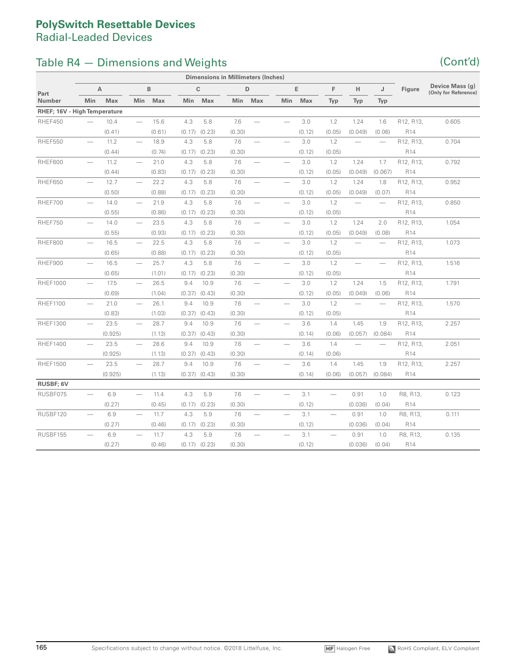## Table R4 – Dimensions and Weights (Cont'd)

|                              |                                 |                |                                 |        |            |                   | <b>Dimensions in Millimeters (Inches)</b> |                          |                          |        |                          |                          |                                  |                 |                                         |
|------------------------------|---------------------------------|----------------|---------------------------------|--------|------------|-------------------|-------------------------------------------|--------------------------|--------------------------|--------|--------------------------|--------------------------|----------------------------------|-----------------|-----------------------------------------|
| Part                         |                                 | $\overline{A}$ |                                 | B      |            | $\mathbf{C}$      |                                           | D                        |                          | E      | F                        | H.                       | J                                | <b>Figure</b>   | Device Mass (g)<br>(Only for Reference) |
| <b>Number</b>                | <b>Min</b>                      | Max            | <b>Min</b>                      | Max    | <b>Min</b> | Max               | Min                                       | Max                      | <b>Min</b>               | Max    | <b>Typ</b>               | Typ                      | <b>Typ</b>                       |                 |                                         |
| RHEF; 16V - High Temperature |                                 |                |                                 |        |            |                   |                                           |                          |                          |        |                          |                          |                                  |                 |                                         |
| RHEF450                      |                                 | 10.4           |                                 | 15.6   | 4.3        | 5.8               | 7.6                                       |                          | $\overline{\phantom{0}}$ | 3.0    | 1.2                      | 1.24                     | 1.6                              | R12, R13,       | 0.605                                   |
|                              |                                 | (0.41)         |                                 | (0.61) | (0.17)     | (0.23)            | (0.30)                                    |                          |                          | (0.12) | (0.05)                   | (0.049)                  | (0.06)                           | R14             |                                         |
| RHEF550                      | $\overline{\phantom{m}}$        | 11.2           |                                 | 18.9   | 4.3        | 5.8               | 7.6                                       | $\qquad \qquad -$        |                          | 3.0    | 1.2                      |                          | $\overline{\phantom{0}}$         | R12, R13,       | 0.704                                   |
|                              |                                 | (0.44)         |                                 | (0.74) | (0.17)     | (0.23)            | (0.30)                                    |                          |                          | (0.12) | (0.05)                   |                          |                                  | R14             |                                         |
| RHEF600                      |                                 | 11.2           |                                 | 21.0   | 4.3        | 5.8               | 7.6                                       |                          | $\qquad \qquad -$        | 3.0    | 1.2                      | 1.24                     | 1.7                              | R12, R13,       | 0.792                                   |
|                              |                                 | (0.44)         |                                 | (0.83) | (0.17)     | (0.23)            | (0.30)                                    |                          |                          | (0.12) | (0.05)                   | (0.049)                  | (0.067)                          | R <sub>14</sub> |                                         |
| RHEF650                      | $\overline{\phantom{m}}$        | 12.7           |                                 | 22.2   | 4.3        | 5.8               | 7.6                                       | $\overline{\phantom{0}}$ | $\qquad \qquad -$        | 3.0    | 1.2                      | 1.24                     | 1.8                              | R12, R13,       | 0.952                                   |
|                              |                                 | (0.50)         |                                 | (0.88) | (0.17)     | (0.23)            | (0.30)                                    |                          |                          | (0.12) | (0.05)                   | (0.049)                  | (0.07)                           | R14             |                                         |
| RHEF700                      | $\overline{\phantom{m}}$        | 14.0           |                                 | 21.9   | 4.3        | 5.8               | 7.6                                       | $\qquad \qquad -$        | $\qquad \qquad -$        | 3.0    | 1.2                      | $\overline{\phantom{0}}$ | $\overline{\phantom{0}}$         | R12, R13,       | 0.850                                   |
|                              |                                 | (0.55)         |                                 | (0.86) | (0.17)     | (0.23)            | (0.30)                                    |                          |                          | (0.12) | (0.05)                   |                          |                                  | R <sub>14</sub> |                                         |
| RHEF750                      | $\overline{\phantom{m}}$        | 14.0           |                                 | 23.5   | 4.3        | 5.8               | 7.6                                       | $\qquad \qquad -$        |                          | 3.0    | 1.2                      | 1.24                     | 2.0                              | R12, R13,       | 1.054                                   |
|                              |                                 | (0.55)         |                                 | (0.93) | (0.17)     | (0.23)            | (0.30)                                    |                          |                          | (0.12) | (0.05)                   | (0.049)                  | (0.08)                           | R14             |                                         |
| RHEF800                      | $\overbrace{\qquad \qquad }^{}$ | 16.5           | $\overbrace{\qquad \qquad }^{}$ | 22.5   | 4.3        | 5.8               | 7.6                                       | $\qquad \qquad -$        |                          | 3.0    | 1.2                      |                          | $\overline{\phantom{m}}$         | R12, R13,       | 1.073                                   |
|                              |                                 | (0.65)         |                                 | (0.88) | (0.17)     | (0.23)            | (0.30)                                    |                          |                          | (0.12) | (0.05)                   |                          |                                  | R14             |                                         |
| RHEF900                      |                                 | 16.5           |                                 | 25.7   | 4.3        | 5.8               | 7.6                                       |                          |                          | 3.0    | 1.2                      |                          |                                  | R12, R13,       | 1.516                                   |
|                              |                                 | (0.65)         |                                 | (1.01) | (0.17)     | (0.23)            | (0.30)                                    |                          |                          | (0.12) | (0.05)                   |                          |                                  | R <sub>14</sub> |                                         |
| <b>RHEF1000</b>              |                                 | 17.5           |                                 | 26.5   | 9.4        | 10.9              | 7.6                                       | $\overline{\phantom{0}}$ |                          | 3.0    | 1.2                      | 1.24                     | 1.5                              | R12, R13,       | 1.791                                   |
|                              |                                 | (0.69)         |                                 | (1.04) | (0.37)     | (0.43)            | (0.30)                                    |                          |                          | (0.12) | (0.05)                   | (0.049)                  | (0.06)                           | R14             |                                         |
| <b>RHEF1100</b>              |                                 | 21.0           |                                 | 26.1   | 9.4        | 10.9              | 7.6                                       |                          |                          | 3.0    | 1.2                      | $\overline{\phantom{0}}$ | $\overbrace{\phantom{1232211}}$  | R12, R13,       | 1.570                                   |
|                              |                                 | (0.83)         |                                 | (1.03) | (0.37)     | (0.43)            | (0.30)                                    |                          |                          | (0.12) | (0.05)                   |                          |                                  | R <sub>14</sub> |                                         |
| RHEF1300                     |                                 | 23.5           |                                 | 28.7   | 9.4        | 10.9              | 7.6                                       |                          |                          | 3.6    | 1.4                      | 1.45                     | 1.9                              | R12, R13,       | 2.257                                   |
|                              |                                 | (0.925)        |                                 | (1.13) | (0.37)     | (0.43)            | (0.30)                                    |                          |                          | (0.14) | (0.06)                   | (0.057)                  | (0.084)                          | R14             |                                         |
| RHEF1400                     |                                 | 23.5           |                                 | 28.6   | 9.4        | 10.9              | 7.6                                       |                          |                          | 3.6    | 1.4                      |                          | $\overbrace{\phantom{12322111}}$ | R12, R13,       | 2.051                                   |
|                              |                                 | (0.925)        |                                 | (1.13) | (0.37)     | (0.43)            | (0.30)                                    |                          |                          | (0.14) | (0.06)                   |                          |                                  | R <sub>14</sub> |                                         |
| <b>RHEF1500</b>              | $\overline{\phantom{0}}$        | 23.5           | $\overline{\phantom{0}}$        | 28.7   | 9.4        | 10.9              | 7.6                                       | $\overline{\phantom{0}}$ |                          | 3.6    | 1.4                      | 1.45                     | 1.9                              | R12, R13,       | 2.257                                   |
|                              |                                 | (0.925)        |                                 | (1.13) | (0.37)     | (0.43)            | (0.30)                                    |                          |                          | (0.14) | (0.06)                   | (0.057)                  | (0.084)                          | R14             |                                         |
| <b>RUSBF; 6V</b>             |                                 |                |                                 |        |            |                   |                                           |                          |                          |        |                          |                          |                                  |                 |                                         |
| RUSBF075                     |                                 | 6.9            |                                 | 11.4   | 4.3        | 5.9               | 7.6                                       |                          |                          | 3.1    | $\overline{\phantom{0}}$ | 0.91                     | 1.0                              | R8, R13,        | 0.123                                   |
|                              |                                 | (0.27)         |                                 | (0.45) | (0.17)     | (0.23)            | (0.30)                                    |                          |                          | (0.12) |                          | (0.036)                  | (0.04)                           | R <sub>14</sub> |                                         |
| RUSBF120                     |                                 | 6.9            |                                 | 11.7   | 4.3        | 5.9               | 7.6                                       | $\overline{\phantom{0}}$ |                          | 3.1    | $\overline{\phantom{0}}$ | 0.91                     | 1.0                              | R8, R13,        | 0.111                                   |
|                              |                                 | (0.27)         |                                 | (0.46) | (0.17)     | (0.23)            | (0.30)                                    |                          |                          | (0.12) |                          | (0.036)                  | (0.04)                           | R14             |                                         |
| RUSBF155                     |                                 | 6.9            |                                 | 11.7   | 4.3        | 5.9               | 7.6                                       |                          |                          | 3.1    |                          | 0.91                     | 1.0                              | R8, R13,        | 0.135                                   |
|                              |                                 | (0.27)         |                                 | (0.46) |            | $(0.17)$ $(0.23)$ | (0.30)                                    |                          |                          | (0.12) |                          | (0.036)                  | (0.04)                           | R14             |                                         |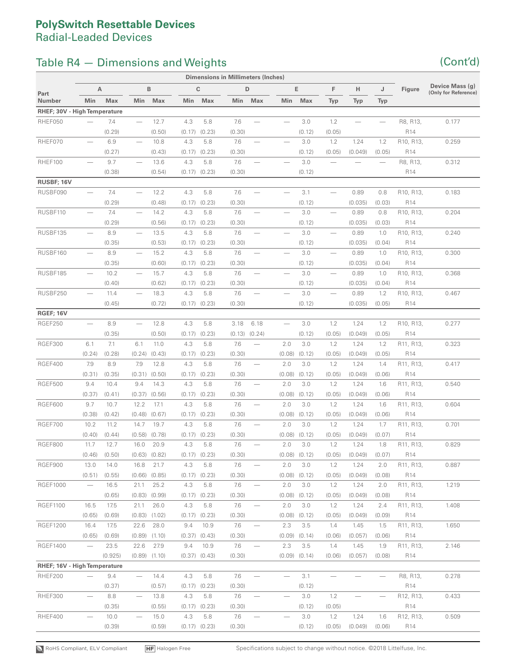## Table R4 – Dimensions and Weights (Cont'd)

|                              | <b>Dimensions in Millimeters (Inches)</b> |         |                          |                   |        |                   |        |                          |                          |                   |                          |                          |                                  |                                     |                                         |
|------------------------------|-------------------------------------------|---------|--------------------------|-------------------|--------|-------------------|--------|--------------------------|--------------------------|-------------------|--------------------------|--------------------------|----------------------------------|-------------------------------------|-----------------------------------------|
|                              |                                           | А       |                          | B                 |        | $\mathbf C$       |        | D                        |                          | E                 | F                        | н                        | J                                | <b>Figure</b>                       | Device Mass (g)<br>(Only for Reference) |
| Part<br><b>Number</b>        | Min                                       | Max     | Min                      | Max               | Min    | Max               | Min    | Max                      | Min                      | Max               | <b>Typ</b>               | <b>Typ</b>               | <b>Typ</b>                       |                                     |                                         |
| RHEF; 30V - High Temperature |                                           |         |                          |                   |        |                   |        |                          |                          |                   |                          |                          |                                  |                                     |                                         |
| RHEF050                      |                                           | 7.4     | $\overline{\phantom{0}}$ | 12.7              | 4.3    | 5.8               | 7.6    | $\overline{\phantom{0}}$ |                          | 3.0               | 1.2                      | $\overline{\phantom{0}}$ | $\overbrace{\qquad \qquad }^{}$  | R8, R13,                            | 0.177                                   |
|                              |                                           | (0.29)  |                          | (0.50)            | (0.17) | (0.23)            | (0.30) |                          |                          | (0.12)            | (0.05)                   |                          |                                  | R14                                 |                                         |
| RHEF070                      | $\overline{\phantom{0}}$                  | 6.9     | $\overline{\phantom{0}}$ | 10.8              | 4.3    | 5.8               | 7.6    |                          |                          | 3.0               | 1.2                      | 1.24                     | 1.2                              | R10, R13,                           | 0.259                                   |
|                              |                                           | (0.27)  |                          | (0.43)            | (0.17) | (0.23)            | (0.30) |                          |                          | (0.12)            | (0.05)                   | (0.049)                  | (0.05)                           | R14                                 |                                         |
| RHEF100                      | ÷.                                        | 9.7     |                          | 13.6              | 4.3    | 5.8               | 7.6    | ÷.                       |                          | 3.0               |                          |                          |                                  | R8, R13,                            | 0.312                                   |
|                              |                                           | (0.38)  |                          | (0.54)            | (0.17) | (0.23)            | (0.30) |                          |                          | (0.12)            |                          |                          |                                  | R14                                 |                                         |
| RUSBF; 16V                   |                                           |         |                          |                   |        |                   |        |                          |                          |                   |                          |                          |                                  |                                     |                                         |
| RUSBF090                     |                                           | 7.4     | $\overline{\phantom{0}}$ | 12.2              | 4.3    | 5.8               | 7.6    |                          |                          | 3.1               | $\overline{\phantom{m}}$ | 0.89                     | 0.8                              | R10, R13,                           | 0.183                                   |
|                              |                                           | (0.29)  |                          | (0.48)            | (0.17) | (0.23)            | (0.30) |                          |                          | (0.12)            |                          | (0.035)                  | (0.03)                           | R14                                 |                                         |
| RUSBF110                     | $\overline{\phantom{0}}$                  | 7.4     | $\overline{\phantom{0}}$ | 14.2              | 4.3    | 5.8               | 7.6    |                          |                          | 3.0               | $\overline{\phantom{0}}$ | 0.89                     | 0.8                              | R10, R13,                           | 0.204                                   |
|                              |                                           | (0.29)  |                          | (0.56)            | (0.17) | (0.23)            | (0.30) |                          |                          | (0.12)            |                          | (0.035)                  | (0.03)                           | R14                                 |                                         |
| RUSBF135                     | $\overline{\phantom{0}}$                  | 8.9     | $\overline{\phantom{0}}$ | 13.5              | 4.3    | 5.8               | 7.6    |                          |                          | 3.0               | $\overline{\phantom{0}}$ | 0.89                     | 1.0                              | R10, R13,                           | 0.240                                   |
|                              |                                           | (0.35)  |                          | (0.53)            | (0.17) | (0.23)            | (0.30) |                          |                          | (0.12)            |                          | (0.035)                  | (0.04)                           | R14                                 |                                         |
| RUSBF160                     | $\overline{\phantom{0}}$                  | 8.9     | $\overline{\phantom{0}}$ | 15.2              | 4.3    | 5.8               | 7.6    |                          |                          | 3.0               | $\overline{\phantom{0}}$ | 0.89                     | 1.0                              | R10, R13,                           | 0.300                                   |
|                              |                                           | (0.35)  |                          | (0.60)            | (0.17) | (0.23)            | (0.30) |                          |                          | (0.12)            |                          | (0.035)                  | (0.04)                           | R14                                 |                                         |
| RUSBF185                     | $\overline{\phantom{0}}$                  | 10.2    | $\overline{\phantom{0}}$ | 15.7              | 4.3    | 5.8               | 7.6    |                          |                          | 3.0               | $\overline{\phantom{0}}$ | 0.89                     | 1.0                              | R10, R13,                           | 0.368                                   |
|                              |                                           | (0.40)  |                          | (0.62)            | (0.17) | (0.23)            | (0.30) |                          |                          | (0.12)            |                          | (0.035)                  | (0.04)                           | R14                                 |                                         |
|                              | ÷.                                        |         | $\overline{\phantom{0}}$ |                   | 4.3    | 5.8               | 7.6    | ÷.                       |                          | 3.0               | $\overline{\phantom{0}}$ | 0.89                     |                                  |                                     | 0.467                                   |
| RUSBF250                     |                                           | 11.4    |                          | 18.3              |        |                   |        |                          |                          |                   |                          | (0.035)                  | 1.2                              | R <sub>10</sub> , R <sub>13</sub> , |                                         |
|                              |                                           | (0.45)  |                          | (0.72)            | (0.17) | (0.23)            | (0.30) |                          |                          | (0.12)            |                          |                          | (0.05)                           | R14                                 |                                         |
| <b>RGEF; 16V</b>             |                                           | 8.9     | $\overline{\phantom{0}}$ |                   | 4.3    | 5.8               | 3.18   | 6.18                     |                          | 3.0               | 1.2                      | 1.24                     |                                  |                                     |                                         |
| RGEF250                      |                                           |         |                          | 12.8              |        |                   |        |                          |                          |                   |                          |                          | 1.2                              | R10, R13,                           | 0.277                                   |
|                              |                                           | (0.35)  |                          | (0.50)            | (0.17) | (0.23)            | (0.13) | (0.24)                   |                          | (0.12)            | (0.05)                   | (0.049)                  | (0.05)                           | R14                                 |                                         |
| RGEF300                      | 6.1                                       | 7.1     | 6.1                      | 11.0              | 4.3    | 5.8               | 7.6    |                          | 2.0                      | 3.0               | 1.2                      | 1.24                     | 1.2                              | R <sub>11</sub> , R <sub>13</sub> , | 0.323                                   |
|                              | (0.24)                                    | (0.28)  | (0.24)                   | (0.43)            | (0.17) | (0.23)            | (0.30) |                          | (0.08)                   | (0.12)            | (0.05)                   | (0.049)                  | (0.05)                           | R14                                 |                                         |
| RGEF400                      | 7.9                                       | 8.9     | 7.9                      | 12.8              | 4.3    | 5.8               | 7.6    |                          | 2.0                      | 3.0               | 1.2                      | 1.24                     | 1.4                              | R <sub>11</sub> , R <sub>13</sub> , | 0.417                                   |
|                              | (0.31)                                    | (0.35)  | (0.31)                   | (0.50)            | (0.17) | (0.23)            | (0.30) |                          | (0.08)                   | (0.12)            | (0.05)                   | (0.049)                  | (0.06)                           | R14                                 |                                         |
| RGEF500                      | 9.4                                       | 10.4    | 9.4                      | 14.3              | 4.3    | 5.8               | 7.6    |                          | 2.0                      | 3.0               | 1.2                      | 1.24                     | 1.6                              | R <sub>11</sub> , R <sub>13</sub> , | 0.540                                   |
|                              | (0.37)                                    | (0.41)  | (0.37)                   | (0.56)            | (0.17) | (0.23)            | (0.30) |                          | (0.08)                   | (0.12)            | (0.05)                   | (0.049)                  | (0.06)                           | R14                                 |                                         |
| RGEF600                      | 9.7                                       | 10.7    | 12.2                     | 17.1              | 4.3    | 5.8               | 7.6    |                          | 2.0                      | 3.0               | 1.2                      | 1.24                     | 1.6                              | R11, R13,                           | 0.604                                   |
|                              | (0.38)                                    | (0.42)  | (0.48)                   | (0.67)            | (0.17) | (0.23)            | (0.30) |                          | (0.08)                   | (0.12)            | (0.05)                   | (0.049)                  | (0.06)                           | R14                                 |                                         |
| RGEF700                      | 10.2                                      | 11.2    | 14.7                     | 19.7              | 4.3    | 5.8               | 7.6    |                          | 2.0                      | 3.0               | 1.2                      | 1.24                     | 1.7                              | R <sub>11</sub> , R <sub>13</sub> , | 0.701                                   |
|                              | (0.40)                                    | (0.44)  | (0.58)                   | (0.78)            | (0.17) | (0.23)            | (0.30) |                          | (0.08)                   | (0.12)            | (0.05)                   | (0.049)                  | (0.07)                           | R14                                 |                                         |
| RGEF800                      | 11.7                                      | 12.7    | 16.0                     | 20.9              | 4.3    | 5.8               | 7.6    |                          | 2.0                      | 3.0               | 1.2                      | 1.24                     | 1.8                              | R <sub>11</sub> , R <sub>13</sub> , | 0.829                                   |
|                              | (0.46)                                    | (0.50)  |                          | $(0.63)$ $(0.82)$ |        | $(0.17)$ $(0.23)$ | (0.30) |                          |                          | $(0.08)$ $(0.12)$ | (0.05)                   | (0.049)                  | (0.07)                           | R <sub>14</sub>                     |                                         |
| RGEF900                      | 13.0                                      | 14.0    | 16.8                     | 21.7              | 4.3    | 5.8               | 7.6    |                          | 2.0                      | 3.0               | 1.2                      | 1.24                     | 2.0                              | R11, R13,                           | 0.887                                   |
|                              | (0.51)                                    | (0.55)  | (0.66)                   | (0.85)            | (0.17) | (0.23)            | (0.30) |                          | (0.08)                   | (0.12)            | (0.05)                   | (0.049)                  | (0.08)                           | R14                                 |                                         |
| <b>RGEF1000</b>              |                                           | 16.5    | 21.1                     | 25.2              | 4.3    | 5.8               | 7.6    |                          | 2.0                      | 3.0               | 1.2                      | 1.24                     | 2.0                              | R11, R13,                           | 1.219                                   |
|                              |                                           | (0.65)  | (0.83)                   | (0.99)            | (0.17) | (0.23)            | (0.30) |                          | (0.08)                   | (0.12)            | (0.05)                   | (0.049)                  | (0.08)                           | R14                                 |                                         |
| <b>RGEF1100</b>              | 16.5                                      | 17.5    | 21.1                     | 26.0              | 4.3    | 5.8               | 7.6    |                          | 2.0                      | 3.0               | 1.2                      | 1.24                     | 2.4                              | R11, R13,                           | 1.408                                   |
|                              | (0.65)                                    | (0.69)  | (0.83)                   | (1.02)            | (0.17) | (0.23)            | (0.30) |                          | (0.08)                   | (0.12)            | (0.05)                   | (0.049)                  | (0.09)                           | R14                                 |                                         |
| <b>RGEF1200</b>              | 16.4                                      | 17.5    | 22.6                     | 28.0              | 9.4    | 10.9              | 7.6    |                          | 2.3                      | 3.5               | 1.4                      | 1.45                     | 1.5                              | R11, R13,                           | 1.650                                   |
|                              | (0.65)                                    | (0.69)  | (0.89)                   | (1.10)            | (0.37) | (0.43)            | (0.30) |                          | (0.09)                   | (0.14)            | (0.06)                   | (0.057)                  | (0.06)                           | R14                                 |                                         |
| <b>RGEF1400</b>              |                                           | 23.5    | 22.6                     | 27.9              | 9.4    | 10.9              | 7.6    |                          | 2.3                      | 3.5               | 1.4                      | 1.45                     | 1.9                              | R11, R13,                           | 2.146                                   |
|                              |                                           | (0.925) | (0.89)                   | (1.10)            | (0.37) | (0.43)            | (0.30) |                          | (0.09)                   | (0.14)            | (0.06)                   | (0.057)                  | (0.08)                           | R14                                 |                                         |
| RHEF; 16V - High Temperature |                                           |         |                          |                   |        |                   |        |                          |                          |                   |                          |                          |                                  |                                     |                                         |
| RHEF200                      |                                           | 9.4     | $\overline{\phantom{0}}$ | 14.4              | 4.3    | 5.8               | 7.6    |                          |                          | 3.1               |                          |                          |                                  | R8, R13,                            | 0.278                                   |
|                              |                                           | (0.37)  |                          | (0.57)            | (0.17) | (0.23)            | (0.30) |                          |                          | (0.12)            |                          |                          |                                  | R14                                 |                                         |
| RHEF300                      |                                           | 8.8     |                          | 13.8              | 4.3    | 5.8               | 7.6    | $\overline{\phantom{0}}$ | $\overline{\phantom{0}}$ | 3.0               | 1.2                      | $\overline{\phantom{0}}$ | $\overbrace{\phantom{12322111}}$ | R12, R13,                           | 0.433                                   |
|                              |                                           | (0.35)  |                          | (0.55)            | (0.17) | (0.23)            | (0.30) |                          |                          | (0.12)            | (0.05)                   |                          |                                  | R14                                 |                                         |
| RHEF400                      | $\overline{\phantom{0}}$                  | 10.0    |                          | 15.0              | 4.3    | 5.8               | 7.6    |                          |                          | 3.0               | 1.2                      | 1.24                     | 1.6                              | R12, R13,                           | 0.509                                   |
|                              |                                           | (0.39)  |                          | (0.59)            |        | $(0.17)$ $(0.23)$ | (0.30) |                          |                          | (0.12)            | (0.05)                   | (0.049)                  | (0.06)                           | R14                                 |                                         |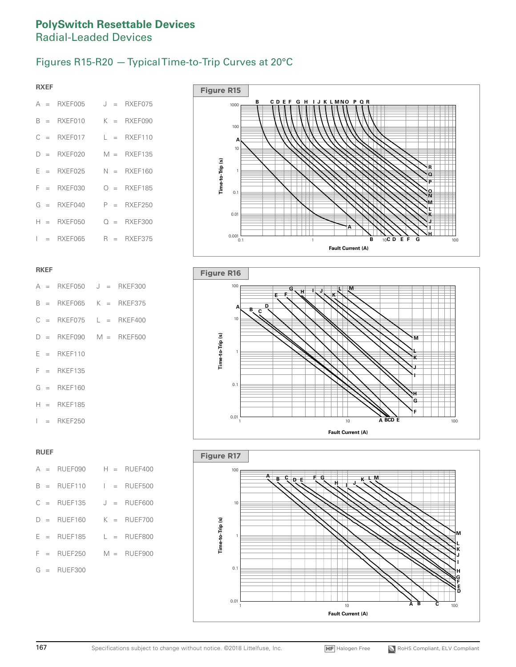### Figures R15-R20 — Typical Time-to-Trip Curves at 20°C

### **RXEF**

|  | $A = RXEFO05$ |  | $J = RXEFO75$              |
|--|---------------|--|----------------------------|
|  | $B = RXEFO10$ |  | $K = RXEF090$              |
|  | $C = RXEF017$ |  | $L = RXEF110$              |
|  | $D = RXEFO20$ |  | $M = RXEF135$              |
|  | $E = RXEFO25$ |  | $N = RXEF160$              |
|  | $F = RXEFO30$ |  | $O = RXEF185$              |
|  | $G = RXEFO40$ |  | $P = RXEF250$              |
|  | $H = RXEF050$ |  | $Q = RXEF300$              |
|  | $I = RXEFO65$ |  | $R = R \times F$ = RXEF375 |



|  | A = RKEF050 J = RKEF300     |  |  |
|--|-----------------------------|--|--|
|  | $B = RKEF065$ K = RKEF375   |  |  |
|  | $C = RKEF075$ $L = RKEF400$ |  |  |
|  | $D = RKEF090$ M = RKEF500   |  |  |
|  | $E = RKEF110$               |  |  |
|  | $F = RKEF135$               |  |  |
|  | $G = RKEF160$               |  |  |
|  | $H = RKEF185$               |  |  |
|  | $I = RKEF250$               |  |  |

### **RUEF**

|  | $A = RUEF090$ $H = RUEF400$ |  |               |
|--|-----------------------------|--|---------------|
|  | $B = RUFF110$ $I = RUFF500$ |  |               |
|  | $C = RUEF135$               |  | $J = RUFF600$ |
|  | $D = RUEF160$               |  | $K = RUEF700$ |
|  | $E = RUEF185$               |  | $L = RUEF800$ |
|  | $F = RUEF250$ $M = RUEF900$ |  |               |
|  | $G = RUEF300$               |  |               |
|  |                             |  |               |





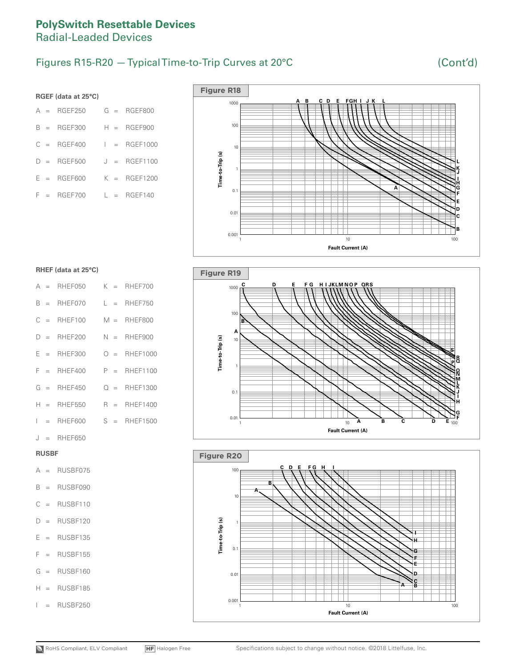### Figures R15-R20 – Typical Time-to-Trip Curves at 20°C (Cont'd)

### **RGEF (data at 25°C)**

|  | $A = RGEF250$ |  | $G = RGEF800$  |
|--|---------------|--|----------------|
|  | $B = RGEF300$ |  | $H = RGEF900$  |
|  | $C = RGEF400$ |  | $I = RGEF1000$ |
|  | $D = RGEF500$ |  | $J = RGEF1100$ |
|  | $E = RGEF600$ |  | $K = RGEF1200$ |
|  | $F = RGEF700$ |  | $L = RGEF140$  |



### **RHEF (data at 25°C)**

|  | $A = RHEF050$ $K = RHEF700$  |  |                |
|--|------------------------------|--|----------------|
|  | $B = RHEFO70$                |  | $L = RHEF750$  |
|  | $C = RHEF100$ M = RHEF800    |  |                |
|  | $D = RHEF200$                |  | $N = RHEF900$  |
|  | $E = RHEF300$                |  | $O = RHEF1000$ |
|  | $F = RHEF400$                |  | $P = RHEF1100$ |
|  | $G = RHEF450$                |  | $Q = RHEF1300$ |
|  | $H = RHEF550$ $R = RHEF1400$ |  |                |
|  | $I = RHEF600$ S = RHEF1500   |  |                |
|  | $J = RHEF650$                |  |                |
|  |                              |  |                |

### **RUSBF**

### A = RUSBF075

- $B = RUSBF090$
- $C = RUSBF110$
- $D = RUSBF120$
- $E$  = RUSBF135
- $F = RUSBF155$
- $G = RUSBF160$
- $H = RUSBF185$
- $I = RUSBF250$



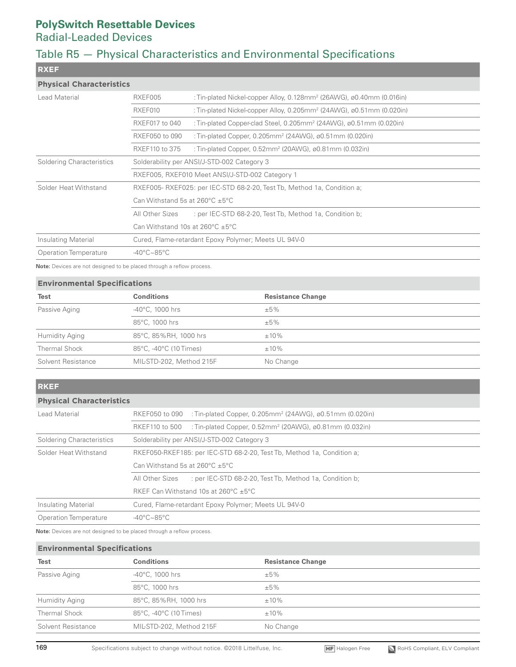## Table R5 — Physical Characteristics and Environmental Specifications

| <b>RXEF</b>                     |                                                        |                                                                                                   |  |  |  |  |
|---------------------------------|--------------------------------------------------------|---------------------------------------------------------------------------------------------------|--|--|--|--|
| <b>Physical Characteristics</b> |                                                        |                                                                                                   |  |  |  |  |
| Lead Material                   | RXEF005                                                | : Tin-plated Nickel-copper Alloy, $0.128$ mm <sup>2</sup> (26AWG), $\varnothing$ 0.40mm (0.016in) |  |  |  |  |
|                                 | RXEF010                                                | : Tin-plated Nickel-copper Alloy, 0.205mm <sup>2</sup> (24AWG), ø0.51mm (0.020in)                 |  |  |  |  |
|                                 | RXEF017 to 040                                         | : Tin-plated Copper-clad Steel, $0.205$ mm <sup>2</sup> (24AWG), $\varnothing$ 0.51mm (0.020in)   |  |  |  |  |
|                                 | RXEF050 to 090                                         | : Tin-plated Copper, 0.205mm <sup>2</sup> (24AWG), ø0.51mm (0.020in)                              |  |  |  |  |
|                                 | RXEF110 to 375                                         | : Tin-plated Copper, 0.52mm <sup>2</sup> (20AWG), ø0.81mm (0.032in)                               |  |  |  |  |
| Soldering Characteristics       | Solderability per ANSI/J-STD-002 Category 3            |                                                                                                   |  |  |  |  |
|                                 | RXEF005, RXEF010 Meet ANSI/J-STD-002 Category 1        |                                                                                                   |  |  |  |  |
| Solder Heat Withstand           |                                                        | RXEF005-RXEF025: per IEC-STD 68-2-20, Test Tb, Method 1a, Condition a;                            |  |  |  |  |
|                                 | Can Withstand 5s at $260^{\circ}$ C $\pm 5^{\circ}$ C  |                                                                                                   |  |  |  |  |
|                                 | All Other Sizes                                        | : per IEC-STD 68-2-20, Test Tb, Method 1a, Condition b;                                           |  |  |  |  |
|                                 | Can Withstand 10s at $260^{\circ}$ C $\pm 5^{\circ}$ C |                                                                                                   |  |  |  |  |
| Insulating Material             |                                                        | Cured, Flame-retardant Epoxy Polymer; Meets UL 94V-0                                              |  |  |  |  |
| Operation Temperature           | $-40^{\circ}$ C $\sim$ 85°C                            |                                                                                                   |  |  |  |  |

**Note:** Devices are not designed to be placed through a reflow process.

### **Environmental Specifications**

| <b>Test</b>          | <b>Conditions</b>         | <b>Resistance Change</b> |  |  |  |
|----------------------|---------------------------|--------------------------|--|--|--|
| Passive Aging        | $-40^{\circ}$ C, 1000 hrs | $±5\%$                   |  |  |  |
|                      | 85°C, 1000 hrs            | $±5\%$                   |  |  |  |
| Humidity Aging       | 85°C, 85%RH, 1000 hrs     | $±10\%$                  |  |  |  |
| <b>Thermal Shock</b> | 85°C, -40°C (10 Times)    | $±10\%$                  |  |  |  |
| Solvent Resistance   | MIL-STD-202, Method 215F  | No Change                |  |  |  |

### **RKEF**

| <b>Physical Characteristics</b> |                                                                                                   |  |  |  |  |
|---------------------------------|---------------------------------------------------------------------------------------------------|--|--|--|--|
| Lead Material                   | : Tin-plated Copper, $0.205$ mm <sup>2</sup> (24AWG), $\omega$ 0.51mm (0.020in)<br>RKEF050 to 090 |  |  |  |  |
|                                 | RKEF110 to 500<br>: Tin-plated Copper, 0.52mm <sup>2</sup> (20AWG), ø0.81mm (0.032in)             |  |  |  |  |
| Soldering Characteristics       | Solderability per ANSI/J-STD-002 Category 3                                                       |  |  |  |  |
| Solder Heat Withstand           | RKEF050-RKEF185: per IEC-STD 68-2-20, Test Tb, Method 1a, Condition a;                            |  |  |  |  |
|                                 | Can Withstand 5s at $260^{\circ}$ C $\pm 5^{\circ}$ C                                             |  |  |  |  |
|                                 | All Other Sizes<br>: per IEC-STD 68-2-20, Test Tb, Method 1a, Condition b;                        |  |  |  |  |
|                                 | RKEF Can Withstand 10s at 260 $^{\circ}$ C $\pm$ 5 $^{\circ}$ C                                   |  |  |  |  |
| Insulating Material             | Cured, Flame-retardant Epoxy Polymer; Meets UL 94V-0                                              |  |  |  |  |
| <b>Operation Temperature</b>    | $-40^{\circ}$ C $\sim$ 85°C                                                                       |  |  |  |  |

**Note:** Devices are not designed to be placed through a reflow process.

### **Environmental Specifications**

| <b>Test</b>        | <b>Conditions</b>         | <b>Resistance Change</b> |
|--------------------|---------------------------|--------------------------|
| Passive Aging      | $-40^{\circ}$ C, 1000 hrs | $\pm 5\%$                |
|                    | 85°C, 1000 hrs            | ±5%                      |
| Humidity Aging     | 85°C, 85%RH, 1000 hrs     | $±10\%$                  |
| Thermal Shock      | 85°C, -40°C (10 Times)    | $±10\%$                  |
| Solvent Resistance | MIL-STD-202, Method 215F  | No Change                |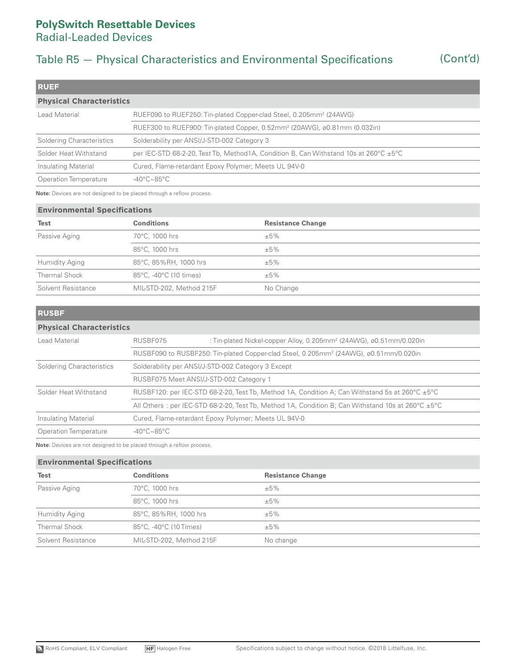## Table R5 — Physical Characteristics and Environmental Specifications (Cont'd)

| <b>RUEF</b>                     |                                                                                                              |  |  |
|---------------------------------|--------------------------------------------------------------------------------------------------------------|--|--|
| <b>Physical Characteristics</b> |                                                                                                              |  |  |
| Lead Material                   | RUEF090 to RUEF250: Tin-plated Copper-clad Steel, 0.205mm <sup>2</sup> (24AWG)                               |  |  |
|                                 | RUEF300 to RUEF900: Tin-plated Copper, 0.52mm <sup>2</sup> (20AWG), ø0.81mm (0.032in)                        |  |  |
| Soldering Characteristics       | Solderability per ANSI/J-STD-002 Category 3                                                                  |  |  |
| Solder Heat Withstand           | per IEC-STD 68-2-20, Test Tb, Method 1A, Condition B, Can Withstand 10s at $260^{\circ}$ C $\pm 5^{\circ}$ C |  |  |
| Insulating Material             | Cured, Flame-retardant Epoxy Polymer; Meets UL 94V-0                                                         |  |  |
| <b>Operation Temperature</b>    | $-40^{\circ}$ C $\sim$ 85°C                                                                                  |  |  |

**Note:** Devices are not designed to be placed through a reflow process.

### **Environmental Specifications**

| <b>Test</b>          | <b>Conditions</b>        | <b>Resistance Change</b> |
|----------------------|--------------------------|--------------------------|
| Passive Aging        | 70°C, 1000 hrs           | $±5\%$                   |
|                      | 85°C, 1000 hrs           | $±5\%$                   |
| Humidity Aging       | 85°C, 85%RH, 1000 hrs    | $±5\%$                   |
| <b>Thermal Shock</b> | 85°C, -40°C (10 times)   | $±5\%$                   |
| Solvent Resistance   | MIL-STD-202, Method 215F | No Change                |

| <b>RUSBF</b>                    |                                                                                                                              |                                                                                                 |  |  |  |
|---------------------------------|------------------------------------------------------------------------------------------------------------------------------|-------------------------------------------------------------------------------------------------|--|--|--|
| <b>Physical Characteristics</b> |                                                                                                                              |                                                                                                 |  |  |  |
| Lead Material                   | RUSBF075                                                                                                                     | : Tin-plated Nickel-copper Alloy, $0.205$ mm <sup>2</sup> (24AWG), $\varnothing$ 0.51mm/0.020in |  |  |  |
|                                 | RUSBF090 to RUSBF250: Tin-plated Copper-clad Steel, 0.205mm <sup>2</sup> (24AWG), ø0.51mm/0.020in                            |                                                                                                 |  |  |  |
| Soldering Characteristics       | Solderability per ANSI/J-STD-002 Category 3 Except                                                                           |                                                                                                 |  |  |  |
|                                 | RUSBF075 Meet ANSI/J-STD-002 Category 1                                                                                      |                                                                                                 |  |  |  |
| Solder Heat Withstand           | RUSBF120: per IEC-STD 68-2-20, Test Tb, Method 1A, Condition A; Can Withstand 5s at 260 $^{\circ}$ C $\pm$ 5 $^{\circ}$ C    |                                                                                                 |  |  |  |
|                                 | All Others: per IEC-STD 68-2-20, Test Tb, Method 1A, Condition B; Can Withstand 10s at 260 $^{\circ}$ C $\pm$ 5 $^{\circ}$ C |                                                                                                 |  |  |  |
| Insulating Material             | Cured, Flame-retardant Epoxy Polymer; Meets UL 94V-0                                                                         |                                                                                                 |  |  |  |
| <b>Operation Temperature</b>    | $-40^{\circ}$ C $\sim$ 85°C                                                                                                  |                                                                                                 |  |  |  |
|                                 |                                                                                                                              |                                                                                                 |  |  |  |

**Note:** Devices are not designed to be placed through a reflow process.

### **Environmental Specifications**

| <b>Test</b>        | <b>Conditions</b>        | <b>Resistance Change</b> |
|--------------------|--------------------------|--------------------------|
| Passive Aging      | 70°C, 1000 hrs           | $±5\%$                   |
|                    | 85°C, 1000 hrs           | ±5%                      |
| Humidity Aging     | 85°C, 85%RH, 1000 hrs    | $±5\%$                   |
| Thermal Shock      | 85°C, -40°C (10 Times)   | $±5\%$                   |
| Solvent Resistance | MIL-STD-202, Method 215F | No change                |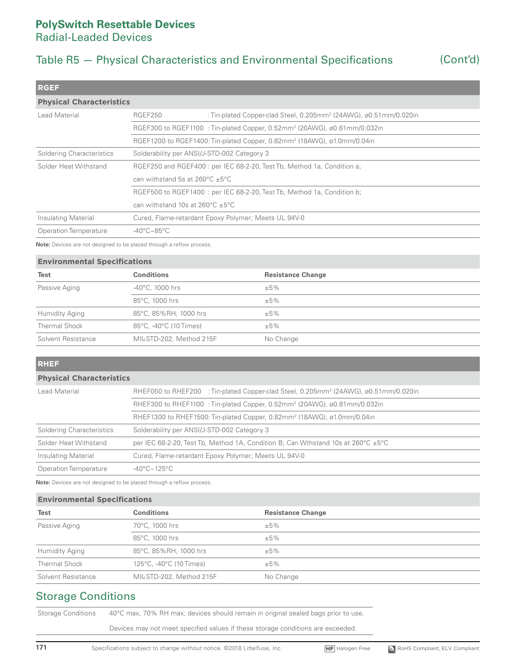### Table R5 — Physical Characteristics and Environmental Specifications (Cont'd)

| <b>RGEF</b>                     |                                                                                     |                                                                                       |  |  |  |
|---------------------------------|-------------------------------------------------------------------------------------|---------------------------------------------------------------------------------------|--|--|--|
| <b>Physical Characteristics</b> |                                                                                     |                                                                                       |  |  |  |
| Lead Material                   | <b>RGEF250</b>                                                                      | : Tin-plated Copper-clad Steel, 0.205mm <sup>2</sup> (24AWG), ø0.51mm/0.020in         |  |  |  |
|                                 |                                                                                     | RGEF300 to RGEF1100 : Tin-plated Copper, 0.52mm <sup>2</sup> (20AWG), ø0.81mm/0.032in |  |  |  |
|                                 | RGEF1200 to RGEF1400: Tin-plated Copper, 0.82mm <sup>2</sup> (18AWG), ø1.0mm/0.04in |                                                                                       |  |  |  |
| Soldering Characteristics       | Solderability per ANSI/J-STD-002 Category 3                                         |                                                                                       |  |  |  |
| Solder Heat Withstand           | RGEF250 and RGEF400 : per IEC 68-2-20, Test Tb, Method 1a, Condition a;             |                                                                                       |  |  |  |
|                                 | can withstand 5s at 260 $^{\circ}$ C $\pm$ 5 $^{\circ}$ C                           |                                                                                       |  |  |  |
|                                 | RGEF500 to RGEF1400 : per IEC 68-2-20, Test Tb, Method 1a, Condition b;             |                                                                                       |  |  |  |
|                                 | can withstand 10s at 260 $^{\circ}$ C $\pm$ 5 $^{\circ}$ C                          |                                                                                       |  |  |  |
| Insulating Material             |                                                                                     | Cured, Flame-retardant Epoxy Polymer; Meets UL 94V-0                                  |  |  |  |
| <b>Operation Temperature</b>    | $-40^{\circ}$ C $\sim$ 85°C                                                         |                                                                                       |  |  |  |

**Note:** Devices are not designed to be placed through a reflow process.

### **Environmental Specifications**

| <b>Test</b>        | <b>Conditions</b>         | <b>Resistance Change</b> |
|--------------------|---------------------------|--------------------------|
| Passive Aging      | $-40^{\circ}$ C, 1000 hrs | $±5\%$                   |
|                    | 85°C, 1000 hrs            | $±5\%$                   |
| Humidity Aging     | 85°C, 85%RH, 1000 hrs     | $±5\%$                   |
| Thermal Shock      | 85°C, -40°C (10 Times)    | $±5\%$                   |
| Solvent Resistance | MIL-STD-202, Method 215F  | No Change                |

| <b>RHEF</b>                     |                                                                                                         |  |  |  |
|---------------------------------|---------------------------------------------------------------------------------------------------------|--|--|--|
| <b>Physical Characteristics</b> |                                                                                                         |  |  |  |
| Lead Material                   | RHEF050 to RHEF200 : Tin-plated Copper-clad Steel, 0.205mm <sup>2</sup> (24AWG), ø0.51mm/0.020in        |  |  |  |
|                                 | RHEF300 to RHEF1100 : Tin-plated Copper, 0.52mm <sup>2</sup> (20AWG), ø0.81mm/0.032in                   |  |  |  |
|                                 | RHEF1300 to RHEF1500: Tin-plated Copper, 0.82mm <sup>2</sup> (18AWG), ø1.0mm/0.04in                     |  |  |  |
| Soldering Characteristics       | Solderability per ANSI/J-STD-002 Category 3                                                             |  |  |  |
| Solder Heat Withstand           | per IEC 68-2-20, Test Tb, Method 1A, Condition B; Can Wthstand 10s at $260^{\circ}$ C $\pm 5^{\circ}$ C |  |  |  |
| Insulating Material             | Cured, Flame-retardant Epoxy Polymer; Meets UL 94V-0                                                    |  |  |  |
| <b>Operation Temperature</b>    | $-40^{\circ}$ C $\sim$ 125 $^{\circ}$ C                                                                 |  |  |  |

**Note:** Devices are not designed to be placed through a reflow process.

### **Environmental Specifications**

| <b>Test</b>        | <b>Conditions</b>        | <b>Resistance Change</b> |
|--------------------|--------------------------|--------------------------|
| Passive Aging      | 70°C, 1000 hrs           | $±5\%$                   |
|                    | 85°C, 1000 hrs           | $±5\%$                   |
| Humidity Aging     | 85°C, 85%RH, 1000 hrs    | $±5\%$                   |
| Thermal Shock      | 125°C, -40°C (10 Times)  | $±5\%$                   |
| Solvent Resistance | MIL-STD-202, Method 215F | No Change                |

### Storage Conditions

Storage Conditions 40°C max, 70% RH max; devices should remain in original sealed bags prior to use.

Devices may not meet specified values if these storage conditions are exceeded.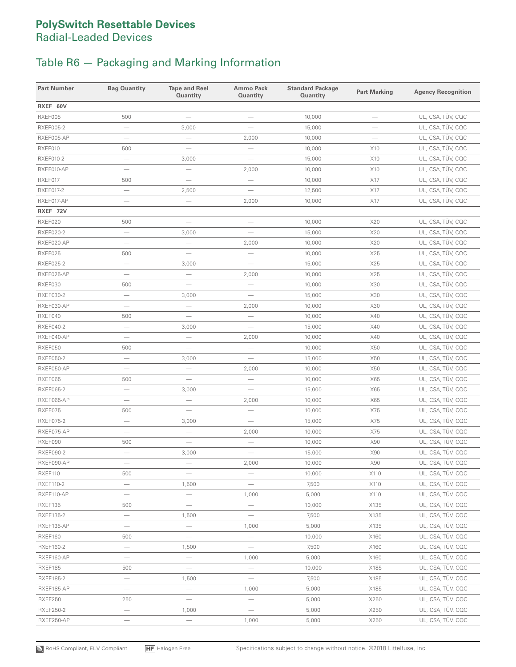## Table R6 — Packaging and Marking Information

| <b>Part Number</b> | <b>Bag Quantity</b>             | <b>Tape and Reel</b><br><b>Quantity</b> | <b>Ammo Pack</b><br><b>Quantity</b> | <b>Standard Package</b><br>Quantity | <b>Part Marking</b>      | <b>Agency Recognition</b> |
|--------------------|---------------------------------|-----------------------------------------|-------------------------------------|-------------------------------------|--------------------------|---------------------------|
| RXEF 60V           |                                 |                                         |                                     |                                     |                          |                           |
| RXEF005            | 500                             |                                         |                                     | 10,000                              |                          | UL, CSA, TÜV, CQC         |
| <b>RXEF005-2</b>   |                                 | 3,000                                   |                                     | 15,000                              | $\overline{\phantom{0}}$ | UL, CSA, TÜV, CQC         |
| RXEF005-AP         |                                 |                                         | 2,000                               | 10,000                              |                          | UL, CSA, TÜV, CQC         |
| RXEF010            | 500                             |                                         | $\overline{\phantom{0}}$            | 10,000                              | X10                      | UL, CSA, TÜV, CQC         |
| <b>RXEF010-2</b>   |                                 | 3,000                                   |                                     | 15,000                              | X10                      | UL, CSA, TÜV, CQC         |
| RXEF010-AP         |                                 |                                         | 2,000                               | 10,000                              | X10                      | UL, CSA, TÜV, CQC         |
| RXEF017            | 500                             |                                         |                                     | 10,000                              | X17                      | UL, CSA, TÜV, CQC         |
| RXEF017-2          |                                 | 2,500                                   |                                     | 12,500                              | X17                      | UL, CSA, TÜV, CQC         |
| RXEF017-AP         |                                 |                                         | 2,000                               | 10,000                              | X17                      | UL, CSA, TÜV, CQC         |
| RXEF 72V           |                                 |                                         |                                     |                                     |                          |                           |
| RXEF020            | 500                             | $\overline{\phantom{0}}$                |                                     | 10,000                              | X20                      | UL, CSA, TÜV, CQC         |
| RXEF020-2          | $\overbrace{\qquad \qquad }^{}$ | 3,000                                   | $\overline{\phantom{0}}$            | 15,000                              | X20                      | UL, CSA, TÜV, CQC         |
| RXEF020-AP         | $\overline{\phantom{0}}$        | $\overline{\phantom{0}}$                | 2,000                               | 10,000                              | X20                      | UL, CSA, TÜV, CQC         |
| RXEF025            | 500                             |                                         |                                     | 10,000                              | X25                      | UL, CSA, TÜV, CQC         |
| <b>RXEF025-2</b>   |                                 | 3,000                                   |                                     | 15,000                              | X25                      | UL, CSA, TÜV, CQC         |
| RXEF025-AP         |                                 |                                         | 2,000                               | 10,000                              | X25                      | UL, CSA, TÜV, CQC         |
| RXEF030            | 500                             |                                         |                                     | 10,000                              | X30                      | UL, CSA, TÜV, CQC         |
| <b>RXEF030-2</b>   |                                 | 3,000                                   |                                     | 15,000                              | X30                      | UL, CSA, TÜV, CQC         |
| RXEF030-AP         | $\overline{\phantom{0}}$        |                                         | 2,000                               | 10,000                              | X30                      | UL, CSA, TÜV, CQC         |
| RXEF040            | 500                             | $\overline{\phantom{0}}$                |                                     | 10,000                              | X40                      | UL, CSA, TÜV, CQC         |
| <b>RXEF040-2</b>   |                                 | 3,000                                   |                                     | 15,000                              | X40                      | UL, CSA, TÜV, CQC         |
| RXEF040-AP         | $\equiv$                        | $\overline{\phantom{m}}$                | 2,000                               | 10,000                              | X40                      | UL, CSA, TÜV, CQC         |
| RXEF050            | 500                             |                                         |                                     | 10,000                              | X50                      | UL, CSA, TÜV, CQC         |
| <b>RXEF050-2</b>   | $\overline{\phantom{0}}$        | 3,000                                   |                                     | 15,000                              | X50                      | UL, CSA, TÜV, CQC         |
| RXEF050-AP         |                                 | $\overline{\phantom{m}}$                | 2,000                               | 10,000                              | X50                      | UL, CSA, TÜV, CQC         |
| RXEF065            | 500                             | $\overline{\phantom{0}}$                |                                     | 10,000                              | X65                      | UL, CSA, TÜV, CQC         |
| <b>RXEF065-2</b>   |                                 | 3,000                                   |                                     | 15,000                              | X65                      | UL, CSA, TÜV, CQC         |
| RXEF065-AP         |                                 |                                         | 2,000                               | 10,000                              | X65                      | UL, CSA, TÜV, CQC         |
| RXEF075            | 500                             |                                         |                                     | 10,000                              | X75                      | UL, CSA, TÜV, CQC         |
| <b>RXEF075-2</b>   |                                 | 3,000                                   |                                     | 15,000                              | X75                      | UL, CSA, TÜV, CQC         |
| RXEF075-AP         |                                 |                                         | 2,000                               | 10,000                              | X75                      | UL, CSA, TÜV, CQC         |
| RXEF090            | 500                             |                                         |                                     | 10,000                              | X90                      | UL, CSA, TÜV, CQC         |
| <b>RXEF090-2</b>   |                                 | 3,000                                   |                                     | 15,000                              | X90                      | UL, CSA, TÜV, CQC         |
| RXEF090-AP         |                                 |                                         | 2,000                               | 10,000                              | X90                      | UL, CSA, TUV, CQC         |
| RXEF110            | 500                             | $\qquad \qquad -$                       | $\overline{\phantom{m}}$            | 10,000                              | X110                     | UL, CSA, TÜV, CQC         |
| RXEF110-2          |                                 | 1,500                                   | $\overline{\phantom{0}}$            | 7,500                               | X110                     | UL, CSA, TÜV, CQC         |
| RXEF110-AP         |                                 | $\overline{\phantom{0}}$                | 1,000                               | 5,000                               | X110                     | UL, CSA, TÜV, CQC         |
| RXEF135            | 500                             | $\overline{\phantom{m}}$                |                                     | 10,000                              | X135                     | UL, CSA, TÜV, CQC         |
| <b>RXEF135-2</b>   | $\qquad \qquad -$               | 1,500                                   | $\qquad \qquad -$                   | 7,500                               | X135                     | UL, CSA, TÜV, CQC         |
| RXEF135-AP         |                                 | $\overline{\phantom{m}}$                | 1,000                               | 5,000                               | X135                     | UL, CSA, TÜV, CQC         |
| RXEF160            | 500                             |                                         | $\overline{\phantom{m}}$            | 10,000                              | X160                     | UL, CSA, TÜV, CQC         |
| <b>RXEF160-2</b>   | $\overline{\phantom{m}}$        | 1,500                                   | $\overline{\phantom{0}}$            | 7,500                               | X160                     | UL, CSA, TÜV, CQC         |
| RXEF160-AP         |                                 |                                         | 1,000                               | 5,000                               | X160                     | UL, CSA, TÜV, CQC         |
| RXEF185            | 500                             | $\overbrace{\phantom{123221111}}$       |                                     | 10,000                              | X185                     | UL, CSA, TÜV, CQC         |
| <b>RXEF185-2</b>   | $\overline{\phantom{0}}$        | 1,500                                   |                                     | 7,500                               | X185                     | UL, CSA, TÜV, CQC         |
| RXEF185-AP         |                                 |                                         | 1,000                               | 5,000                               | X185                     | UL, CSA, TÜV, CQC         |
| RXEF250            | 250                             |                                         |                                     |                                     | X250                     | UL, CSA, TÜV, CQC         |
|                    |                                 |                                         | $\qquad \qquad -$                   | 5,000                               |                          |                           |
| RXEF250-2          |                                 | 1,000                                   | $\overbrace{\phantom{12333}}$       | 5,000                               | X250                     | UL, CSA, TÜV, CQC         |
| RXEF250-AP         |                                 | $\overline{\phantom{m}}$                | 1,000                               | 5,000                               | X250                     | UL, CSA, TÜV, CQC         |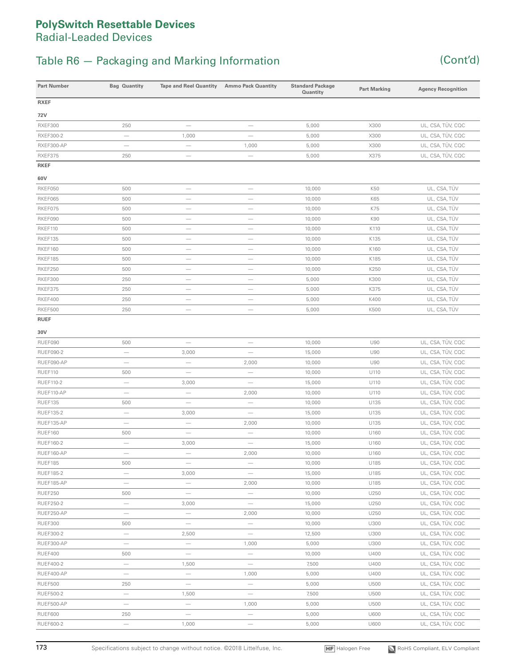## Table R6 – Packaging and Marking Information (Cont'd)

| <b>Part Number</b> | <b>Bag Quantity</b>               | <b>Tape and Reel Quantity</b> | <b>Ammo Pack Quantity</b>       | <b>Standard Package</b><br>Quantity | <b>Part Marking</b> | <b>Agency Recognition</b> |
|--------------------|-----------------------------------|-------------------------------|---------------------------------|-------------------------------------|---------------------|---------------------------|
| <b>RXEF</b>        |                                   |                               |                                 |                                     |                     |                           |
| 72V                |                                   |                               |                                 |                                     |                     |                           |
| RXEF300            | 250                               |                               |                                 | 5,000                               | X300                | UL, CSA, TÜV, CQC         |
| RXEF300-2          | $\qquad \qquad$                   | 1,000                         |                                 | 5,000                               | X300                | UL, CSA, TÜV, CQC         |
| RXEF300-AP         | $\overbrace{\phantom{123221111}}$ | $\qquad \qquad$               | 1,000                           | 5,000                               | X300                | UL, CSA, TÜV, CQC         |
| RXEF375            | 250                               |                               |                                 | 5,000                               | X375                | UL, CSA, TÜV, CQC         |
| <b>RKEF</b>        |                                   |                               |                                 |                                     |                     |                           |
| 60V                |                                   |                               |                                 |                                     |                     |                           |
| RKEF050            | 500                               | $\qquad \qquad$               | $\qquad \qquad -$               | 10,000                              | K50                 | UL, CSA, TÜV              |
| RKEF065            | 500                               |                               |                                 | 10,000                              | K65                 | UL, CSA, TÜV              |
| RKEF075            | 500                               |                               |                                 | 10,000                              | K75                 | UL, CSA, TÜV              |
| RKEF090            | 500                               |                               |                                 | 10,000                              | K90                 | UL, CSA, TÜV              |
| RKEF110            | 500                               | $\qquad \qquad$               |                                 | 10,000                              | K110                | UL, CSA, TÜV              |
| RKEF135            | 500                               | $\qquad \qquad$               |                                 | 10,000                              | K135                | UL, CSA, TÜV              |
| RKEF160            | 500                               | $\qquad \qquad$               | $\overline{\phantom{0}}$        | 10,000                              | K160                | UL, CSA, TÜV              |
| RKEF185            | 500                               | $\qquad \qquad$               | $\overline{\phantom{m}}$        | 10,000                              | K185                | UL, CSA, TÜV              |
| RKEF250            | 500                               |                               | $\overline{\phantom{m}}$        | 10,000                              | K250                | UL, CSA, TÜV              |
| RKEF300            | 250                               |                               | $\overline{\phantom{m}}$        | 5,000                               | K300                | UL, CSA, TÜV              |
| RKEF375            | 250                               |                               | $\overline{\phantom{0}}$        | 5,000                               | K375                | UL, CSA, TÜV              |
| RKEF400            | 250                               |                               | $\overline{\phantom{0}}$        | 5,000                               | K400                | UL, CSA, TÜV              |
| RKEF500            | 250                               | $\qquad \qquad$               |                                 | 5,000                               | K500                | UL, CSA, TÜV              |
| <b>RUEF</b>        |                                   |                               |                                 |                                     |                     |                           |
| 30V                |                                   |                               |                                 |                                     |                     |                           |
| RUEF090            | 500                               |                               | $\overline{\phantom{m}}$        | 10,000                              | U90                 | UL, CSA, TÜV, CQC         |
| <b>RUEF090-2</b>   |                                   | 3,000                         | $\overline{\phantom{0}}$        | 15,000                              | U90                 | UL, CSA, TÜV, CQC         |
| RUEF090-AP         |                                   | $\overline{\phantom{0}}$      | 2,000                           | 10,000                              | U90                 | UL, CSA, TÜV, CQC         |
| RUEF110            | 500                               |                               | $\overline{\phantom{0}}$        | 10,000                              | U110                | UL, CSA, TÜV, CQC         |
| RUEF110-2          |                                   | 3,000                         | $\overline{\phantom{0}}$        | 15,000                              | U110                | UL, CSA, TÜV, CQC         |
| RUEF110-AP         |                                   |                               | 2,000                           | 10,000                              | U110                | UL, CSA, TÜV, CQC         |
| RUEF135            | 500                               | $\qquad \qquad -$             | $\overline{\phantom{0}}$        | 10,000                              | U135                | UL, CSA, TÜV, CQC         |
| <b>RUEF135-2</b>   | $\overline{\phantom{0}}$          | 3,000                         | $\overline{\phantom{0}}$        | 15,000                              | U135                | UL, CSA, TÜV, CQC         |
| RUEF135-AP         | $\overline{\phantom{0}}$          |                               | 2,000                           | 10,000                              | U135                | UL, CSA, TÜV, CQC         |
| RUEF160            | 500                               | $\overline{\phantom{0}}$      | $\overline{\phantom{0}}$        | 10,000                              | U160                | UL, CSA, TÜV, CQC         |
| <b>RUEF160-2</b>   |                                   | 3,000                         |                                 | 15,000                              | U160                | UL, CSA, TÜV, CQC         |
| RUEF160-AP         |                                   |                               | 2,000                           | 10,000                              | U160                | UL, CSA, TÜV, CQC         |
| RUEF185            | 500                               |                               |                                 | 10,000                              | U185                | UL, CSA, TÜV, CQC         |
| <b>RUEF185-2</b>   | $\overline{\phantom{0}}$          | 3,000                         | $\overline{\phantom{0}}$        | 15,000                              | U185                | UL, CSA, TÜV, CQC         |
| RUEF185-AP         | $\overline{\phantom{0}}$          | $\overline{\phantom{0}}$      | 2,000                           | 10,000                              | U185                | UL, CSA, TÜV, CQC         |
| RUEF250            | 500                               | $\overline{\phantom{0}}$      | $\overline{\phantom{m}}$        | 10,000                              | U250                | UL, CSA, TÜV, CQC         |
| <b>RUEF250-2</b>   | $\overline{\phantom{0}}$          | 3,000                         | $\overline{\phantom{m}}$        | 15,000                              | U250                | UL, CSA, TÜV, CQC         |
| RUEF250-AP         | $\overline{\phantom{m}}$          | $\overline{\phantom{m}}$      | 2,000                           | 10,000                              | U250                | UL, CSA, TÜV, CQC         |
| RUEF300            | 500                               | $\qquad \qquad -$             | $\overline{\phantom{0}}$        | 10,000                              | U300                | UL, CSA, TÜV, CQC         |
| RUEF300-2          | $\overline{\phantom{m}}$          | 2,500                         | $\overline{\phantom{m}}$        | 12,500                              | U300                | UL, CSA, TÜV, CQC         |
| RUEF300-AP         | $\overline{\phantom{m}}$          |                               | 1,000                           | 5,000                               | U300                | UL, CSA, TÜV, CQC         |
| RUEF400            | 500                               |                               |                                 | 10,000                              | U400                | UL, CSA, TÜV, CQC         |
| <b>RUEF400-2</b>   | $\overline{\phantom{m}}$          | 1,500                         | $\overline{\phantom{m}}$        | 7,500                               | U400                | UL, CSA, TÜV, CQC         |
| RUEF400-AP         | $\overline{\phantom{m}}$          | $\overline{\phantom{m}}$      | 1,000                           | 5,000                               | U400                | UL, CSA, TÜV, CQC         |
| RUEF500            | 250                               |                               | $\overline{\phantom{m}}$        | 5,000                               | U500                | UL, CSA, TÜV, CQC         |
| <b>RUEF500-2</b>   | $\overline{\phantom{m}}$          | 1,500                         | $\overline{\phantom{m}}$        | 7,500                               | U500                | UL, CSA, TÜV, CQC         |
| RUEF500-AP         | $\overline{\phantom{m}}$          | $\overline{\phantom{m}}$      | 1,000                           | 5,000                               | U500                | UL, CSA, TÜV, CQC         |
| RUEF600            | 250                               | $\overline{\phantom{0}}$      | $\overline{\phantom{m}}$        | 5,000                               | U600                | UL, CSA, TÜV, CQC         |
| <b>RUEF600-2</b>   |                                   | 1,000                         | $\hspace{0.1mm}-\hspace{0.1mm}$ | 5,000                               | U600                | UL, CSA, TÜV, CQC         |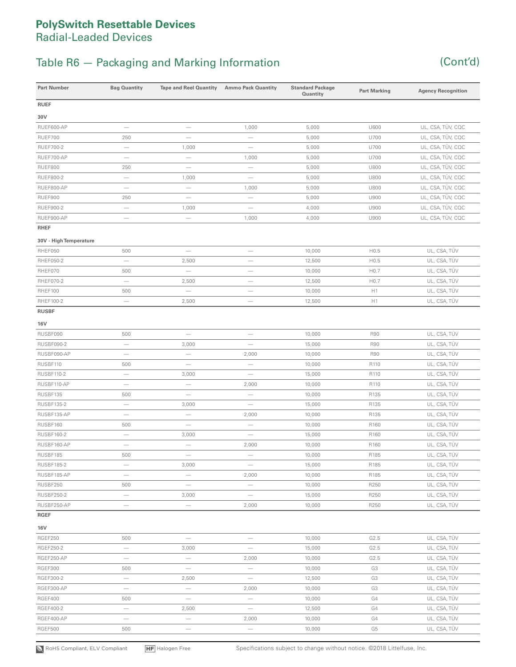## Table R6 — Packaging and Marking Information (Cont'd)

| <b>Part Number</b>     | <b>Bag Quantity</b>              | <b>Tape and Reel Quantity</b>     | <b>Ammo Pack Quantity</b> | <b>Standard Package</b><br>Quantity | <b>Part Marking</b> | <b>Agency Recognition</b> |
|------------------------|----------------------------------|-----------------------------------|---------------------------|-------------------------------------|---------------------|---------------------------|
| <b>RUEF</b>            |                                  |                                   |                           |                                     |                     |                           |
| 30V                    |                                  |                                   |                           |                                     |                     |                           |
| RUEF600-AP             | $\qquad \qquad$                  | $\overline{\phantom{0}}$          | 1,000                     | 5,000                               | U600                | UL, CSA, TÜV, CQC         |
| RUEF700                | 250                              |                                   | $\qquad \qquad$           | 5,000                               | U700                | UL, CSA, TÜV, CQC         |
| <b>RUEF700-2</b>       | $\qquad \qquad$                  | 1,000                             |                           | 5,000                               | U700                | UL, CSA, TÜV, CQC         |
| RUEF700-AP             | $\overbrace{\phantom{12322111}}$ | $\overline{\phantom{m}}$          | 1,000                     | 5,000                               | U700                | UL, CSA, TÜV, CQC         |
| RUEF800                | 250                              | $\overline{\phantom{0}}$          | $\qquad \qquad -$         | 5,000                               | U800                | UL, CSA, TÜV, CQC         |
| <b>RUEF800-2</b>       | $\qquad \qquad -$                | 1,000                             | $\qquad \qquad$           | 5,000                               | U800                | UL, CSA, TÜV, CQC         |
| RUEF800-AP             |                                  | $\overline{\phantom{0}}$          | 1,000                     | 5,000                               | U800                | UL, CSA, TÜV, CQC         |
| RUEF900                | 250                              | $\qquad \qquad -$                 | $\qquad \qquad$           | 5,000                               | U900                | UL, CSA, TÜV, CQC         |
| <b>RUEF900-2</b>       |                                  | 1,000                             |                           | 4,000                               | U900                | UL, CSA, TÜV, CQC         |
| RUEF900-AP             |                                  | $\overline{\phantom{m}}$          | 1,000                     | 4,000                               | U900                | UL, CSA, TÜV, CQC         |
| <b>RHEF</b>            |                                  |                                   |                           |                                     |                     |                           |
| 30V - High Temperature |                                  |                                   |                           |                                     |                     |                           |
| RHEF050                | 500                              | $\qquad \qquad$                   |                           | 10,000                              | H0.5                | UL, CSA, TÜV              |
| RHEF050-2              |                                  | 2,500                             |                           | 12,500                              | H0.5                | UL, CSA, TÜV              |
| RHEF070                | 500                              |                                   |                           | 10,000                              | H0.7                | UL, CSA, TÜV              |
| RHEF070-2              | $\qquad \qquad$                  | 2,500                             | -                         | 12,500                              | H0.7                | UL, CSA, TÜV              |
| RHEF100                | 500                              | $\overline{\phantom{m}}$          |                           | 10,000                              | H1                  | UL, CSA, TÜV              |
| RHEF100-2              | $\overline{\phantom{0}}$         | 2,500                             | $\qquad \qquad -$         | 12,500                              | H1                  | UL, CSA, TÜV              |
| <b>RUSBF</b>           |                                  |                                   |                           |                                     |                     |                           |
| 16V                    |                                  |                                   |                           |                                     |                     |                           |
| RUSBF090               | 500                              | $\overline{\phantom{m}}$          |                           | 10,000                              | R90                 | UL, CSA, TÜV              |
| RUSBF090-2             | $\qquad \qquad$                  | 3,000                             |                           | 15,000                              | R90                 | UL, CSA, TÜV              |
| RUSBF090-AP            | $\overline{\phantom{0}}$         | $\qquad \qquad$                   | 2,000                     | 10,000                              | R90                 | UL, CSA, TÜV              |
| RUSBF110               | 500                              | $\overline{\phantom{m}}$          | $\overline{\phantom{0}}$  | 10,000                              | R110                | UL, CSA, TÜV              |
| <b>RUSBF110-2</b>      | $\qquad \qquad$                  | 3,000                             | $\qquad \qquad$           | 15,000                              | R110                | UL, CSA, TÜV              |
| RUSBF110-AP            | $\overline{\phantom{0}}$         | $\overline{\phantom{m}}$          | 2,000                     | 10,000                              | R110                | UL, CSA, TÜV              |
| RUSBF135               | 500                              |                                   | $\qquad \qquad$           | 10,000                              | R135                | UL, CSA, TÜV              |
| <b>RUSBF135-2</b>      | $\qquad \qquad$                  | 3,000                             | $\qquad \qquad -$         | 15,000                              | R135                | UL, CSA, TÜV              |
| RUSBF135-AP            | $\qquad \qquad$                  | $\qquad \qquad$                   | 2,000                     | 10,000                              | R135                | UL, CSA, TÜV              |
| RUSBF160               | 500                              |                                   |                           | 10,000                              | R160                | UL, CSA, TÜV              |
| <b>RUSBF160-2</b>      |                                  | 3,000                             | $\qquad \qquad -$         | 15,000                              | R160                | UL, CSA, TÜV              |
| RUSBF160-AP            | $\overline{\phantom{0}}$         |                                   | 2,000                     | 10,000                              | R160                | UL, CSA, TÜV              |
| RUSBF185               | 500                              | $\overline{\phantom{0}}$          |                           | 10,000                              | R185                | UL, CSA, TÜV              |
| <b>RUSBF185-2</b>      | $\qquad \qquad$                  | 3,000                             | $\overline{\phantom{0}}$  | 15,000                              | R185                | UL, CSA, TÜV              |
| RUSBF185-AP            | $\overline{\phantom{0}}$         | $\overline{\phantom{m}}$          | 2,000                     | 10,000                              | R185                | UL, CSA, TÜV              |
| RUSBF250               |                                  | $\overline{\phantom{0}}$          | $\overline{\phantom{m}}$  | 10,000                              | R250                | UL, CSA, TÜV              |
| <b>RUSBF250-2</b>      | 500<br>$\overline{\phantom{m}}$  |                                   | $\qquad \qquad -$         |                                     |                     | UL, CSA, TÜV              |
| RUSBF250-AP            |                                  | 3,000<br>$\overline{\phantom{m}}$ | 2,000                     | 15,000<br>10,000                    | R250<br>R250        | UL, CSA, TUV              |
| RGEF                   |                                  |                                   |                           |                                     |                     |                           |
|                        |                                  |                                   |                           |                                     |                     |                           |
| 16V                    |                                  |                                   |                           |                                     |                     |                           |
| RGEF250                | 500                              | $\overline{\phantom{m}}$          | $\qquad \qquad -$         | 10,000                              | G2.5                | UL, CSA, TÜV              |
| RGEF250-2              | $\overline{\phantom{0}}$         | 3,000                             | —                         | 15,000                              | G2.5                | UL, CSA, TÜV              |
| RGEF250-AP             | $\overline{\phantom{m}}$         | $\overline{\phantom{0}}$          | 2,000                     | 10,000                              | G2.5                | UL, CSA, TÜV              |
| RGEF300                | 500                              | $\overline{\phantom{m}}$          | $\qquad \qquad$           | 10,000                              | G3                  | UL, CSA, TÜV              |
| RGEF300-2              | $\qquad \qquad -$                | 2,500                             | $\qquad \qquad -$         | 12,500                              | G3                  | UL, CSA, TÜV              |
| RGEF300-AP             | $\overline{\phantom{m}}$         | $\overline{\phantom{0}}$          | 2,000                     | 10,000                              | G3                  | UL, CSA, TÜV              |
| RGEF400                | 500                              | $\overline{\phantom{m}}$          | —                         | 10,000                              | G4                  | UL, CSA, TÜV              |
| RGEF400-2              | $\qquad \qquad$                  | 2,500                             | $\qquad \qquad -$         | 12,500                              | G4                  | UL, CSA, TÜV              |
| RGEF400-AP             | $\qquad \qquad$                  | $\overline{\phantom{0}}$          | 2,000                     | 10,000                              | G4                  | UL, CSA, TÜV              |
| RGEF500                | 500                              | $\overline{\phantom{0}}$          | $\overline{\phantom{0}}$  | 10,000                              | G5                  | UL, CSA, TÜV              |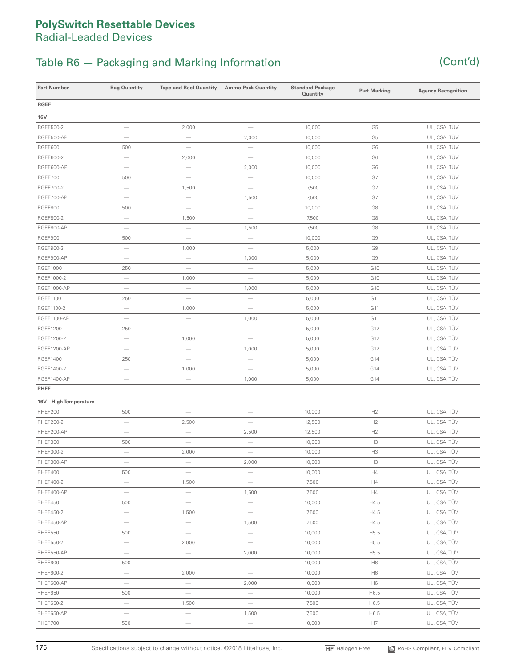## Table R6 – Packaging and Marking Information (Cont'd)

| <b>Part Number</b>     | <b>Bag Quantity</b>      | Tape and Reel Quantity Ammo Pack Quantity |                                       | <b>Standard Package</b><br>Quantity | <b>Part Marking</b> | <b>Agency Recognition</b> |
|------------------------|--------------------------|-------------------------------------------|---------------------------------------|-------------------------------------|---------------------|---------------------------|
| <b>RGEF</b>            |                          |                                           |                                       |                                     |                     |                           |
| <b>16V</b>             |                          |                                           |                                       |                                     |                     |                           |
| RGEF500-2              |                          | 2,000                                     |                                       | 10,000                              | G5                  | UL, CSA, TÜV              |
| RGEF500-AP             |                          |                                           | 2,000                                 | 10,000                              | G <sub>5</sub>      | UL, CSA, TÜV              |
| RGEF600                | 500                      |                                           |                                       | 10,000                              | G6                  | UL, CSA, TÜV              |
| RGEF600-2              |                          | 2,000                                     |                                       | 10,000                              | G6                  | UL, CSA, TÜV              |
| RGEF600-AP             |                          | $\overline{\phantom{0}}$                  | 2,000                                 | 10,000                              | G6                  | UL, CSA, TÜV              |
| RGEF700                | 500                      |                                           |                                       | 10,000                              | G7                  | UL, CSA, TÜV              |
| RGEF700-2              |                          | 1,500                                     |                                       | 7,500                               | G7                  | UL, CSA, TÜV              |
| RGEF700-AP             |                          | $\overline{\phantom{m}}$                  | 1,500                                 | 7,500                               | G7                  | UL, CSA, TÜV              |
| RGEF800                | 500                      |                                           | $\overline{\phantom{0}}$              | 10,000                              | G8                  | UL, CSA, TÜV              |
| RGEF800-2              |                          | 1,500                                     | $\overline{\phantom{0}}$              | 7,500                               | G8                  | UL, CSA, TÜV              |
| RGEF800-AP             | $\overline{\phantom{0}}$ |                                           | 1,500                                 | 7,500                               | G8                  | UL, CSA, TÜV              |
| RGEF900                | 500                      | $\overline{\phantom{0}}$                  | $\overline{\phantom{0}}$              | 10,000                              | G9                  | UL, CSA, TÜV              |
| RGEF900-2              |                          | 1,000                                     |                                       | 5,000                               | G9                  | UL, CSA, TÜV              |
| RGEF900-AP             |                          | $\overline{\phantom{m}}$                  | 1,000                                 | 5,000                               | G9                  | UL, CSA, TÜV              |
| <b>RGEF1000</b>        | 250                      |                                           | $\overline{\phantom{m}}$              | 5,000                               | G10                 | UL, CSA, TÜV              |
| RGEF1000-2             |                          | 1,000                                     | $\overline{\phantom{0}}$              | 5,000                               | G10                 | UL, CSA, TÜV              |
| <b>RGEF1000-AP</b>     |                          |                                           | 1,000                                 | 5,000                               | G10                 | UL, CSA, TÜV              |
| <b>RGEF1100</b>        | 250                      |                                           |                                       | 5,000                               | G11                 | UL, CSA, TÜV              |
| RGEF1100-2             |                          | 1,000                                     | $\overline{\phantom{0}}$              | 5,000                               | G11                 | UL, CSA, TÜV              |
| <b>RGEF1100-AP</b>     |                          |                                           | 1,000                                 | 5,000                               | G11                 | UL, CSA, TÜV              |
| <b>RGEF1200</b>        | 250                      |                                           | $\overline{\phantom{m}}$              | 5,000                               | G12                 | UL, CSA, TÜV              |
| RGEF1200-2             |                          | 1,000                                     | $\overline{\phantom{m}}$              | 5,000                               | G12                 | UL, CSA, TÜV              |
| RGEF1200-AP            |                          |                                           | 1,000                                 | 5,000                               | G12                 | UL, CSA, TÜV              |
| <b>RGEF1400</b>        | 250                      |                                           | $\overline{\phantom{m}}$              | 5,000                               | G14                 | UL, CSA, TÜV              |
| RGEF1400-2             |                          | 1,000                                     | $\overline{\phantom{m}}$              | 5,000                               | G14                 | UL, CSA, TÜV              |
| <b>RGEF1400-AP</b>     | $\qquad \qquad -$        |                                           | 1,000                                 | 5,000                               | G14                 | UL, CSA, TÜV              |
| RHEF                   |                          |                                           |                                       |                                     |                     |                           |
| 16V - High Temperature |                          |                                           |                                       |                                     |                     |                           |
| RHEF200                | 500                      |                                           | $\overline{\phantom{0}}$              | 10,000                              | H2                  | UL, CSA, TÜV              |
| RHEF200-2              |                          | 2,500                                     | $\overline{\phantom{0}}$              | 12,500                              | H2                  | UL, CSA, TÜV              |
| RHEF200-AP             | $\qquad \qquad$          |                                           | 2,500                                 | 12,500                              | H2                  | UL, CSA, TÜV              |
| RHEF300                | 500                      |                                           |                                       | 10,000                              | H3                  | UL, CSA, TÜV              |
| RHEF300-2              |                          | 2,000                                     |                                       | 10,000                              | H3                  | UL, CSA, TÜV              |
| RHEF300-AP             |                          |                                           | 2,000                                 | 10,000                              | H3                  | UL, CSA, TÜV              |
| RHEF400                | 500                      |                                           | $\overline{\phantom{0}}$              | 10,000                              | H4                  | UL, CSA, TÜV              |
| RHEF400-2              |                          | 1,500                                     |                                       | 7,500                               | H4                  | UL, CSA, TÜV              |
| RHEF400-AP             |                          |                                           | 1,500                                 | 7,500                               | H4                  | UL, CSA, TÜV              |
| RHEF450                | 500                      |                                           |                                       | 10,000                              | H4.5                | UL, CSA, TÜV              |
| RHEF450-2              |                          | 1,500                                     |                                       | 7,500                               | H4.5                | UL, CSA, TÜV              |
| RHEF450-AP             | $\qquad \qquad$          |                                           | 1,500                                 | 7,500                               | H4.5                | UL, CSA, TÜV              |
| RHEF550                | 500                      | $\qquad \qquad$                           | $\overline{\phantom{m}}$              | 10,000                              | H5.5                | UL, CSA, TÜV              |
| RHEF550-2              | $\qquad \qquad$          | 2,000                                     | $\qquad \qquad -$                     | 10,000                              | H5.5                | UL, CSA, TÜV              |
| RHEF550-AP             | $\qquad \qquad$          | $\qquad \qquad -$                         | 2,000                                 | 10,000                              | H5.5                | UL, CSA, TÜV              |
| RHEF600                | 500                      | $\qquad \qquad$                           | $\overline{\phantom{0}}$              | 10,000                              | H <sub>6</sub>      | UL, CSA, TÜV              |
| RHEF600-2              | $\overline{\phantom{0}}$ | 2,000                                     | $\overline{\phantom{m}}$              | 10,000                              | H <sub>6</sub>      | UL, CSA, TÜV              |
| RHEF600-AP             |                          | $\qquad \qquad$                           | 2,000                                 | 10,000                              | H <sub>6</sub>      | UL, CSA, TÜV              |
| RHEF650                | 500                      | $\overline{\phantom{m}}$                  | $\overline{\phantom{m}}$              | 10,000                              | H6.5                | UL, CSA, TÜV              |
| RHEF650-2              | $\qquad \qquad$          | 1,500                                     | $\overline{\phantom{0}}$              | 7,500                               | H6.5                | UL, CSA, TÜV              |
| RHEF650-AP             |                          |                                           | 1,500                                 | 7,500                               | H6.5                | UL, CSA, TÜV              |
| RHEF700                | 500                      | $\overline{\phantom{a}}$                  | $\hspace{1.0cm} \rule{1.5cm}{0.15cm}$ | 10,000                              | H7                  | UL, CSA, TÜV              |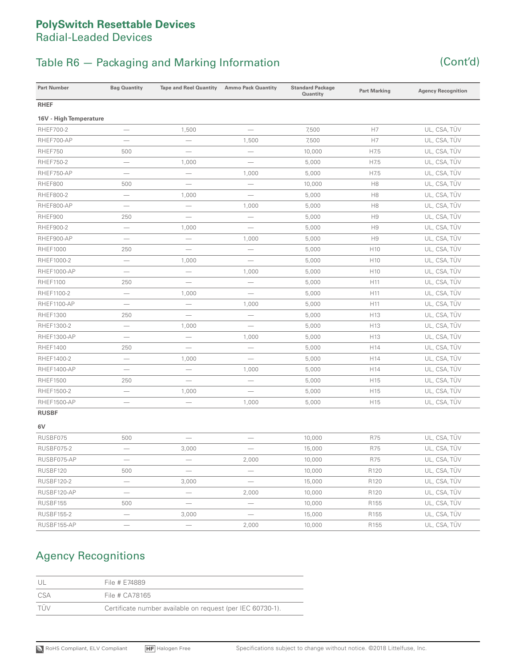## Table R6 – Packaging and Marking Information (Cont'd)

| <b>Part Number</b>     | <b>Bag Quantity</b>      | Tape and Reel Quantity Ammo Pack Quantity |                          | <b>Standard Package</b><br>Quantity | <b>Part Marking</b> | <b>Agency Recognition</b> |
|------------------------|--------------------------|-------------------------------------------|--------------------------|-------------------------------------|---------------------|---------------------------|
| <b>RHEF</b>            |                          |                                           |                          |                                     |                     |                           |
| 16V - High Temperature |                          |                                           |                          |                                     |                     |                           |
| RHEF700-2              |                          | 1,500                                     |                          | 7,500                               | H7                  | UL, CSA, TÜV              |
| RHEF700-AP             |                          |                                           | 1,500                    | 7,500                               | H7                  | UL, CSA, TÜV              |
| RHEF750                | 500                      | -                                         |                          | 10,000                              | H7.5                | UL, CSA, TÜV              |
| RHEF750-2              | $\overline{\phantom{m}}$ | 1,000                                     | $\overline{\phantom{0}}$ | 5,000                               | H7.5                | UL, CSA, TÜV              |
| RHEF750-AP             | $\overline{\phantom{0}}$ | $\overbrace{\phantom{1232211}}$           | 1,000                    | 5,000                               | H7.5                | UL, CSA, TÜV              |
| RHEF800                | 500                      |                                           | -                        | 10,000                              | H <sub>8</sub>      | UL, CSA, TÜV              |
| RHEF800-2              |                          | 1,000                                     |                          | 5,000                               | H <sub>8</sub>      | UL, CSA, TÜV              |
| RHEF800-AP             | $\overline{\phantom{0}}$ |                                           | 1,000                    | 5,000                               | H <sub>8</sub>      | UL, CSA, TÜV              |
| RHEF900                | 250                      |                                           | $\overline{\phantom{0}}$ | 5,000                               | H <sub>9</sub>      | UL, CSA, TÜV              |
| RHEF900-2              |                          | 1,000                                     |                          | 5,000                               | H <sub>9</sub>      | UL, CSA, TÜV              |
| RHEF900-AP             | $\overline{\phantom{0}}$ |                                           | 1,000                    | 5,000                               | H <sub>9</sub>      | UL, CSA, TÜV              |
| <b>RHEF1000</b>        | 250                      |                                           | $\overline{\phantom{0}}$ | 5,000                               | H <sub>10</sub>     | UL, CSA, TÜV              |
| RHEF1000-2             |                          | 1,000                                     |                          | 5,000                               | H <sub>10</sub>     | UL, CSA, TÜV              |
| <b>RHEF1000-AP</b>     |                          |                                           | 1,000                    | 5,000                               | H <sub>10</sub>     | UL, CSA, TÜV              |
| <b>RHEF1100</b>        | 250                      |                                           |                          | 5,000                               | H <sub>11</sub>     | UL, CSA, TÜV              |
| RHEF1100-2             |                          | 1,000                                     |                          | 5,000                               | H <sub>11</sub>     | UL, CSA, TÜV              |
| RHEF1100-AP            |                          |                                           | 1,000                    | 5,000                               | H <sub>11</sub>     | UL, CSA, TÜV              |
| <b>RHEF1300</b>        | 250                      |                                           |                          | 5,000                               | H <sub>13</sub>     | UL, CSA, TÜV              |
| RHEF1300-2             |                          | 1,000                                     |                          | 5,000                               | H13                 | UL, CSA, TÜV              |
| RHEF1300-AP            | $\overline{\phantom{0}}$ |                                           | 1,000                    | 5,000                               | H <sub>13</sub>     | UL, CSA, TÜV              |
| <b>RHEF1400</b>        | 250                      |                                           |                          | 5,000                               | H14                 | UL, CSA, TÜV              |
| RHEF1400-2             | $\overline{\phantom{0}}$ | 1,000                                     |                          | 5,000                               | H14                 | UL, CSA, TÜV              |
| RHEF1400-AP            |                          | $\overline{\phantom{m}}$                  | 1,000                    | 5,000                               | H14                 | UL, CSA, TÜV              |
| <b>RHEF1500</b>        | 250                      | $\overbrace{\qquad \qquad }^{}$           | $\overline{\phantom{0}}$ | 5,000                               | H <sub>15</sub>     | UL, CSA, TÜV              |
| RHEF1500-2             | -                        | 1,000                                     |                          | 5,000                               | H <sub>15</sub>     | UL, CSA, TÜV              |
| RHEF1500-AP            |                          |                                           | 1,000                    | 5,000                               | H15                 | UL, CSA, TÜV              |
| <b>RUSBF</b>           |                          |                                           |                          |                                     |                     |                           |
| 6V                     |                          |                                           |                          |                                     |                     |                           |
| RUSBF075               | 500                      |                                           |                          | 10,000                              | R75                 | UL, CSA, TÜV              |
| RUSBF075-2             |                          | 3,000                                     |                          | 15,000                              | R75                 | UL, CSA, TÜV              |
| RUSBF075-AP            |                          | $\overline{\phantom{0}}$                  | 2,000                    | 10,000                              | R75                 | UL, CSA, TÜV              |
| RUSBF120               | 500                      | $\overline{\phantom{m}}$                  |                          | 10,000                              | R120                | UL, CSA, TÜV              |
| <b>RUSBF120-2</b>      |                          | 3,000                                     |                          | 15,000                              | R120                | UL, CSA, TÜV              |
| RUSBF120-AP            | $\overline{\phantom{0}}$ |                                           | 2,000                    | 10,000                              | R120                | UL, CSA, TÜV              |
| RUSBF155               | 500                      |                                           |                          | 10,000                              | R155                | UL, CSA, TÜV              |
| <b>RUSBF155-2</b>      | $\overline{\phantom{0}}$ | 3,000                                     |                          | 15,000                              | R155                | UL, CSA, TÜV              |
| RUSBF155-AP            | $\overline{\phantom{0}}$ | $\overline{\phantom{m}}$                  | 2,000                    | 10,000                              | R155                | UL, CSA, TÜV              |

## Agency Recognitions

| U          | File # F74889                                              |
|------------|------------------------------------------------------------|
| C.SA       | File # CA78165                                             |
| <b>TÜM</b> | Certificate number available on request (per IEC 60730-1). |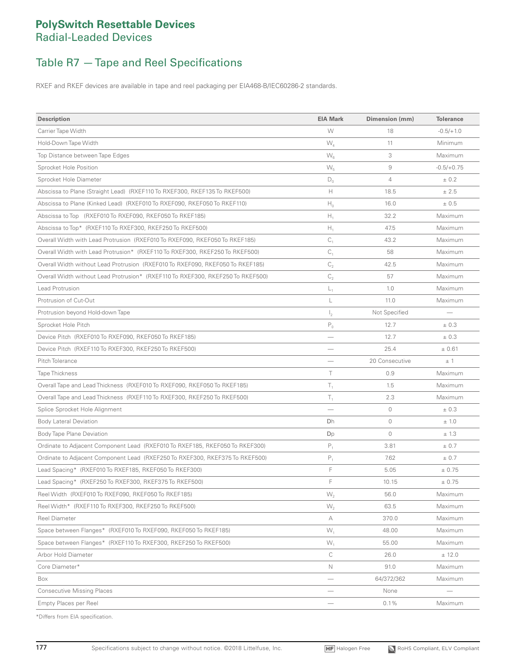## Table R7 — Tape and Reel Specifications

RXEF and RKEF devices are available in tape and reel packaging per EIA468-B/IEC60286-2 standards.

| <b>Description</b>                                                              | <b>EIA Mark</b>          | Dimension (mm) | <b>Tolerance</b> |
|---------------------------------------------------------------------------------|--------------------------|----------------|------------------|
| Carrier Tape Width                                                              | W                        | 18             | $-0.5/+1.0$      |
| Hold-Down Tape Width                                                            | W,                       | 11             | Minimum          |
| Top Distance between Tape Edges                                                 | $W_{6}$                  | 3              | Maximum          |
| Sprocket Hole Position                                                          | $W_{5}$                  | 9              | $-0.5/+0.75$     |
| Sprocket Hole Diameter                                                          | $D_0$                    | $\overline{4}$ | ± 0.2            |
| Abscissa to Plane (Straight Lead) (RXEF110 To RXEF300, RKEF135 To RKEF500)      | Н                        | 18.5           | ± 2.5            |
| Abscissa to Plane (Kinked Lead) (RXEF010 To RXEF090, RKEF050 To RKEF110)        | $H_0$                    | 16.0           | ± 0.5            |
| Abscissa to Top (RXEF010 To RXEF090, RKEF050 To RKEF185)                        | $H_{\rm i}$              | 32.2           | Maximum          |
| Abscissa to Top* (RXEF110 To RXEF300, RKEF250 To RKEF500)                       | $H_1$                    | 47.5           | Maximum          |
| Overall Width with Lead Protrusion (RXEF010 To RXEF090, RKEF050 To RKEF185)     | $C_1$                    | 43.2           | Maximum          |
| Overall Width with Lead Protrusion* (RXEF110 To RXEF300, RKEF250 To RKEF500)    | $C_1$                    | 58             | Maximum          |
| Overall Width without Lead Protrusion (RXEF010 To RXEF090, RKEF050 To RKEF185)  | $\mathsf{C}_2$           | 42.5           | Maximum          |
| Overall Width without Lead Protrusion* (RXEF110 To RXEF300, RKEF250 To RKEF500) | $\mathbb{C}_2$           | 57             | Maximum          |
| Lead Protrusion                                                                 | L,                       | 1.0            | Maximum          |
| Protrusion of Cut-Out                                                           | L                        | 11.0           | Maximum          |
| Protrusion beyond Hold-down Tape                                                | $\mathsf{I}_2$           | Not Specified  |                  |
| Sprocket Hole Pitch                                                             | $P_0$                    | 12.7           | ± 0.3            |
| Device Pitch (RXEF010 To RXEF090, RKEF050 To RKEF185)                           |                          | 12.7           | ± 0.3            |
| Device Pitch (RXEF110 To RXEF300, RKEF250 To RKEF500)                           |                          | 25.4           | ± 0.61           |
| Pitch Tolerance                                                                 | -                        | 20 Consecutive | ±1               |
| <b>Tape Thickness</b>                                                           | T                        | 0.9            | Maximum          |
| Overall Tape and Lead Thickness (RXEF010 To RXEF090, RKEF050 To RKEF185)        | $T_1$                    | 1.5            | Maximum          |
| Overall Tape and Lead Thickness (RXEF110 To RXEF300, RKEF250 To RKEF500)        | $T_1$                    | 2.3            | Maximum          |
| Splice Sprocket Hole Alignment                                                  |                          | $\circ$        | ± 0.3            |
| <b>Body Lateral Deviation</b>                                                   | Dh                       | $\circ$        | ± 1.0            |
| Body Tape Plane Deviation                                                       | Dp                       | $\mathbf 0$    | ± 1.3            |
| Ordinate to Adjacent Component Lead (RXEF010 To RXEF185, RKEF050 To RKEF300)    | ${\sf P}_1$              | 3.81           | ± 0.7            |
| Ordinate to Adjacent Component Lead (RXEF250 To RXEF300, RKEF375 To RKEF500)    | $P_1$                    | 7.62           | ± 0.7            |
| Lead Spacing* (RXEF010 To RXEF185, RKEF050 To RKEF300)                          | F                        | 5.05           | ± 0.75           |
| Lead Spacing* (RXEF250 To RXEF300, RKEF375 To RKEF500)                          | F                        | 10.15          | ± 0.75           |
| Reel Width (RXEF010 To RXEF090, RKEF050 To RKEF185)                             | $W_2$                    | 56.0           | Maximum          |
| Reel Width* (RXEF110 To RXEF300, RKEF250 To RKEF500)                            | W <sub>2</sub>           | 63.5           | Maximum          |
| <b>Reel Diameter</b>                                                            | А                        | 370.0          | Maximum          |
| Space between Flanges* (RXEF010 To RXEF090, RKEF050 To RKEF185)                 | $W_1$                    | 48.00          | Maximum          |
| Space between Flanges* (RXEF110 To RXEF300, RKEF250 To RKEF500)                 | $W_1$                    | 55.00          | Maximum          |
| Arbor Hold Diameter                                                             | C                        | 26.0           | ± 12.0           |
| Core Diameter*                                                                  | Ν                        | 91.0           | Maximum          |
| Box                                                                             | $\overline{\phantom{0}}$ | 64/372/362     | Maximum          |
| <b>Consecutive Missing Places</b>                                               |                          | None           |                  |
| Empty Places per Reel                                                           |                          | 0.1%           | Maximum          |

\*Differs from EIA specification.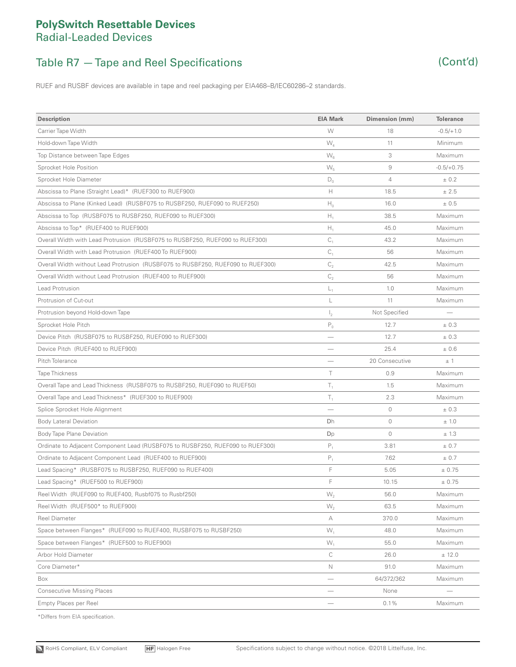## Table R7 — Tape and Reel Specifications (Cont'd)



RUEF and RUSBF devices are available in tape and reel packaging per EIA468–B/IEC60286–2 standards.

| <b>Description</b>                                                               | <b>EIA Mark</b> | Dimension (mm) | <b>Tolerance</b> |
|----------------------------------------------------------------------------------|-----------------|----------------|------------------|
| Carrier Tape Width                                                               | W               | 18             | $-0.5/+1.0$      |
| Hold-down Tape Width                                                             | W,              | 11             | <b>Minimum</b>   |
| Top Distance between Tape Edges                                                  | $W_{6}$         | 3              | Maximum          |
| Sprocket Hole Position                                                           | $W_{5}$         | $\mathcal G$   | $-0.5/+0.75$     |
| Sprocket Hole Diameter                                                           | $\mathsf{D}_0$  | $\overline{4}$ | ± 0.2            |
| Abscissa to Plane (Straight Lead)* (RUEF300 to RUEF900)                          | Н               | 18.5           | ± 2.5            |
| Abscissa to Plane (Kinked Lead) (RUSBF075 to RUSBF250, RUEF090 to RUEF250)       | $H_0$           | 16.0           | ± 0.5            |
| Abscissa to Top (RUSBF075 to RUSBF250, RUEF090 to RUEF300)                       | $H_i$           | 38.5           | Maximum          |
| Abscissa to Top* (RUEF400 to RUEF900)                                            | $H_1$           | 45.0           | Maximum          |
| Overall Width with Lead Protrusion (RUSBF075 to RUSBF250, RUEF090 to RUEF300)    | $C_1$           | 43.2           | Maximum          |
| Overall Width with Lead Protrusion (RUEF400 To RUEF900)                          | $C_{1}$         | 56             | Maximum          |
| Overall Width without Lead Protrusion (RUSBF075 to RUSBF250, RUEF090 to RUEF300) | $C_{2}$         | 42.5           | Maximum          |
| Overall Width without Lead Protrusion (RUEF400 to RUEF900)                       | C <sub>2</sub>  | 56             | Maximum          |
| <b>Lead Protrusion</b>                                                           | L,              | 1.0            | Maximum          |
| Protrusion of Cut-out                                                            | L               | 11             | Maximum          |
| Protrusion beyond Hold-down Tape                                                 | $\mathsf{I}_2$  | Not Specified  |                  |
| Sprocket Hole Pitch                                                              | $\mathsf{P}_0$  | 12.7           | ± 0.3            |
| Device Pitch (RUSBF075 to RUSBF250, RUEF090 to RUEF300)                          |                 | 12.7           | ± 0.3            |
| Device Pitch (RUEF400 to RUEF900)                                                |                 | 25.4           | ±0.6             |
| Pitch Tolerance                                                                  |                 | 20 Consecutive | ±1               |
| Tape Thickness                                                                   | Τ               | 0.9            | Maximum          |
| Overall Tape and Lead Thickness (RUSBF075 to RUSBF250, RUEF090 to RUEF50)        | $T_1$           | 1.5            | Maximum          |
| Overall Tape and Lead Thickness* (RUEF300 to RUEF900)                            | $\mathsf{T}_1$  | 2.3            | Maximum          |
| Splice Sprocket Hole Alignment                                                   |                 | $\circ$        | ± 0.3            |
| <b>Body Lateral Deviation</b>                                                    | Dh              | $\circ$        | ± 1.0            |
| Body Tape Plane Deviation                                                        | Dp              | $\mathbf{0}$   | ± 1.3            |
| Ordinate to Adjacent Component Lead (RUSBF075 to RUSBF250, RUEF090 to RUEF300)   | $P_1$           | 3.81           | ± 0.7            |
| Ordinate to Adjacent Component Lead (RUEF400 to RUEF900)                         | $P_1$           | 7.62           | ± 0.7            |
| Lead Spacing* (RUSBF075 to RUSBF250, RUEF090 to RUEF400)                         | F               | 5.05           | ± 0.75           |
| Lead Spacing* (RUEF500 to RUEF900)                                               | F               | 10.15          | ± 0.75           |
| Reel Width (RUEF090 to RUEF400, Rusbf075 to Rusbf250)                            | $W_2$           | 56.0           | Maximum          |
| Reel Width (RUEF500* to RUEF900)                                                 | $W_2$           | 63.5           | Maximum          |
| <b>Reel Diameter</b>                                                             | А               | 370.0          | Maximum          |
| Space between Flanges* (RUEF090 to RUEF400, RUSBF075 to RUSBF250)                | $W_1$           | 48.0           | Maximum          |
| Space between Flanges* (RUEF500 to RUEF900)                                      | $W_1$           | 55.0           | Maximum          |
| Arbor Hold Diameter                                                              | С               | 26.0           | ± 12.0           |
| Core Diameter*                                                                   | N               | 91.0           | Maximum          |
| Box                                                                              |                 | 64/372/362     | Maximum          |
| <b>Consecutive Missing Places</b>                                                |                 | None           | -                |
| Empty Places per Reel                                                            |                 | 0.1%           | Maximum          |

\*Differs from EIA specification.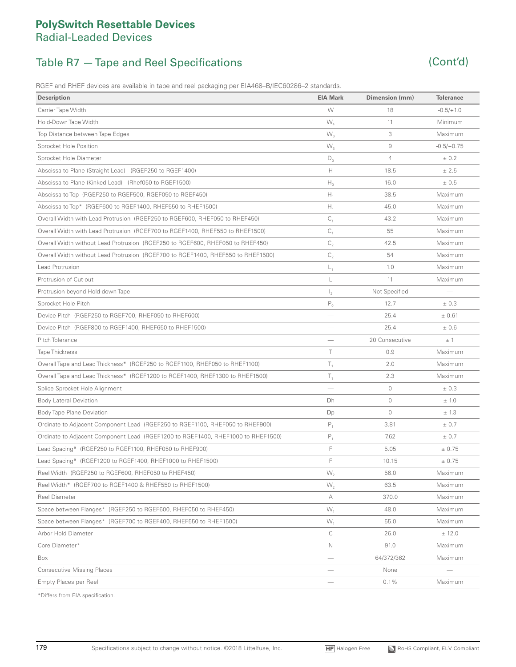## Table R7 — Tape and Reel Specifications (Cont'd)

RGEF and RHEF devices are available in tape and reel packaging per EIA468–B/IEC60286–2 standards.

| $\sim$ 1<br><b>Description</b>                                                   | <b>EIA Mark</b> | Dimension (mm)      | <b>Tolerance</b> |
|----------------------------------------------------------------------------------|-----------------|---------------------|------------------|
| Carrier Tape Width                                                               | W               | 18                  | $-0.5/+1.0$      |
| Hold-Down Tape Width                                                             | W,              | 11                  | Minimum          |
| Top Distance between Tape Edges                                                  | $W_{6}$         | 3                   | Maximum          |
| Sprocket Hole Position                                                           | $W_{5}$         | $\mathcal G$        | $-0.5/+0.75$     |
| Sprocket Hole Diameter                                                           | $D_0$           | $\overline{4}$      | ± 0.2            |
| Abscissa to Plane (Straight Lead) (RGEF250 to RGEF1400)                          | Н               | 18.5                | ± 2.5            |
| Abscissa to Plane (Kinked Lead) (Rhef050 to RGEF1500)                            | $H_0$           | 16.0                | ± 0.5            |
| Abscissa to Top (RGEF250 to RGEF500, RGEF050 to RGEF450)                         | $H_{1}$         | 38.5                | Maximum          |
| Abscissa to Top* (RGEF600 to RGEF1400, RHEF550 to RHEF1500)                      | Н,              | 45.0                | Maximum          |
| Overall Width with Lead Protrusion (RGEF250 to RGEF600, RHEF050 to RHEF450)      | $C_1$           | 43.2                | Maximum          |
| Overall Width with Lead Protrusion (RGEF700 to RGEF1400, RHEF550 to RHEF1500)    | $C_1$           | 55                  | Maximum          |
| Overall Width without Lead Protrusion (RGEF250 to RGEF600, RHEF050 to RHEF450)   | $C_{2}$         | 42.5                | Maximum          |
| Overall Width without Lead Protrusion (RGEF700 to RGEF1400, RHEF550 to RHEF1500) | $\mathbb{C}_2$  | 54                  | Maximum          |
| Lead Protrusion                                                                  | L,              | 1.0                 | Maximum          |
| Protrusion of Cut-out                                                            | L               | 11                  | Maximum          |
| Protrusion beyond Hold-down Tape                                                 | $\mathsf{I}_2$  | Not Specified       |                  |
| Sprocket Hole Pitch                                                              | $P_0$           | 12.7                | ± 0.3            |
| Device Pitch (RGEF250 to RGEF700, RHEF050 to RHEF600)                            |                 | 25.4                | ± 0.61           |
| Device Pitch (RGEF800 to RGEF1400, RHEF650 to RHEF1500)                          |                 | 25.4                | ± 0.6            |
| Pitch Tolerance                                                                  |                 | 20 Consecutive      | ±1               |
| <b>Tape Thickness</b>                                                            | T               | 0.9                 | Maximum          |
| Overall Tape and Lead Thickness* (RGEF250 to RGEF1100, RHEF050 to RHEF1100)      | Т,              | 2.0                 | Maximum          |
| Overall Tape and Lead Thickness* (RGEF1200 to RGEF1400, RHEF1300 to RHEF1500)    | $T_1$           | 2.3                 | Maximum          |
| Splice Sprocket Hole Alignment                                                   | -               | $\circ$             | ± 0.3            |
| <b>Body Lateral Deviation</b>                                                    | Dh              | $\circ$             | ± 1.0            |
| Body Tape Plane Deviation                                                        | Dp              | $\mathsf{O}\xspace$ | ± 1.3            |
| Ordinate to Adjacent Component Lead (RGEF250 to RGEF1100, RHEF050 to RHEF900)    | $P_1$           | 3.81                | ± 0.7            |
| Ordinate to Adjacent Component Lead (RGEF1200 to RGEF1400, RHEF1000 to RHEF1500) | $P_1$           | 7.62                | ± 0.7            |
| Lead Spacing* (RGEF250 to RGEF1100, RHEF050 to RHEF900)                          | F               | 5.05                | ± 0.75           |
| Lead Spacing* (RGEF1200 to RGEF1400, RHEF1000 to RHEF1500)                       | F               | 10.15               | ± 0.75           |
| Reel Width (RGEF250 to RGEF600, RHEF050 to RHEF450)                              | $W_{2}$         | 56.0                | Maximum          |
| Reel Width* (RGEF700 to RGEF1400 & RHEF550 to RHEF1500)                          | $W_2$           | 63.5                | Maximum          |
| Reel Diameter                                                                    | А               | 370.0               | Maximum          |
| Space between Flanges* (RGEF250 to RGEF600, RHEF050 to RHEF450)                  | $W_1$           | 48.0                | Maximum          |
| Space between Flanges* (RGEF700 to RGEF400, RHEF550 to RHEF1500)                 | $W_1$           | 55.0                | Maximum          |
| Arbor Hold Diameter                                                              | С               | 26.0                | ± 12.0           |
| Core Diameter*                                                                   | N               | 91.0                | Maximum          |
| Box                                                                              |                 | 64/372/362          | Maximum          |
| <b>Consecutive Missing Places</b>                                                |                 | None                |                  |
| Empty Places per Reel                                                            |                 | 0.1%                | Maximum          |

\*Differs from EIA specification.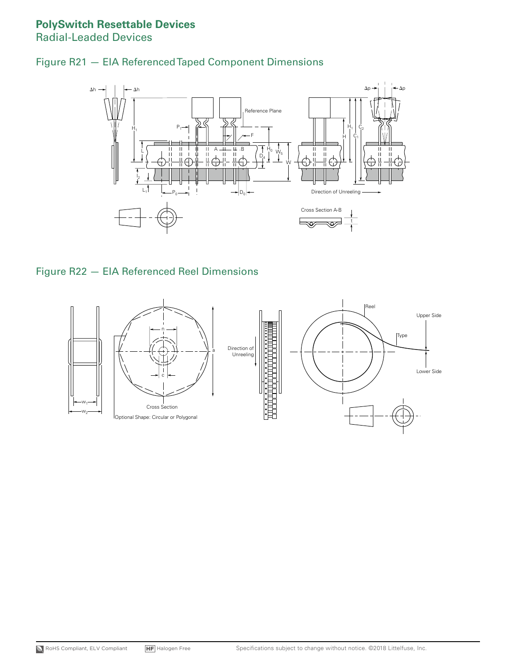## **PolySwitch Resettable Devices**

Radial-Leaded Devices





### Figure R22 — EIA Referenced Reel Dimensions

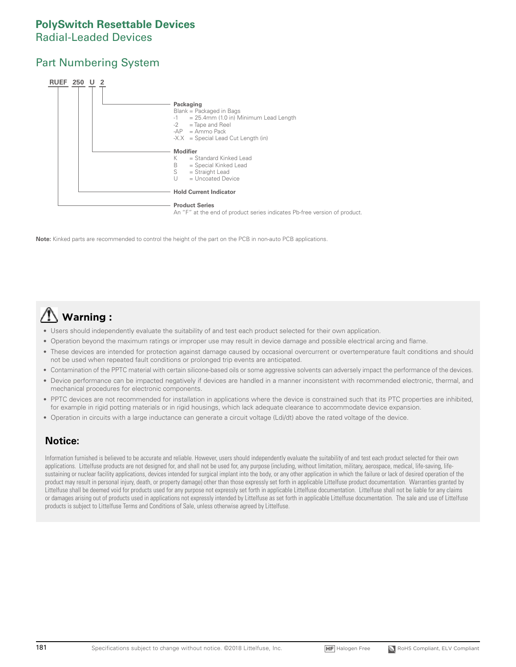### Part Numbering System



**Note:** Kinked parts are recommended to control the height of the part on the PCB in non-auto PCB applications.

# **Warning :**

- Users should independently evaluate the suitability of and test each product selected for their own application.
- Operation beyond the maximum ratings or improper use may result in device damage and possible electrical arcing and flame.
- These devices are intended for protection against damage caused by occasional overcurrent or overtemperature fault conditions and should not be used when repeated fault conditions or prolonged trip events are anticipated.
- Contamination of the PPTC material with certain silicone-based oils or some aggressive solvents can adversely impact the performance of the devices.
- Device performance can be impacted negatively if devices are handled in a manner inconsistent with recommended electronic, thermal, and mechanical procedures for electronic components.
- PPTC devices are not recommended for installation in applications where the device is constrained such that its PTC properties are inhibited, for example in rigid potting materials or in rigid housings, which lack adequate clearance to accommodate device expansion.
- Operation in circuits with a large inductance can generate a circuit voltage (Ldi/dt) above the rated voltage of the device.

### **Notice:**

Information furnished is believed to be accurate and reliable. However, users should independently evaluate the suitability of and test each product selected for their own applications. Littelfuse products are not designed for, and shall not be used for, any purpose (including, without limitation, military, aerospace, medical, life-saving, lifesustaining or nuclear facility applications, devices intended for surgical implant into the body, or any other application in which the failure or lack of desired operation of the product may result in personal injury, death, or property damage) other than those expressly set forth in applicable Littelfuse product documentation. Warranties granted by Littelfuse shall be deemed void for products used for any purpose not expressly set forth in applicable Littelfuse documentation. Littelfuse shall not be liable for any claims or damages arising out of products used in applications not expressly intended by Littelfuse as set forth in applicable Littelfuse documentation. The sale and use of Littelfuse products is subject to Littelfuse Terms and Conditions of Sale, unless otherwise agreed by Littelfuse.